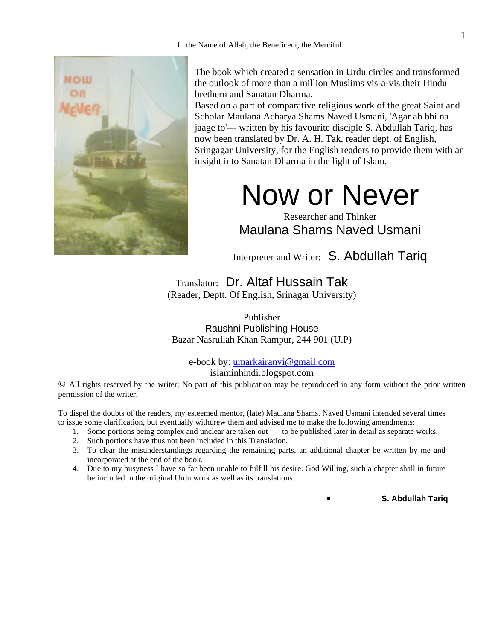

The book which created a sensation in Urdu circles and transformed the outlook of more than a million Muslims vis-a-vis their Hindu brethern and Sanatan Dharma.

Based on a part of comparative religious work of the great Saint and Scholar Maulana Acharya Shams Naved Usmani, 'Agar ab bhi na jaage to'--- written by his favourite disciple S. Abdullah Tariq, has now been translated by Dr. A. H. Tak, reader dept. of English, Sringagar University, for the English readers to provide them with an insight into Sanatan Dharma in the light of Islam.

# Now or Never

Researcher and Thinker Maulana Shams Naved Usmani

Interpreter and Writer: S. Abdullah Tariq

Translator: Dr. Altaf Hussain Tak (Reader, Deptt. Of English, Srinagar University)

Publisher Raushni Publishing House Bazar Nasrullah Khan Rampur, 244 901 (U.P)

e-book by: umarkairanvi@gmail.com

islaminhindi.blogspot.com

© All rights reserved by the writer; No part of this publication may be reproduced in any form without the prior written permission of the writer.

To dispel the doubts of the readers, my esteemed mentor, (late) Maulana Shams. Naved Usmani intended several times to issue some clarification, but eventually withdrew them and advised me to make the following amendments:<br>1. Some portions being complex and unclear are taken out to be published later in detail as separate works.

- 1. Some portions being complex and unclear are taken out
- 2. Such portions have thus not been included in this Translation.
- 3. To clear the misunderstandings regarding the remaining parts, an additional chapter be written by me and incorporated at the end of the book.
- 4. Due to my busyness I have so far been unable to fulfill his desire. God Willing, such a chapter shall in future be included in the original Urdu work as well as its translations.

• **S. Abdullah Tariq**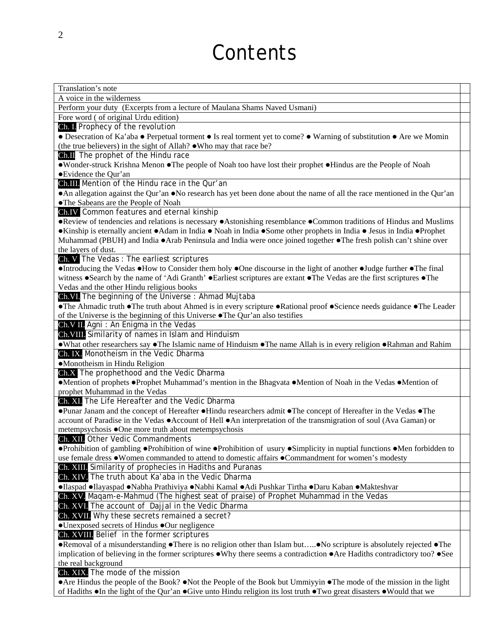# **Contents**

| Translation's note                                                                                                                                 |
|----------------------------------------------------------------------------------------------------------------------------------------------------|
| A voice in the wilderness                                                                                                                          |
| Perform your duty (Excerpts from a lecture of Maulana Shams Naved Usmani)                                                                          |
| Fore word ( of original Urdu edition)                                                                                                              |
| Ch. I. Prophecy of the revolution                                                                                                                  |
| • Desecration of Ka'aba • Perpetual torment • Is real torment yet to come? • Warning of substitution • Are we Momin                                |
| (the true believers) in the sight of Allah? .Who may that race be?                                                                                 |
| Ch.II The prophet of the Hindu race                                                                                                                |
| •Wonder-struck Krishna Menon •The people of Noah too have lost their prophet •Hindus are the People of Noah                                        |
| • Evidence the Qur'an                                                                                                                              |
| Ch.III. Mention of the Hindu race in the Qur'an                                                                                                    |
| • An allegation against the Qur'an • No research has yet been done about the name of all the race mentioned in the Qur'an                          |
| ·The Sabeans are the People of Noah                                                                                                                |
| Ch.IV Common features and eternal kinship                                                                                                          |
| •Review of tendencies and relations is necessary •Astonishing resemblance •Common traditions of Hindus and Muslims                                 |
| •Kinship is eternally ancient •Adam in India • Noah in India •Some other prophets in India • Jesus in India •Prophet                               |
| Muhammad (PBUH) and India $\bullet$ Arab Peninsula and India were once joined together $\bullet$ The fresh polish can't shine over                 |
| the layers of dust.                                                                                                                                |
| Ch. V The Vedas: The earliest scriptures                                                                                                           |
| Introducing the Vedas .How to Consider them holy .One discourse in the light of another .Judge further .The final                                  |
| witness •Search by the name of 'Adi Granth' •Earliest scriptures are extant •The Vedas are the first scriptures •The                               |
| Vedas and the other Hindu religious books                                                                                                          |
| Ch.VI. The beginning of the Universe: Ahmad Mujtaba                                                                                                |
| • The Ahmadic truth • The truth about Ahmed is in every scripture • Rational proof • Science needs guidance • The Leader                           |
| of the Universe is the beginning of this Universe • The Qur'an also testifies                                                                      |
| Ch.V II. Agni: An Enigma in the Vedas                                                                                                              |
| Ch. VIII. Similarity of names in Islam and Hinduism                                                                                                |
| • What other researchers say • The Islamic name of Hinduism • The name Allah is in every religion • Rahman and Rahim                               |
| Ch. IX. Monotheism in the Vedic Dharma                                                                                                             |
| •Monotheism in Hindu Religion                                                                                                                      |
| Ch.X The prophethood and the Vedic Dharma                                                                                                          |
| •Mention of prophets •Prophet Muhammad's mention in the Bhagvata •Mention of Noah in the Vedas •Mention of                                         |
| prophet Muhammad in the Vedas                                                                                                                      |
| Ch. XI. The Life Hereafter and the Vedic Dharma                                                                                                    |
| •Punar Janam and the concept of Hereafter •Hindu researchers admit •The concept of Hereafter in the Vedas •The                                     |
| account of Paradise in the Vedas $\bullet$ Account of Hell $\bullet$ An interpretation of the transmigration of soul (Ava Gaman) or                |
| metempsychosis ●One more truth about metempsychosis                                                                                                |
| Ch. XII. Other Vedic Commandments                                                                                                                  |
| • Prohibition of gambling • Prohibition of wine • Prohibition of usury • Simplicity in nuptial functions • Men forbidden to                        |
| use female dress . Women commanded to attend to domestic affairs . Commandment for women's modesty                                                 |
| Ch. XIII. Similarity of prophecies in Hadiths and Puranas                                                                                          |
| Ch. XIV. The truth about Ka'aba in the Vedic Dharma                                                                                                |
| •Ilaspad •Ilayaspad •Nabha Prathiviya •Nabhi Kamal •Adi Pushkar Tirtha •Daru Kaban •Makteshvar                                                     |
| Ch. XV. Maqam-e-Mahmud (The highest seat of praise) of Prophet Muhammad in the Vedas                                                               |
| Ch. XVI. The account of Dajjal in the Vedic Dharma                                                                                                 |
| Ch. XVII. Why these secrets remained a secret?                                                                                                     |
| •Unexposed secrets of Hindus •Our negligence                                                                                                       |
| Ch. XVIII. Belief in the former scriptures                                                                                                         |
| •Removal of a misunderstanding •There is no religion other than Islam but•No scripture is absolutely rejected •The                                 |
| implication of believing in the former scriptures $\bullet$ Why there seems a contradiction $\bullet$ Are Hadiths contradictory too? $\bullet$ See |
| the real background                                                                                                                                |
| Ch. XIX. The mode of the mission                                                                                                                   |
| • Are Hindus the people of the Book? • Not the People of the Book but Ummiyyin • The mode of the mission in the light                              |
| of Hadiths •In the light of the Qur'an •Give unto Hindu religion its lost truth •Two great disasters •Would that we                                |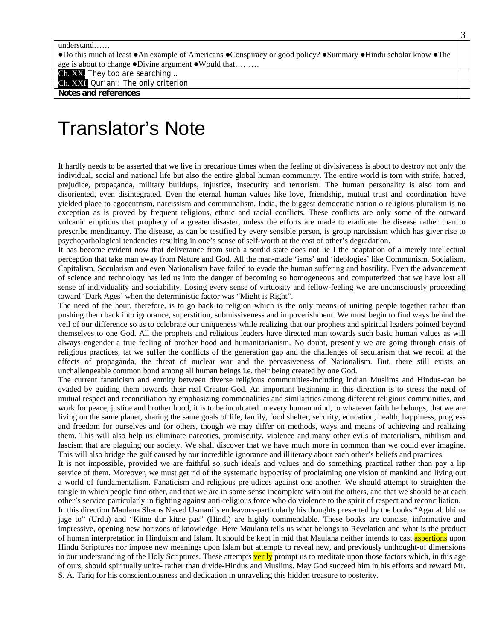•Do this much at least •An example of Americans •Conspiracy or good policy? •Summary •Hindu scholar know •The age is about to change  $\bullet$ Divine argument  $\bullet$  Would that………

Ch. XX. They too are searching…

Ch. XXI. Qur'an : The only criterion

**Notes and references** 

# Translator's Note

It hardly needs to be asserted that we live in precarious times when the feeling of divisiveness is about to destroy not only the individual, social and national life but also the entire global human community. The entire world is torn with strife, hatred, prejudice, propaganda, military buildups, injustice, insecurity and terrorism. The human personality is also torn and disoriented, even disintegrated. Even the eternal human values like love, friendship, mutual trust and coordination have yielded place to egocentrism, narcissism and communalism. India, the biggest democratic nation o religious pluralism is no exception as is proved by frequent religious, ethnic and racial conflicts. These conflicts are only some of the outward volcanic eruptions that prophecy of a greater disaster, unless the efforts are made to eradicate the disease rather than to prescribe mendicancy. The disease, as can be testified by every sensible person, is group narcissism which has giver rise to psychopathological tendencies resulting in one's sense of self-worth at the cost of other's degradation.

It has become evident now that deliverance from such a sordid state does not lie I the adaptation of a merely intellectual perception that take man away from Nature and God. All the man-made 'isms' and 'ideologies' like Communism, Socialism, Capitalism, Secularism and even Nationalism have failed to evade the human suffering and hostility. Even the advancement of science and technology has led us into the danger of becoming so homogeneous and computerized that we have lost all sense of individuality and sociability. Losing every sense of virtuosity and fellow-feeling we are unconsciously proceeding toward 'Dark Ages' when the deterministic factor was "Might is Right".

The need of the hour, therefore, is to go back to religion which is the only means of uniting people together rather than pushing them back into ignorance, superstition, submissiveness and impoverishment. We must begin to find ways behind the veil of our difference so as to celebrate our uniqueness while realizing that our prophets and spiritual leaders pointed beyond themselves to one God. All the prophets and religious leaders have directed man towards such basic human values as will always engender a true feeling of brother hood and humanitarianism. No doubt, presently we are going through crisis of religious practices, tat we suffer the conflicts of the generation gap and the challenges of secularism that we recoil at the effects of propaganda, the threat of nuclear war and the pervasiveness of Nationalism. But, there still exists an unchallengeable common bond among all human beings i.e. their being created by one God.

The current fanaticism and enmity between diverse religious communities-including Indian Muslims and Hindus-can be evaded by guiding them towards their real Creator-God. An important beginning in this direction is to stress the need of mutual respect and reconciliation by emphasizing commonalities and similarities among different religious communities, and work for peace, justice and brother hood, it is to be inculcated in every human mind, to whatever faith he belongs, that we are living on the same planet, sharing the same goals of life, family, food shelter, security, education, health, happiness, progress and freedom for ourselves and for others, though we may differ on methods, ways and means of achieving and realizing them. This will also help us eliminate narcotics, promiscuity, violence and many other evils of materialism, nihilism and fascism that are plaguing our society. We shall discover that we have much more in common than we could ever imagine. This will also bridge the gulf caused by our incredible ignorance and illiteracy about each other's beliefs and practices.

It is not impossible, provided we are faithful so such ideals and values and do something practical rather than pay a lip service of them. Moreover, we must get rid of the systematic hypocrisy of proclaiming one vision of mankind and living out a world of fundamentalism. Fanaticism and religious prejudices against one another. We should attempt to straighten the tangle in which people find other, and that we are in some sense incomplete with out the others, and that we should be at each other's service particularly in fighting against anti-religious force who do violence to the spirit of respect and reconciliation.

In this direction Maulana Shams Naved Usmani's endeavors-particularly his thoughts presented by the books "Agar ab bhi na jage to" (Urdu) and "Kitne dur kitne pas" (Hindi) are highly commendable. These books are concise, informative and impressive, opening new horizons of knowledge. Here Maulana tells us what belongs to Revelation and what is the product of human interpretation in Hinduism and Islam. It should be kept in mid that Maulana neither intends to cast aspertions upon Hindu Scriptures nor impose new meanings upon Islam but attempts to reveal new, and previously unthought-of dimensions in our understanding of the Holy Scriptures. These attempts verily prompt us to meditate upon those factors which, in this age of ours, should spiritually unite- rather than divide-Hindus and Muslims. May God succeed him in his efforts and reward Mr. S. A. Tariq for his conscientiousness and dedication in unraveling this hidden treasure to posterity.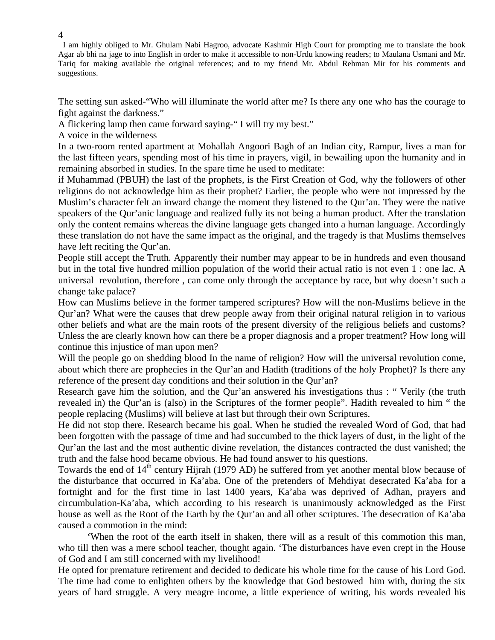I am highly obliged to Mr. Ghulam Nabi Hagroo, advocate Kashmir High Court for prompting me to translate the book Agar ab bhi na jage to into English in order to make it accessible to non-Urdu knowing readers; to Maulana Usmani and Mr. Tariq for making available the original references; and to my friend Mr. Abdul Rehman Mir for his comments and suggestions.

The setting sun asked-"Who will illuminate the world after me? Is there any one who has the courage to fight against the darkness."

A flickering lamp then came forward saying-" I will try my best."

A voice in the wilderness

In a two-room rented apartment at Mohallah Angoori Bagh of an Indian city, Rampur, lives a man for the last fifteen years, spending most of his time in prayers, vigil, in bewailing upon the humanity and in remaining absorbed in studies. In the spare time he used to meditate:

if Muhammad (PBUH) the last of the prophets, is the First Creation of God, why the followers of other religions do not acknowledge him as their prophet? Earlier, the people who were not impressed by the Muslim's character felt an inward change the moment they listened to the Qur'an. They were the native speakers of the Qur'anic language and realized fully its not being a human product. After the translation only the content remains whereas the divine language gets changed into a human language. Accordingly these translation do not have the same impact as the original, and the tragedy is that Muslims themselves have left reciting the Qur'an.

People still accept the Truth. Apparently their number may appear to be in hundreds and even thousand but in the total five hundred million population of the world their actual ratio is not even 1 : one lac. A universal revolution, therefore , can come only through the acceptance by race, but why doesn't such a change take palace?

How can Muslims believe in the former tampered scriptures? How will the non-Muslims believe in the Qur'an? What were the causes that drew people away from their original natural religion in to various other beliefs and what are the main roots of the present diversity of the religious beliefs and customs? Unless the are clearly known how can there be a proper diagnosis and a proper treatment? How long will continue this injustice of man upon men?

Will the people go on shedding blood In the name of religion? How will the universal revolution come, about which there are prophecies in the Qur'an and Hadith (traditions of the holy Prophet)? Is there any reference of the present day conditions and their solution in the Qur'an?

Research gave him the solution, and the Qur'an answered his investigations thus : " Verily (the truth revealed in) the Qur'an is (also) in the Scriptures of the former people". Hadith revealed to him " the people replacing (Muslims) will believe at last but through their own Scriptures.

He did not stop there. Research became his goal. When he studied the revealed Word of God, that had been forgotten with the passage of time and had succumbed to the thick layers of dust, in the light of the Qur'an the last and the most authentic divine revelation, the distances contracted the dust vanished; the truth and the false hood became obvious. He had found answer to his questions.

Towards the end of 14<sup>th</sup> century Hijrah (1979 AD) he suffered from yet another mental blow because of the disturbance that occurred in Ka'aba. One of the pretenders of Mehdiyat desecrated Ka'aba for a fortnight and for the first time in last 1400 years, Ka'aba was deprived of Adhan, prayers and circumbulation-Ka'aba, which according to his research is unanimously acknowledged as the First house as well as the Root of the Earth by the Qur'an and all other scriptures. The desecration of Ka'aba caused a commotion in the mind:

 'When the root of the earth itself in shaken, there will as a result of this commotion this man, who till then was a mere school teacher, thought again. 'The disturbances have even crept in the House of God and I am still concerned with my livelihood!

He opted for premature retirement and decided to dedicate his whole time for the cause of his Lord God. The time had come to enlighten others by the knowledge that God bestowed him with, during the six years of hard struggle. A very meagre income, a little experience of writing, his words revealed his

4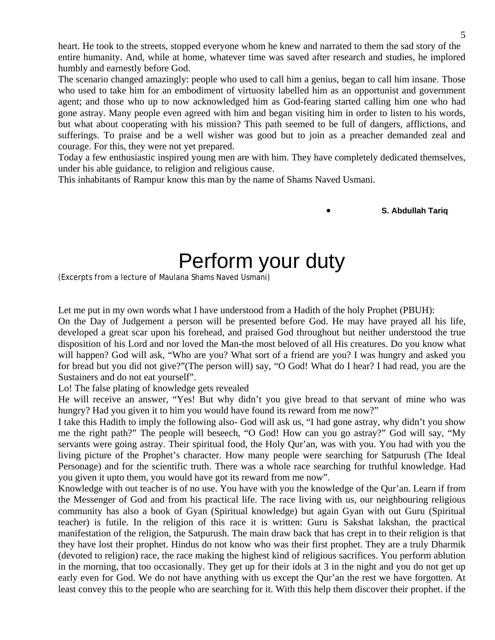heart. He took to the streets, stopped everyone whom he knew and narrated to them the sad story of the entire humanity. And, while at home, whatever time was saved after research and studies, he implored humbly and earnestly before God.

The scenario changed amazingly: people who used to call him a genius, began to call him insane. Those who used to take him for an embodiment of virtuosity labelled him as an opportunist and government agent; and those who up to now acknowledged him as God-fearing started calling him one who had gone astray. Many people even agreed with him and began visiting him in order to listen to his words, but what about cooperating with his mission? This path seemed to be full of dangers, afflictions, and sufferings. To praise and be a well wisher was good but to join as a preacher demanded zeal and courage. For this, they were not yet prepared.

Today a few enthusiastic inspired young men are with him. They have completely dedicated themselves, under his able guidance, to religion and religious cause.

This inhabitants of Rampur know this man by the name of Shams Naved Usmani.

• **S. Abdullah Tariq** 

# Perform your duty

(Excerpts from a lecture of Maulana Shams Naved Usmani)

Let me put in my own words what I have understood from a Hadith of the holy Prophet (PBUH):

On the Day of Judgement a person will be presented before God. He may have prayed all his life, developed a great scar upon his forehead, and praised God throughout but neither understood the true disposition of his Lord and nor loved the Man-the most beloved of all His creatures. Do you know what will happen? God will ask, "Who are you? What sort of a friend are you? I was hungry and asked you for bread but you did not give?"(The person will) say, "O God! What do I hear? I had read, you are the Sustainers and do not eat yourself".

Lo! The false plating of knowledge gets revealed

He will receive an answer, "Yes! But why didn't you give bread to that servant of mine who was hungry? Had you given it to him you would have found its reward from me now?"

I take this Hadith to imply the following also- God will ask us, "I had gone astray, why didn't you show me the right path?" The people will beseech, "O God! How can you go astray?" God will say, "My servants were going astray. Their spiritual food, the Holy Qur'an, was with you. You had with you the living picture of the Prophet's character. How many people were searching for Satpurush (The Ideal Personage) and for the scientific truth. There was a whole race searching for truthful knowledge. Had you given it upto them, you would have got its reward from me now".

Knowledge with out teacher is of no use. You have with you the knowledge of the Qur'an. Learn if from the Messenger of God and from his practical life. The race living with us, our neighbouring religious community has also a book of Gyan (Spiritual knowledge) but again Gyan with out Guru (Spiritual teacher) is futile. In the religion of this race it is written: Guru is Sakshat lakshan, the practical manifestation of the religion, the Satpurush. The main draw back that has crept in to their religion is that they have lost their prophet. Hindus do not know who was their first prophet. They are a truly Dharmik (devoted to religion) race, the race making the highest kind of religious sacrifices. You perform ablution in the morning, that too occasionally. They get up for their idols at 3 in the night and you do not get up early even for God. We do not have anything with us except the Qur'an the rest we have forgotten. At least convey this to the people who are searching for it. With this help them discover their prophet. if the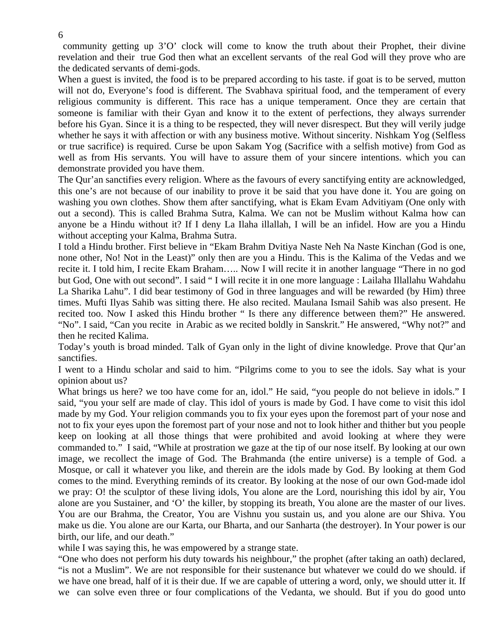community getting up 3'O' clock will come to know the truth about their Prophet, their divine revelation and their true God then what an excellent servants of the real God will they prove who are the dedicated servants of demi-gods.

When a guest is invited, the food is to be prepared according to his taste. if goat is to be served, mutton will not do, Everyone's food is different. The Svabhava spiritual food, and the temperament of every religious community is different. This race has a unique temperament. Once they are certain that someone is familiar with their Gyan and know it to the extent of perfections, they always surrender before his Gyan. Since it is a thing to be respected, they will never disrespect. But they will verily judge whether he says it with affection or with any business motive. Without sincerity. Nishkam Yog (Selfless or true sacrifice) is required. Curse be upon Sakam Yog (Sacrifice with a selfish motive) from God as well as from His servants. You will have to assure them of your sincere intentions. which you can demonstrate provided you have them.

The Qur'an sanctifies every religion. Where as the favours of every sanctifying entity are acknowledged, this one's are not because of our inability to prove it be said that you have done it. You are going on washing you own clothes. Show them after sanctifying, what is Ekam Evam Advitiyam (One only with out a second). This is called Brahma Sutra, Kalma. We can not be Muslim without Kalma how can anyone be a Hindu without it? If I deny La Ilaha illallah, I will be an infidel. How are you a Hindu without accepting your Kalma, Brahma Sutra.

I told a Hindu brother. First believe in "Ekam Brahm Dvitiya Naste Neh Na Naste Kinchan (God is one, none other, No! Not in the Least)" only then are you a Hindu. This is the Kalima of the Vedas and we recite it. I told him, I recite Ekam Braham….. Now I will recite it in another language "There in no god but God, One with out second". I said " I will recite it in one more language : Lailaha Illallahu Wahdahu La Sharika Lahu". I did bear testimony of God in three languages and will be rewarded (by Him) three times. Mufti Ilyas Sahib was sitting there. He also recited. Maulana Ismail Sahib was also present. He recited too. Now I asked this Hindu brother " Is there any difference between them?" He answered. "No". I said, "Can you recite in Arabic as we recited boldly in Sanskrit." He answered, "Why not?" and then he recited Kalima.

Today's youth is broad minded. Talk of Gyan only in the light of divine knowledge. Prove that Qur'an sanctifies.

I went to a Hindu scholar and said to him. "Pilgrims come to you to see the idols. Say what is your opinion about us?

What brings us here? we too have come for an, idol." He said, "you people do not believe in idols." I said, "you your self are made of clay. This idol of yours is made by God. I have come to visit this idol made by my God. Your religion commands you to fix your eyes upon the foremost part of your nose and not to fix your eyes upon the foremost part of your nose and not to look hither and thither but you people keep on looking at all those things that were prohibited and avoid looking at where they were commanded to." I said, "While at prostration we gaze at the tip of our nose itself. By looking at our own image, we recollect the image of God. The Brahmanda (the entire universe) is a temple of God. a Mosque, or call it whatever you like, and therein are the idols made by God. By looking at them God comes to the mind. Everything reminds of its creator. By looking at the nose of our own God-made idol we pray: O! the sculptor of these living idols, You alone are the Lord, nourishing this idol by air, You alone are you Sustainer, and 'O' the killer, by stopping its breath, You alone are the master of our lives. You are our Brahma, the Creator, You are Vishnu you sustain us, and you alone are our Shiva. You make us die. You alone are our Karta, our Bharta, and our Sanharta (the destroyer). In Your power is our birth, our life, and our death."

while I was saying this, he was empowered by a strange state.

"One who does not perform his duty towards his neighbour," the prophet (after taking an oath) declared, "is not a Muslim". We are not responsible for their sustenance but whatever we could do we should. if we have one bread, half of it is their due. If we are capable of uttering a word, only, we should utter it. If we can solve even three or four complications of the Vedanta, we should. But if you do good unto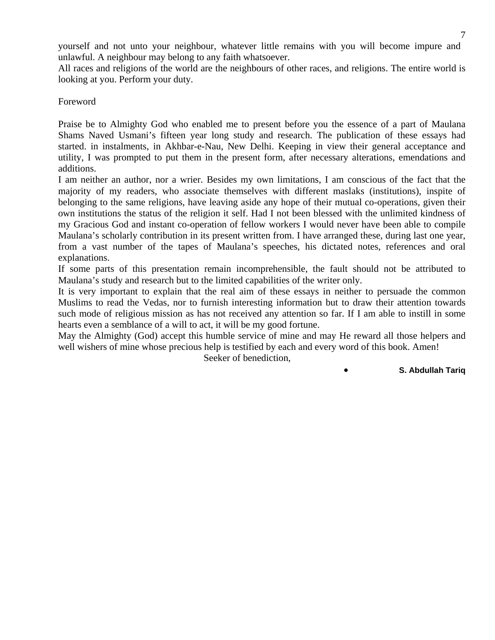yourself and not unto your neighbour, whatever little remains with you will become impure and unlawful. A neighbour may belong to any faith whatsoever.

All races and religions of the world are the neighbours of other races, and religions. The entire world is looking at you. Perform your duty.

Foreword

Praise be to Almighty God who enabled me to present before you the essence of a part of Maulana Shams Naved Usmani's fifteen year long study and research. The publication of these essays had started. in instalments, in Akhbar-e-Nau, New Delhi. Keeping in view their general acceptance and utility, I was prompted to put them in the present form, after necessary alterations, emendations and additions.

I am neither an author, nor a wrier. Besides my own limitations, I am conscious of the fact that the majority of my readers, who associate themselves with different maslaks (institutions), inspite of belonging to the same religions, have leaving aside any hope of their mutual co-operations, given their own institutions the status of the religion it self. Had I not been blessed with the unlimited kindness of my Gracious God and instant co-operation of fellow workers I would never have been able to compile Maulana's scholarly contribution in its present written from. I have arranged these, during last one year, from a vast number of the tapes of Maulana's speeches, his dictated notes, references and oral explanations.

If some parts of this presentation remain incomprehensible, the fault should not be attributed to Maulana's study and research but to the limited capabilities of the writer only.

It is very important to explain that the real aim of these essays in neither to persuade the common Muslims to read the Vedas, nor to furnish interesting information but to draw their attention towards such mode of religious mission as has not received any attention so far. If I am able to instill in some hearts even a semblance of a will to act, it will be my good fortune.

May the Almighty (God) accept this humble service of mine and may He reward all those helpers and well wishers of mine whose precious help is testified by each and every word of this book. Amen!

Seeker of benediction,

• **S. Abdullah Tariq**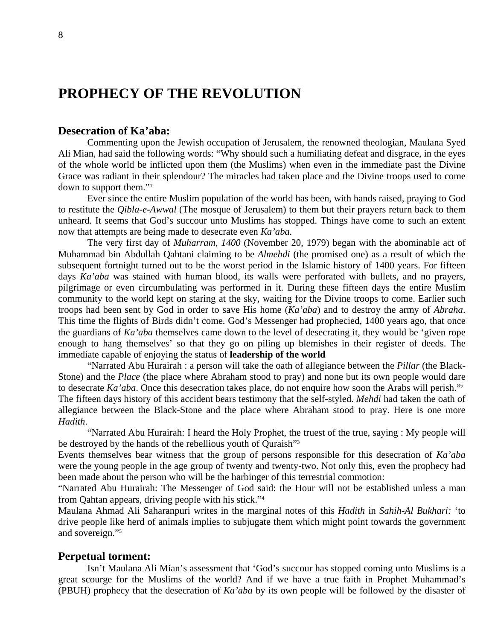# **PROPHECY OF THE REVOLUTION**

## **Desecration of Ka'aba:**

Commenting upon the Jewish occupation of Jerusalem, the renowned theologian, Maulana Syed Ali Mian, had said the following words: "Why should such a humiliating defeat and disgrace, in the eyes of the whole world be inflicted upon them (the Muslims) when even in the immediate past the Divine Grace was radiant in their splendour? The miracles had taken place and the Divine troops used to come down to support them."1

Ever since the entire Muslim population of the world has been, with hands raised, praying to God to restitute the *Qibla-e-Awwal* (The mosque of Jerusalem) to them but their prayers return back to them unheard. It seems that God's succour unto Muslims has stopped. Things have come to such an extent now that attempts are being made to desecrate even *Ka'aba.*

The very first day of *Muharram, 1400* (November 20, 1979) began with the abominable act of Muhammad bin Abdullah Qahtani claiming to be *Almehdi* (the promised one) as a result of which the subsequent fortnight turned out to be the worst period in the Islamic history of 1400 years. For fifteen days *Ka'aba* was stained with human blood, its walls were perforated with bullets, and no prayers, pilgrimage or even circumbulating was performed in it. During these fifteen days the entire Muslim community to the world kept on staring at the sky, waiting for the Divine troops to come. Earlier such troops had been sent by God in order to save His home (*Ka'aba*) and to destroy the army of *Abraha*. This time the flights of Birds didn't come. God's Messenger had prophecied, 1400 years ago, that once the guardians of *Ka'aba* themselves came down to the level of desecrating it, they would be 'given rope enough to hang themselves' so that they go on piling up blemishes in their register of deeds. The immediate capable of enjoying the status of **leadership of the world** 

"Narrated Abu Hurairah : a person will take the oath of allegiance between the *Pillar* (the Black-Stone) and the *Place* (the place where Abraham stood to pray) and none but its own people would dare to desecrate *Ka'aba*. Once this desecration takes place, do not enquire how soon the Arabs will perish."2 The fifteen days history of this accident bears testimony that the self-styled. *Mehdi* had taken the oath of allegiance between the Black-Stone and the place where Abraham stood to pray. Here is one more *Hadith*.

 "Narrated Abu Hurairah: I heard the Holy Prophet, the truest of the true, saying : My people will be destroyed by the hands of the rebellious youth of Quraish"3

Events themselves bear witness that the group of persons responsible for this desecration of *Ka'aba*  were the young people in the age group of twenty and twenty-two. Not only this, even the prophecy had been made about the person who will be the harbinger of this terrestrial commotion:

"Narrated Abu Hurairah: The Messenger of God said: the Hour will not be established unless a man from Qahtan appears, driving people with his stick."4

Maulana Ahmad Ali Saharanpuri writes in the marginal notes of this *Hadith* in *Sahih-Al Bukhari:* 'to drive people like herd of animals implies to subjugate them which might point towards the government and sovereign."5

## **Perpetual torment:**

Isn't Maulana Ali Mian's assessment that 'God's succour has stopped coming unto Muslims is a great scourge for the Muslims of the world? And if we have a true faith in Prophet Muhammad's (PBUH) prophecy that the desecration of *Ka'aba* by its own people will be followed by the disaster of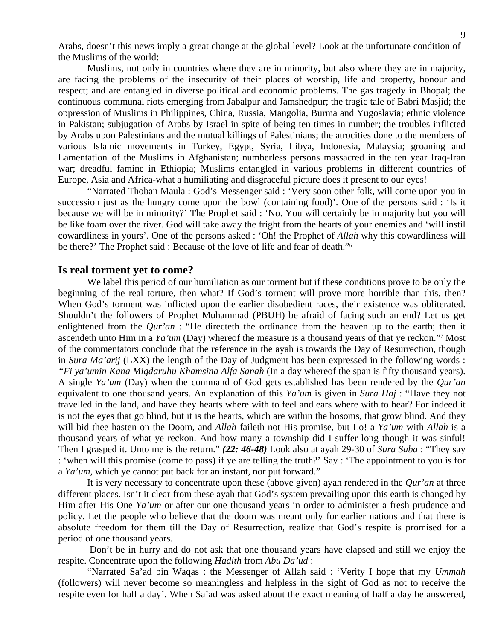Arabs, doesn't this news imply a great change at the global level? Look at the unfortunate condition of the Muslims of the world:

 Muslims, not only in countries where they are in minority, but also where they are in majority, are facing the problems of the insecurity of their places of worship, life and property, honour and respect; and are entangled in diverse political and economic problems. The gas tragedy in Bhopal; the continuous communal riots emerging from Jabalpur and Jamshedpur; the tragic tale of Babri Masjid; the oppression of Muslims in Philippines, China, Russia, Mangolia, Burma and Yugoslavia; ethnic violence in Pakistan; subjugation of Arabs by Israel in spite of being ten times in number; the troubles inflicted by Arabs upon Palestinians and the mutual killings of Palestinians; the atrocities done to the members of various Islamic movements in Turkey, Egypt, Syria, Libya, Indonesia, Malaysia; groaning and Lamentation of the Muslims in Afghanistan; numberless persons massacred in the ten year Iraq-Iran war; dreadful famine in Ethiopia; Muslims entangled in various problems in different countries of Europe, Asia and Africa-what a humiliating and disgraceful picture does it present to our eyes!

 "Narrated Thoban Maula : God's Messenger said : 'Very soon other folk, will come upon you in succession just as the hungry come upon the bowl (containing food)'. One of the persons said : 'Is it because we will be in minority?' The Prophet said : 'No. You will certainly be in majority but you will be like foam over the river. God will take away the fright from the hearts of your enemies and 'will instil cowardliness in yours'. One of the persons asked : 'Oh! the Prophet of *Allah* why this cowardliness will be there?' The Prophet said : Because of the love of life and fear of death."6

#### **Is real torment yet to come?**

We label this period of our humiliation as our torment but if these conditions prove to be only the beginning of the real torture, then what? If God's torment will prove more horrible than this, then? When God's torment was inflicted upon the earlier disobedient races, their existence was obliterated. Shouldn't the followers of Prophet Muhammad (PBUH) be afraid of facing such an end? Let us get enlightened from the *Qur'an* : "He directeth the ordinance from the heaven up to the earth; then it ascendeth unto Him in a *Ya'um* (Day) whereof the measure is a thousand years of that ye reckon."7 Most of the commentators conclude that the reference in the ayah is towards the Day of Resurrection, though in *Sura Ma'arij* (LXX) the length of the Day of Judgment has been expressed in the following words : *"Fi ya'umin Kana Miqdaruhu Khamsina Alfa Sanah* (In a day whereof the span is fifty thousand years). A single *Ya'um* (Day) when the command of God gets established has been rendered by the *Qur'an*  equivalent to one thousand years. An explanation of this *Ya'um* is given in *Sura Haj* : "Have they not travelled in the land, and have they hearts where with to feel and ears where with to hear? For indeed it is not the eyes that go blind, but it is the hearts, which are within the bosoms, that grow blind. And they will bid thee hasten on the Doom, and *Allah* faileth not His promise, but Lo! a *Ya'um* with *Allah* is a thousand years of what ye reckon. And how many a township did I suffer long though it was sinful! Then I grasped it. Unto me is the return." *(22: 46-48)* Look also at ayah 29-30 of *Sura Saba* : "They say : 'when will this promise (come to pass) if ye are telling the truth?' Say : 'The appointment to you is for a *Ya'um,* which ye cannot put back for an instant, nor put forward."

 It is very necessary to concentrate upon these (above given) ayah rendered in the *Qur'an* at three different places. Isn't it clear from these ayah that God's system prevailing upon this earth is changed by Him after His One *Ya'um* or after our one thousand years in order to administer a fresh prudence and policy. Let the people who believe that the doom was meant only for earlier nations and that there is absolute freedom for them till the Day of Resurrection, realize that God's respite is promised for a period of one thousand years.

 Don't be in hurry and do not ask that one thousand years have elapsed and still we enjoy the respite. Concentrate upon the following *Hadith* from *Abu Da'ud* :

 "Narrated Sa'ad bin Waqas : the Messenger of Allah said : 'Verity I hope that my *Ummah*  (followers) will never become so meaningless and helpless in the sight of God as not to receive the respite even for half a day'. When Sa'ad was asked about the exact meaning of half a day he answered,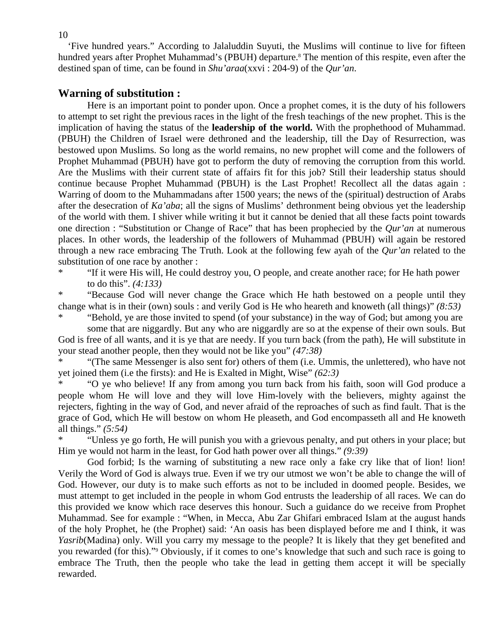'Five hundred years." According to Jalaluddin Suyuti, the Muslims will continue to live for fifteen hundred years after Prophet Muhammad's (PBUH) departure.<sup>8</sup> The mention of this respite, even after the destined span of time, can be found in *Shu'araa*(xxvi : 204-9) of the *Qur'an*.

# **Warning of substitution :**

Here is an important point to ponder upon. Once a prophet comes, it is the duty of his followers to attempt to set right the previous races in the light of the fresh teachings of the new prophet. This is the implication of having the status of the **leadership of the world.** With the prophethood of Muhammad. (PBUH) the Children of Israel were dethroned and the leadership, till the Day of Resurrection, was bestowed upon Muslims. So long as the world remains, no new prophet will come and the followers of Prophet Muhammad (PBUH) have got to perform the duty of removing the corruption from this world. Are the Muslims with their current state of affairs fit for this job? Still their leadership status should continue because Prophet Muhammad (PBUH) is the Last Prophet! Recollect all the datas again : Warring of doom to the Muhammadans after 1500 years; the news of the (spiritual) destruction of Arabs after the desecration of *Ka'aba*; all the signs of Muslims' dethronment being obvious yet the leadership of the world with them. I shiver while writing it but it cannot be denied that all these facts point towards one direction : "Substitution or Change of Race" that has been prophecied by the *Qur'an* at numerous places. In other words, the leadership of the followers of Muhammad (PBUH) will again be restored through a new race embracing The Truth. Look at the following few ayah of the *Qur'an* related to the substitution of one race by another :

\* "If it were His will, He could destroy you, O people, and create another race; for He hath power to do this". *(4:133)* 

\* "Because God will never change the Grace which He hath bestowed on a people until they change what is in their (own) souls : and verily God is He who heareth and knoweth (all things)" *(8:53)* 

\* "Behold, ye are those invited to spend (of your substance) in the way of God; but among you are some that are niggardly. But any who are niggardly are so at the expense of their own souls. But

God is free of all wants, and it is ye that are needy. If you turn back (from the path), He will substitute in your stead another people, then they would not be like you" *(47:38)* 

\* "(The same Messenger is also sent for) others of them (i.e. Ummis, the unlettered), who have not yet joined them (i.e the firsts): and He is Exalted in Might, Wise" *(62:3)*

\* "O ye who believe! If any from among you turn back from his faith, soon will God produce a people whom He will love and they will love Him-lovely with the believers, mighty against the rejecters, fighting in the way of God, and never afraid of the reproaches of such as find fault. That is the grace of God, which He will bestow on whom He pleaseth, and God encompasseth all and He knoweth all things." *(5:54)*

\* "Unless ye go forth, He will punish you with a grievous penalty, and put others in your place; but Him ye would not harm in the least, for God hath power over all things." *(9:39)* 

God forbid; Is the warning of substituting a new race only a fake cry like that of lion! lion! Verily the Word of God is always true. Even if we try our utmost we won't be able to change the will of God. However, our duty is to make such efforts as not to be included in doomed people. Besides, we must attempt to get included in the people in whom God entrusts the leadership of all races. We can do this provided we know which race deserves this honour. Such a guidance do we receive from Prophet Muhammad. See for example : "When, in Mecca, Abu Zar Ghifari embraced Islam at the august hands of the holy Prophet, he (the Prophet) said: 'An oasis has been displayed before me and I think, it was *Yasrib*(Madina) only. Will you carry my message to the people? It is likely that they get benefited and you rewarded (for this)."9 Obviously, if it comes to one's knowledge that such and such race is going to embrace The Truth, then the people who take the lead in getting them accept it will be specially rewarded.

10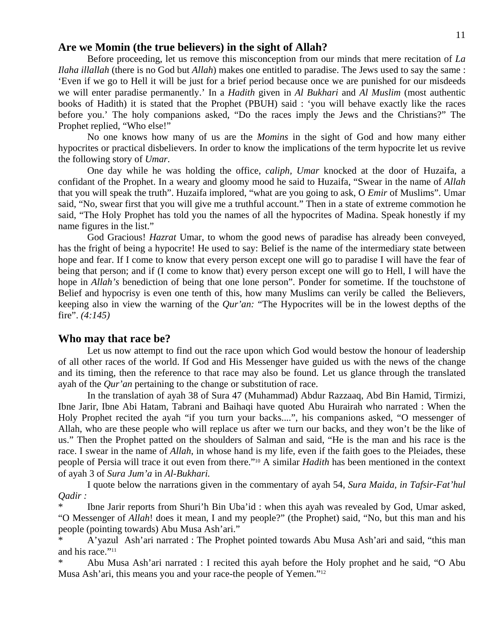#### 11

## **Are we Momin (the true believers) in the sight of Allah?**

Before proceeding, let us remove this misconception from our minds that mere recitation of *La Ilaha illallah* (there is no God but *Allah*) makes one entitled to paradise. The Jews used to say the same : 'Even if we go to Hell it will be just for a brief period because once we are punished for our misdeeds we will enter paradise permanently.' In a *Hadith* given in *Al Bukhari* and *Al Muslim* (most authentic books of Hadith) it is stated that the Prophet (PBUH) said : 'you will behave exactly like the races before you.' The holy companions asked, "Do the races imply the Jews and the Christians?" The Prophet replied, "Who else!"

 No one knows how many of us are the *Momins* in the sight of God and how many either hypocrites or practical disbelievers. In order to know the implications of the term hypocrite let us revive the following story of *Umar*.

 One day while he was holding the office, *caliph, Umar* knocked at the door of Huzaifa, a confidant of the Prophet. In a weary and gloomy mood he said to Huzaifa, "Swear in the name of *Allah*  that you will speak the truth". Huzaifa implored, "what are you going to ask, O *Emir* of Muslims". Umar said, "No, swear first that you will give me a truthful account." Then in a state of extreme commotion he said, "The Holy Prophet has told you the names of all the hypocrites of Madina. Speak honestly if my name figures in the list."

 God Gracious! *Hazrat* Umar, to whom the good news of paradise has already been conveyed, has the fright of being a hypocrite! He used to say: Belief is the name of the intermediary state between hope and fear. If I come to know that every person except one will go to paradise I will have the fear of being that person; and if (I come to know that) every person except one will go to Hell, I will have the hope in *Allah's* benediction of being that one lone person". Ponder for sometime. If the touchstone of Belief and hypocrisy is even one tenth of this, how many Muslims can verily be called the Believers, keeping also in view the warning of the *Qur'an:* "The Hypocrites will be in the lowest depths of the fire". *(4:145)* 

#### **Who may that race be?**

 Let us now attempt to find out the race upon which God would bestow the honour of leadership of all other races of the world. If God and His Messenger have guided us with the news of the change and its timing, then the reference to that race may also be found. Let us glance through the translated ayah of the *Qur'an* pertaining to the change or substitution of race.

 In the translation of ayah 38 of Sura 47 (Muhammad) Abdur Razzaaq, Abd Bin Hamid, Tirmizi, Ibne Jarir, Ibne Abi Hatam, Tabrani and Baihaqi have quoted Abu Hurairah who narrated : When the Holy Prophet recited the ayah "if you turn your backs....", his companions asked, "O messenger of Allah, who are these people who will replace us after we turn our backs, and they won't be the like of us." Then the Prophet patted on the shoulders of Salman and said, "He is the man and his race is the race. I swear in the name of *Allah*, in whose hand is my life, even if the faith goes to the Pleiades, these people of Persia will trace it out even from there."10 A similar *Hadith* has been mentioned in the context of ayah 3 of *Sura Jum'a* in *Al-Bukhari.*

 I quote below the narrations given in the commentary of ayah 54, *Sura Maida, in Tafsir-Fat'hul Qadir :* 

Ibne Jarir reports from Shuri'h Bin Uba'id : when this ayah was revealed by God, Umar asked, "O Messenger of *Allah*! does it mean, I and my people?" (the Prophet) said, "No, but this man and his people (pointing towards) Abu Musa Ash'ari."

A'yazul Ash'ari narrated : The Prophet pointed towards Abu Musa Ash'ari and said, "this man and his race."<sup>11</sup>

Abu Musa Ash'ari narrated : I recited this ayah before the Holy prophet and he said, "O Abu Musa Ash'ari, this means you and your race-the people of Yemen."12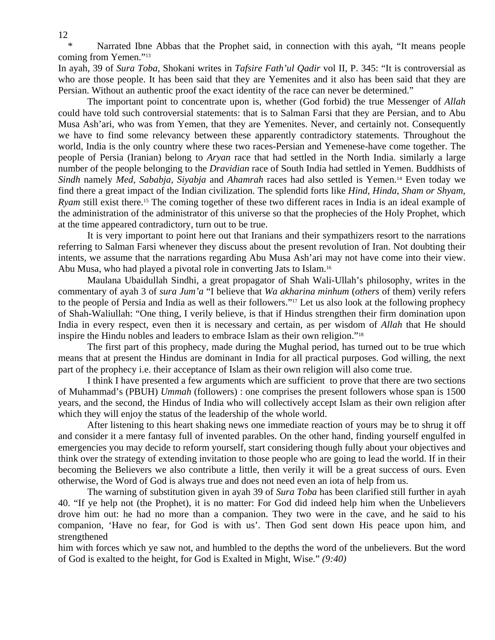Narrated Ibne Abbas that the Prophet said, in connection with this ayah, "It means people coming from Yemen."13

In ayah, 39 of *Sura Toba*, Shokani writes in *Tafsire Fath'ul Qadir* vol II, P. 345: "It is controversial as who are those people. It has been said that they are Yemenites and it also has been said that they are Persian. Without an authentic proof the exact identity of the race can never be determined."

 The important point to concentrate upon is, whether (God forbid) the true Messenger of *Allah*  could have told such controversial statements: that is to Salman Farsi that they are Persian, and to Abu Musa Ash'ari, who was from Yemen, that they are Yemenites. Never, and certainly not. Consequently we have to find some relevancy between these apparently contradictory statements. Throughout the world, India is the only country where these two races-Persian and Yemenese-have come together. The people of Persia (Iranian) belong to *Aryan* race that had settled in the North India. similarly a large number of the people belonging to the *Dravidian* race of South India had settled in Yemen. Buddhists of *Sindh* namely *Med*, *Sababja, Siyabja* and *Ahamrah* races had also settled is Yemen.14 Even today we find there a great impact of the Indian civilization. The splendid forts like *Hind, Hinda*, *Sham or Shyam, Ryam* still exist there.<sup>15</sup> The coming together of these two different races in India is an ideal example of the administration of the administrator of this universe so that the prophecies of the Holy Prophet, which at the time appeared contradictory, turn out to be true.

 It is very important to point here out that Iranians and their sympathizers resort to the narrations referring to Salman Farsi whenever they discuss about the present revolution of Iran. Not doubting their intents, we assume that the narrations regarding Abu Musa Ash'ari may not have come into their view. Abu Musa, who had played a pivotal role in converting Jats to Islam.16

 Maulana Ubaidullah Sindhi, a great propagator of Shah Wali-Ullah's philosophy, writes in the commentary of ayah 3 of *sura Jum'a* "I believe that *Wa akharina minhum* (*others* of them) verily refers to the people of Persia and India as well as their followers."17 Let us also look at the following prophecy of Shah-Waliullah: "One thing, I verily believe, is that if Hindus strengthen their firm domination upon India in every respect, even then it is necessary and certain, as per wisdom of *Allah* that He should inspire the Hindu nobles and leaders to embrace Islam as their own religion."18

 The first part of this prophecy, made during the Mughal period, has turned out to be true which means that at present the Hindus are dominant in India for all practical purposes. God willing, the next part of the prophecy i.e. their acceptance of Islam as their own religion will also come true.

 I think I have presented a few arguments which are sufficient to prove that there are two sections of Muhammad's (PBUH) *Ummah* (followers) : one comprises the present followers whose span is 1500 years, and the second, the Hindus of India who will collectively accept Islam as their own religion after which they will enjoy the status of the leadership of the whole world.

 After listening to this heart shaking news one immediate reaction of yours may be to shrug it off and consider it a mere fantasy full of invented parables. On the other hand, finding yourself engulfed in emergencies you may decide to reform yourself, start considering though fully about your objectives and think over the strategy of extending invitation to those people who are going to lead the world. If in their becoming the Believers we also contribute a little, then verily it will be a great success of ours. Even otherwise, the Word of God is always true and does not need even an iota of help from us.

 The warning of substitution given in ayah 39 of *Sura Toba* has been clarified still further in ayah 40. "If ye help not (the Prophet), it is no matter: For God did indeed help him when the Unbelievers drove him out: he had no more than a companion. They two were in the cave, and he said to his companion, 'Have no fear, for God is with us'. Then God sent down His peace upon him, and strengthened

him with forces which ye saw not, and humbled to the depths the word of the unbelievers. But the word of God is exalted to the height, for God is Exalted in Might, Wise." *(9:40)*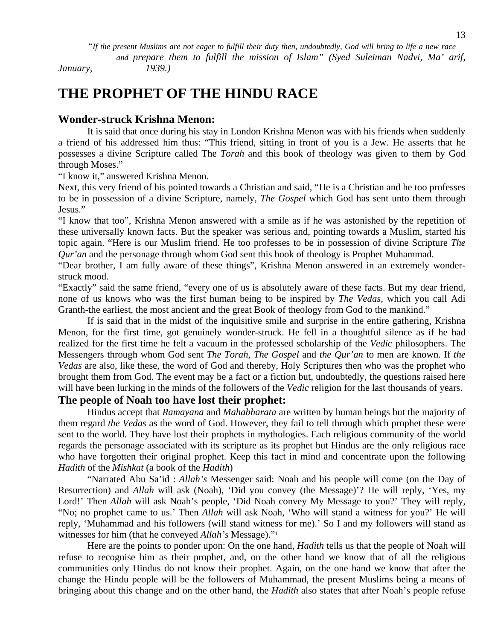*"If the present Muslims are not eager to fulfill their duty then, undoubtedly, God will bring to life a new race* 

 *and prepare them to fulfill the mission of Islam" (Syed Suleiman Nadvi, Ma' arif, January, 1939.)* 

**THE PROPHET OF THE HINDU RACE** 

# **Wonder-struck Krishna Menon:**

It is said that once during his stay in London Krishna Menon was with his friends when suddenly a friend of his addressed him thus: "This friend, sitting in front of you is a Jew. He asserts that he possesses a divine Scripture called The *Torah* and this book of theology was given to them by God through Moses."

"I know it," answered Krishna Menon.

Next, this very friend of his pointed towards a Christian and said, "He is a Christian and he too professes to be in possession of a divine Scripture, namely, *The Gospel* which God has sent unto them through Jesus."

"I know that too", Krishna Menon answered with a smile as if he was astonished by the repetition of these universally known facts. But the speaker was serious and, pointing towards a Muslim, started his topic again. "Here is our Muslim friend. He too professes to be in possession of divine Scripture *The Qur'an* and the personage through whom God sent this book of theology is Prophet Muhammad.

"Dear brother, I am fully aware of these things", Krishna Menon answered in an extremely wonderstruck mood.

"Exactly" said the same friend, "every one of us is absolutely aware of these facts. But my dear friend, none of us knows who was the first human being to be inspired by *The Vedas*, which you call Adi Granth-the earliest, the most ancient and the great Book of theology from God to the mankind."

 If is said that in the midst of the inquisitive smile and surprise in the entire gathering, Krishna Menon, for the first time, got genuinely wonder-struck. He fell in a thoughtful silence as if he had realized for the first time he felt a vacuum in the professed scholarship of the *Vedic* philosophers. The Messengers through whom God sent *The Torah*, *The Gospel* and *the Qur'an* to men are known. If *the Vedas* are also, like these, the word of God and thereby, Holy Scriptures then who was the prophet who brought them from God. The event may be a fact or a fiction but, undoubtedly, the questions raised here will have been lurking in the minds of the followers of the *Vedic* religion for the last thousands of years.

# **The people of Noah too have lost their prophet:**

Hindus accept that *Ramayana* and *Mahabharata* are written by human beings but the majority of them regard *the Vedas* as the word of God. However, they fail to tell through which prophet these were sent to the world. They have lost their prophets in mythologies. Each religious community of the world regards the personage associated with its scripture as its prophet but Hindus are the only religious race who have forgotten their original prophet. Keep this fact in mind and concentrate upon the following *Hadith* of the *Mishkat* (a book of the *Hadith*)

 "Narrated Abu Sa'id : *Allah's* Messenger said: Noah and his people will come (on the Day of Resurrection) and *Allah* will ask (Noah), 'Did you convey (the Message)'? He will reply, 'Yes, my Lord!' Then *Allah* will ask Noah's people, 'Did Noah convey My Message to you?' They will reply, "No; no prophet came to us.' Then *Allah* will ask Noah, 'Who will stand a witness for you?' He will reply, 'Muhammad and his followers (will stand witness for me).' So I and my followers will stand as witnesses for him (that he conveyed *Allah's* Message)."1

 Here are the points to ponder upon: On the one hand, *Hadith* tells us that the people of Noah will refuse to recognise him as their prophet, and, on the other hand we know that of all the religious communities only Hindus do not know their prophet. Again, on the one hand we know that after the change the Hindu people will be the followers of Muhammad, the present Muslims being a means of bringing about this change and on the other hand, the *Hadith* also states that after Noah's people refuse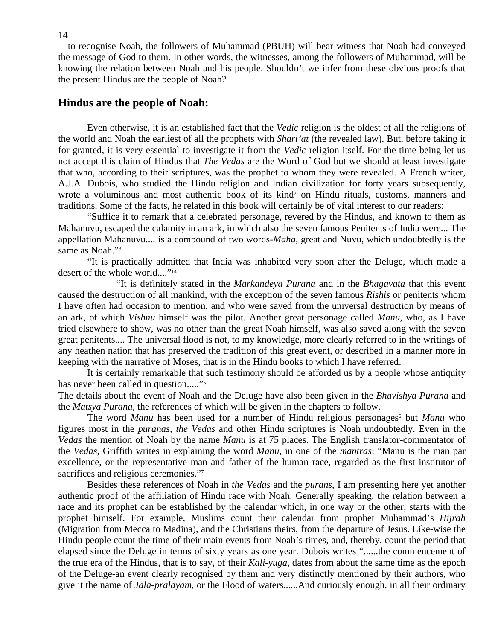to recognise Noah, the followers of Muhammad (PBUH) will bear witness that Noah had conveyed the message of God to them. In other words, the witnesses, among the followers of Muhammad, will be knowing the relation between Noah and his people. Shouldn't we infer from these obvious proofs that the present Hindus are the people of Noah?

## **Hindus are the people of Noah:**

Even otherwise, it is an established fact that the *Vedic* religion is the oldest of all the religions of the world and Noah the earliest of all the prophets with *Shari'at* (the revealed law). But, before taking it for granted, it is very essential to investigate it from the *Vedic* religion itself. For the time being let us not accept this claim of Hindus that *The Vedas* are the Word of God but we should at least investigate that who, according to their scriptures, was the prophet to whom they were revealed. A French writer, A.J.A. Dubois, who studied the Hindu religion and Indian civilization for forty years subsequently, wrote a voluminous and most authentic book of its kind<sup>2</sup> on Hindu rituals, customs, manners and traditions. Some of the facts, he related in this book will certainly be of vital interest to our readers:

 "Suffice it to remark that a celebrated personage, revered by the Hindus, and known to them as Mahanuvu, escaped the calamity in an ark, in which also the seven famous Penitents of India were... The appellation Mahanuvu.... is a compound of two words-*Maha*, great and Nuvu, which undoubtedly is the same as Noah."<sup>3</sup>

 "It is practically admitted that India was inhabited very soon after the Deluge, which made a desert of the whole world...."<sup>14</sup>

 "It is definitely stated in the *Markandeya Purana* and in the *Bhagavata* that this event caused the destruction of all mankind, with the exception of the seven famous *Rishis* or penitents whom I have often had occasion to mention, and who were saved from the universal destruction by means of an ark, of which *Vishnu* himself was the pilot. Another great personage called *Manu*, who, as I have tried elsewhere to show, was no other than the great Noah himself, was also saved along with the seven great penitents.... The universal flood is not, to my knowledge, more clearly referred to in the writings of any heathen nation that has preserved the tradition of this great event, or described in a manner more in keeping with the narrative of Moses, that is in the Hindu books to which I have referred.

 It is certainly remarkable that such testimony should be afforded us by a people whose antiquity has never been called in question....."<sup>5</sup>

The details about the event of Noah and the Deluge have also been given in the *Bhavishya Purana* and the *Matsya Purana*, the references of which will be given in the chapters to follow.

The word *Manu* has been used for a number of Hindu religious personages<sup>6</sup> but *Manu* who figures most in the *puranas*, *the Vedas* and other Hindu scriptures is Noah undoubtedly. Even in the *Vedas* the mention of Noah by the name *Manu* is at 75 places. The English translator-commentator of the *Vedas*, Griffith writes in explaining the word *Manu*, in one of the *mantras*: "Manu is the man par excellence, or the representative man and father of the human race, regarded as the first institutor of sacrifices and religious ceremonies."7

 Besides these references of Noah in *the Vedas* and the *purans*, I am presenting here yet another authentic proof of the affiliation of Hindu race with Noah. Generally speaking, the relation between a race and its prophet can be established by the calendar which, in one way or the other, starts with the prophet himself. For example, Muslims count their calendar from prophet Muhammad's *Hijrah*  (Migration from Mecca to Madina), and the Christians theirs, from the departure of Jesus. Like-wise the Hindu people count the time of their main events from Noah's times, and, thereby, count the period that elapsed since the Deluge in terms of sixty years as one year. Dubois writes "......the commencement of the true era of the Hindus, that is to say, of their *Kali-yuga*, dates from about the same time as the epoch of the Deluge-an event clearly recognised by them and very distinctly mentioned by their authors, who give it the name of *Jala-pralayam*, or the Flood of waters......And curiously enough, in all their ordinary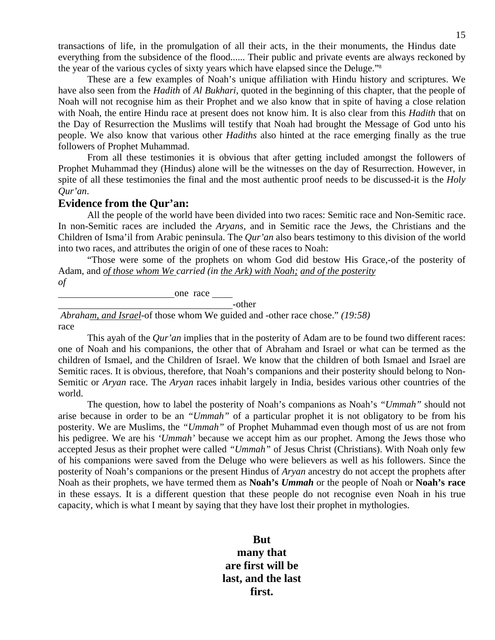transactions of life, in the promulgation of all their acts, in the their monuments, the Hindus date everything from the subsidence of the flood...... Their public and private events are always reckoned by the year of the various cycles of sixty years which have elapsed since the Deluge."8

 These are a few examples of Noah's unique affiliation with Hindu history and scriptures. We have also seen from the *Hadith* of *Al Bukhari*, quoted in the beginning of this chapter, that the people of Noah will not recognise him as their Prophet and we also know that in spite of having a close relation with Noah, the entire Hindu race at present does not know him. It is also clear from this *Hadith* that on the Day of Resurrection the Muslims will testify that Noah had brought the Message of God unto his people. We also know that various other *Hadiths* also hinted at the race emerging finally as the true followers of Prophet Muhammad.

 From all these testimonies it is obvious that after getting included amongst the followers of Prophet Muhammad they (Hindus) alone will be the witnesses on the day of Resurrection. However, in spite of all these testimonies the final and the most authentic proof needs to be discussed-it is the *Holy Qur'an*.

#### **Evidence from the Qur'an:**

All the people of the world have been divided into two races: Semitic race and Non-Semitic race. In non-Semitic races are included the *Aryans,* and in Semitic race the Jews, the Christians and the Children of Isma'il from Arabic peninsula. The *Qur'an* also bears testimony to this division of the world into two races, and attributes the origin of one of these races to Noah:

 "Those were some of the prophets on whom God did bestow His Grace,-of the posterity of Adam, and *of those whom We carried (in the Ark) with Noah; and of the posterity of* 

one race

-other

 *Abraham, and Israel*-of those whom We guided and -other race chose." *(19:58)* race

 This ayah of the *Qur'an* implies that in the posterity of Adam are to be found two different races: one of Noah and his companions, the other that of Abraham and Israel or what can be termed as the children of Ismael, and the Children of Israel. We know that the children of both Ismael and Israel are Semitic races. It is obvious, therefore, that Noah's companions and their posterity should belong to Non-Semitic or *Aryan* race. The *Aryan* races inhabit largely in India, besides various other countries of the world.

 The question, how to label the posterity of Noah's companions as Noah's *"Ummah"* should not arise because in order to be an *"Ummah"* of a particular prophet it is not obligatory to be from his posterity. We are Muslims, the *"Ummah"* of Prophet Muhammad even though most of us are not from his pedigree. We are his *'Ummah'* because we accept him as our prophet. Among the Jews those who accepted Jesus as their prophet were called *"Ummah"* of Jesus Christ (Christians). With Noah only few of his companions were saved from the Deluge who were believers as well as his followers. Since the posterity of Noah's companions or the present Hindus of *Aryan* ancestry do not accept the prophets after Noah as their prophets, we have termed them as **Noah's** *Ummah* or the people of Noah or **Noah's race** in these essays. It is a different question that these people do not recognise even Noah in his true capacity, which is what I meant by saying that they have lost their prophet in mythologies.

> **But many that are first will be last, and the last first.**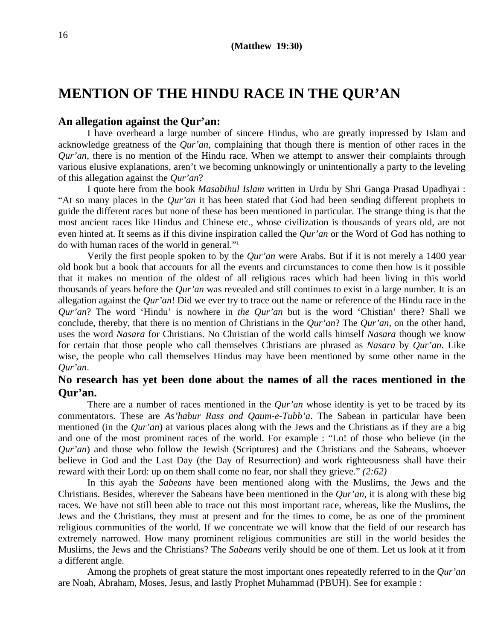# **MENTION OF THE HINDU RACE IN THE QUR'AN**

## **An allegation against the Qur'an:**

I have overheard a large number of sincere Hindus, who are greatly impressed by Islam and acknowledge greatness of the *Qur'an*, complaining that though there is mention of other races in the *Qur'an*, there is no mention of the Hindu race. When we attempt to answer their complaints through various elusive explanations, aren't we becoming unknowingly or unintentionally a party to the leveling of this allegation against the *Qur'an*?

 I quote here from the book *Masabihul Islam* written in Urdu by Shri Ganga Prasad Upadhyai : "At so many places in the *Qur'an* it has been stated that God had been sending different prophets to guide the different races but none of these has been mentioned in particular. The strange thing is that the most ancient races like Hindus and Chinese etc., whose civilization is thousands of years old, are not even hinted at. It seems as if this divine inspiration called the *Qur'an* or the Word of God has nothing to do with human races of the world in general."1

 Verily the first people spoken to by the *Qur'an* were Arabs. But if it is not merely a 1400 year old book but a book that accounts for all the events and circumstances to come then how is it possible that it makes no mention of the oldest of all religious races which had been living in this world thousands of years before the *Qur'an* was revealed and still continues to exist in a large number. It is an allegation against the *Qur'an*! Did we ever try to trace out the name or reference of the Hindu race in the *Qur'an*? The word 'Hindu' is nowhere in *the Qur'an* but is the word 'Chistian' there? Shall we conclude, thereby, that there is no mention of Christians in the *Qur'an*? The *Qur'an*, on the other hand, uses the word *Nasara* for Christians. No Christian of the world calls himself *Nasara* though we know for certain that those people who call themselves Christians are phrased as *Nasara* by *Qur'an*. Like wise, the people who call themselves Hindus may have been mentioned by some other name in the *Qur'an*.

# **No research has yet been done about the names of all the races mentioned in the Qur'an.**

 There are a number of races mentioned in the *Qur'an* whose identity is yet to be traced by its commentators. These are *As'habur Rass and Qaum-e-Tubb'a*. The Sabean in particular have been mentioned (in the *Qur'an*) at various places along with the Jews and the Christians as if they are a big and one of the most prominent races of the world. For example : "Lo! of those who believe (in the *Qur'an*) and those who follow the Jewish (Scriptures) and the Christians and the Sabeans, whoever believe in God and the Last Day (the Day of Resurrection) and work righteousness shall have their reward with their Lord: up on them shall come no fear, nor shall they grieve." *(2:62)* 

 In this ayah the *Sabeans* have been mentioned along with the Muslims, the Jews and the Christians. Besides, wherever the Sabeans have been mentioned in the *Qur'an*, it is along with these big races. We have not still been able to trace out this most important race, whereas, like the Muslims, the Jews and the Christians, they must at present and for the times to come, be as one of the prominent religious communities of the world. If we concentrate we will know that the field of our research has extremely narrowed. How many prominent religious communities are still in the world besides the Muslims, the Jews and the Christians? The *Sabeans* verily should be one of them. Let us look at it from a different angle.

 Among the prophets of great stature the most important ones repeatedly referred to in the *Qur'an*  are Noah, Abraham, Moses, Jesus, and lastly Prophet Muhammad (PBUH). See for example :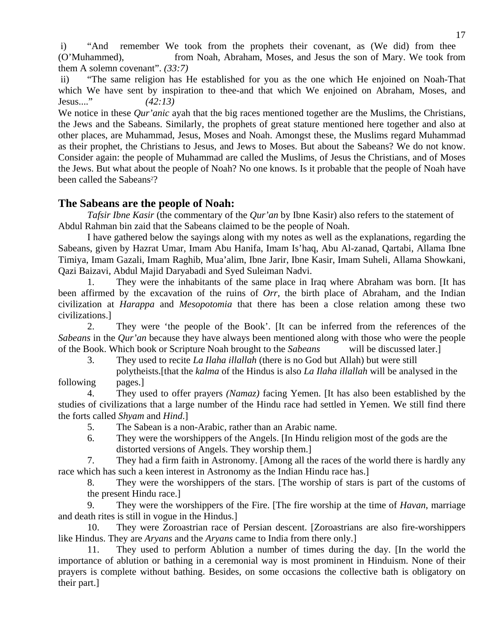i) "And remember We took from the prophets their covenant, as (We did) from thee (O'Muhammed), from Noah, Abraham, Moses, and Jesus the son of Mary. We took from them A solemn covenant". *(33:7)* 

 ii) "The same religion has He established for you as the one which He enjoined on Noah-That which We have sent by inspiration to thee-and that which We enjoined on Abraham, Moses, and Jesus...." *(42:13)* 

We notice in these *Our'anic* ayah that the big races mentioned together are the Muslims, the Christians, the Jews and the Sabeans. Similarly, the prophets of great stature mentioned here together and also at other places, are Muhammad, Jesus, Moses and Noah. Amongst these, the Muslims regard Muhammad as their prophet, the Christians to Jesus, and Jews to Moses. But about the Sabeans? We do not know. Consider again: the people of Muhammad are called the Muslims, of Jesus the Christians, and of Moses the Jews. But what about the people of Noah? No one knows. Is it probable that the people of Noah have been called the Sabeans<sup>2</sup>?

# **The Sabeans are the people of Noah:**

*Tafsir Ibne Kasir* (the commentary of the *Qur'an* by Ibne Kasir) also refers to the statement of Abdul Rahman bin zaid that the Sabeans claimed to be the people of Noah.

 I have gathered below the sayings along with my notes as well as the explanations, regarding the Sabeans, given by Hazrat Umar, Imam Abu Hanifa, Imam Is'haq, Abu Al-zanad, Qartabi, Allama Ibne Timiya, Imam Gazali, Imam Raghib, Mua'alim, Ibne Jarir, Ibne Kasir, Imam Suheli, Allama Showkani, Qazi Baizavi, Abdul Majid Daryabadi and Syed Suleiman Nadvi.

 1. They were the inhabitants of the same place in Iraq where Abraham was born. [It has been affirmed by the excavation of the ruins of *Orr*, the birth place of Abraham, and the Indian civilization at *Harappa* and *Mesopotomia* that there has been a close relation among these two civilizations.]

 2. They were 'the people of the Book'. [It can be inferred from the references of the *Sabeans* in the *Qur'an* because they have always been mentioned along with those who were the people of the Book. Which book or Scripture Noah brought to the *Sabeans* will be discussed later.]

3. They used to recite *La Ilaha illallah* (there is no God but Allah) but were still

 polytheists.[that the *kalma* of the Hindus is also *La Ilaha illallah* will be analysed in the following pages.]

 4. They used to offer prayers *(Namaz)* facing Yemen. [It has also been established by the studies of civilizations that a large number of the Hindu race had settled in Yemen. We still find there the forts called *Shyam* and *Hind*.]

5. The Sabean is a non-Arabic, rather than an Arabic name.

 6. They were the worshippers of the Angels. [In Hindu religion most of the gods are the distorted versions of Angels. They worship them.]

 7. They had a firm faith in Astronomy. [Among all the races of the world there is hardly any race which has such a keen interest in Astronomy as the Indian Hindu race has.]

 8. They were the worshippers of the stars. [The worship of stars is part of the customs of the present Hindu race.]

 9. They were the worshippers of the Fire. [The fire worship at the time of *Havan*, marriage and death rites is still in vogue in the Hindus.]

 10. They were Zoroastrian race of Persian descent. [Zoroastrians are also fire-worshippers like Hindus. They are *Aryans* and the *Aryans* came to India from there only.]

 11. They used to perform Ablution a number of times during the day. [In the world the importance of ablution or bathing in a ceremonial way is most prominent in Hinduism. None of their prayers is complete without bathing. Besides, on some occasions the collective bath is obligatory on their part.]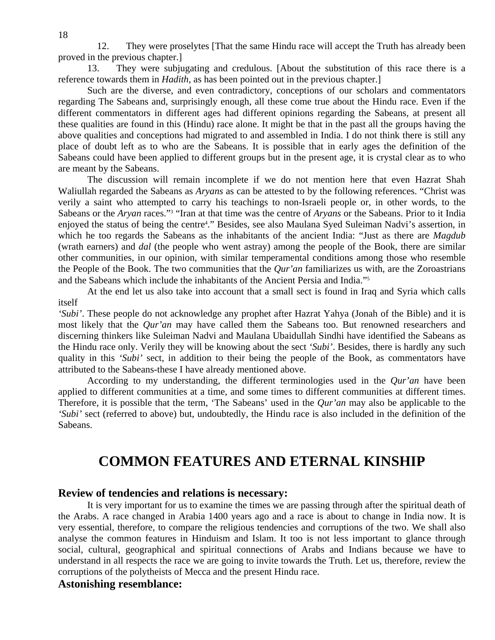12. They were proselytes [That the same Hindu race will accept the Truth has already been proved in the previous chapter.]

 13. They were subjugating and credulous. [About the substitution of this race there is a reference towards them in *Hadith*, as has been pointed out in the previous chapter.]

 Such are the diverse, and even contradictory, conceptions of our scholars and commentators regarding The Sabeans and, surprisingly enough, all these come true about the Hindu race. Even if the different commentators in different ages had different opinions regarding the Sabeans, at present all these qualities are found in this (Hindu) race alone. It might be that in the past all the groups having the above qualities and conceptions had migrated to and assembled in India. I do not think there is still any place of doubt left as to who are the Sabeans. It is possible that in early ages the definition of the Sabeans could have been applied to different groups but in the present age, it is crystal clear as to who are meant by the Sabeans.

 The discussion will remain incomplete if we do not mention here that even Hazrat Shah Waliullah regarded the Sabeans as *Aryans* as can be attested to by the following references. "Christ was verily a saint who attempted to carry his teachings to non-Israeli people or, in other words, to the Sabeans or the *Aryan* races."<sup>3</sup> "Iran at that time was the centre of *Aryans* or the Sabeans. Prior to it India enjoyed the status of being the centre<sup>4</sup>." Besides, see also Maulana Syed Suleiman Nadvi's assertion, in which he too regards the Sabeans as the inhabitants of the ancient India: "Just as there are *Magdub*  (wrath earners) and *dal* (the people who went astray) among the people of the Book, there are similar other communities, in our opinion, with similar temperamental conditions among those who resemble the People of the Book. The two communities that the *Qur'an* familiarizes us with, are the Zoroastrians and the Sabeans which include the inhabitants of the Ancient Persia and India."5

 At the end let us also take into account that a small sect is found in Iraq and Syria which calls itself

*'Subi'*. These people do not acknowledge any prophet after Hazrat Yahya (Jonah of the Bible) and it is most likely that the *Qur'an* may have called them the Sabeans too. But renowned researchers and discerning thinkers like Suleiman Nadvi and Maulana Ubaidullah Sindhi have identified the Sabeans as the Hindu race only. Verily they will be knowing about the sect *'Subi'*. Besides, there is hardly any such quality in this *'Subi'* sect, in addition to their being the people of the Book, as commentators have attributed to the Sabeans-these I have already mentioned above.

 According to my understanding, the different terminologies used in the *Qur'an* have been applied to different communities at a time, and some times to different communities at different times. Therefore, it is possible that the term, 'The Sabeans' used in the *Qur'an* may also be applicable to the *'Subi'* sect (referred to above) but, undoubtedly, the Hindu race is also included in the definition of the Sabeans.

# **COMMON FEATURES AND ETERNAL KINSHIP**

# **Review of tendencies and relations is necessary:**

It is very important for us to examine the times we are passing through after the spiritual death of the Arabs. A race changed in Arabia 1400 years ago and a race is about to change in India now. It is very essential, therefore, to compare the religious tendencies and corruptions of the two. We shall also analyse the common features in Hinduism and Islam. It too is not less important to glance through social, cultural, geographical and spiritual connections of Arabs and Indians because we have to understand in all respects the race we are going to invite towards the Truth. Let us, therefore, review the corruptions of the polytheists of Mecca and the present Hindu race.

# **Astonishing resemblance:**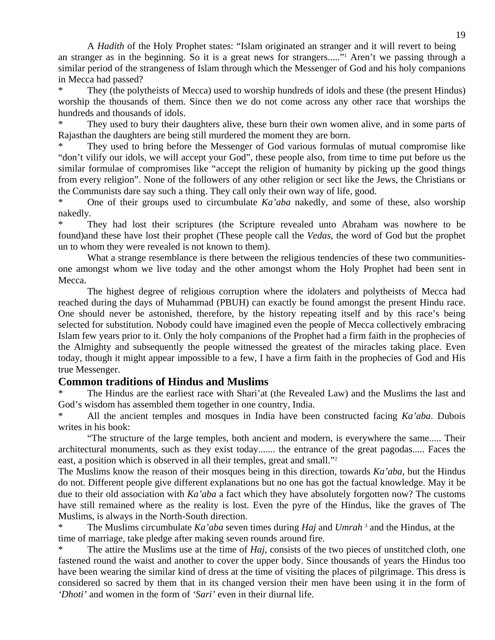A *Hadith* of the Holy Prophet states: "Islam originated an stranger and it will revert to being an stranger as in the beginning. So it is a great news for strangers....."<sup>1</sup> Aren't we passing through a similar period of the strangeness of Islam through which the Messenger of God and his holy companions in Mecca had passed?

They (the polytheists of Mecca) used to worship hundreds of idols and these (the present Hindus) worship the thousands of them. Since then we do not come across any other race that worships the hundreds and thousands of idols.

They used to bury their daughters alive, these burn their own women alive, and in some parts of Rajasthan the daughters are being still murdered the moment they are born.

They used to bring before the Messenger of God various formulas of mutual compromise like "don't vilify our idols, we will accept your God", these people also, from time to time put before us the similar formulae of compromises like "accept the religion of humanity by picking up the good things from every religion". None of the followers of any other religion or sect like the Jews, the Christians or the Communists dare say such a thing. They call only their own way of life, good.

One of their groups used to circumbulate *Ka'aba* nakedly, and some of these, also worship nakedly.

They had lost their scriptures (the Scripture revealed unto Abraham was nowhere to be found)and these have lost their prophet (These people call the *Vedas*, the word of God but the prophet un to whom they were revealed is not known to them).

What a strange resemblance is there between the religious tendencies of these two communitiesone amongst whom we live today and the other amongst whom the Holy Prophet had been sent in Mecca.

 The highest degree of religious corruption where the idolaters and polytheists of Mecca had reached during the days of Muhammad (PBUH) can exactly be found amongst the present Hindu race. One should never be astonished, therefore, by the history repeating itself and by this race's being selected for substitution. Nobody could have imagined even the people of Mecca collectively embracing Islam few years prior to it. Only the holy companions of the Prophet had a firm faith in the prophecies of the Almighty and subsequently the people witnessed the greatest of the miracles taking place. Even today, though it might appear impossible to a few, I have a firm faith in the prophecies of God and His true Messenger.

# **Common traditions of Hindus and Muslims**

The Hindus are the earliest race with Shari'at (the Revealed Law) and the Muslims the last and God's wisdom has assembled them together in one country, India.

All the ancient temples and mosques in India have been constructed facing *Ka'aba*. Dubois writes in his book:

 "The structure of the large temples, both ancient and modern, is everywhere the same..... Their architectural monuments, such as they exist today....... the entrance of the great pagodas..... Faces the east, a position which is observed in all their temples, great and small."<sup>2</sup>

The Muslims know the reason of their mosques being in this direction, towards *Ka'aba*, but the Hindus do not. Different people give different explanations but no one has got the factual knowledge. May it be due to their old association with *Ka'aba* a fact which they have absolutely forgotten now? The customs have still remained where as the reality is lost. Even the pyre of the Hindus, like the graves of The Muslims, is always in the North-South direction.

\* The Muslims circumbulate *Ka'aba* seven times during *Haj* and *Umrah* <sup>3</sup> and the Hindus, at the time of marriage, take pledge after making seven rounds around fire.

The attire the Muslims use at the time of *Haj*, consists of the two pieces of unstitched cloth, one fastened round the waist and another to cover the upper body. Since thousands of years the Hindus too have been wearing the similar kind of dress at the time of visiting the places of pilgrimage. This dress is considered so sacred by them that in its changed version their men have been using it in the form of *'Dhoti'* and women in the form of *'Sari'* even in their diurnal life.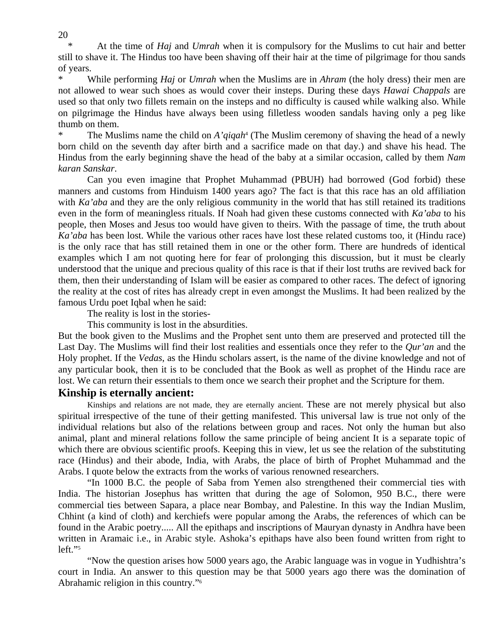\* At the time of *Haj* and *Umrah* when it is compulsory for the Muslims to cut hair and better still to shave it. The Hindus too have been shaving off their hair at the time of pilgrimage for thou sands of years.

\* While performing *Haj* or *Umrah* when the Muslims are in *Ahram* (the holy dress) their men are not allowed to wear such shoes as would cover their insteps. During these days *Hawai Chappals* are used so that only two fillets remain on the insteps and no difficulty is caused while walking also. While on pilgrimage the Hindus have always been using filletless wooden sandals having only a peg like thumb on them.

<sup>\*</sup> The Muslims name the child on *A'qiqah*<sup>4</sup> (The Muslim ceremony of shaving the head of a newly born child on the seventh day after birth and a sacrifice made on that day.) and shave his head. The Hindus from the early beginning shave the head of the baby at a similar occasion, called by them *Nam karan Sanskar*.

 Can you even imagine that Prophet Muhammad (PBUH) had borrowed (God forbid) these manners and customs from Hinduism 1400 years ago? The fact is that this race has an old affiliation with *Ka'aba* and they are the only religious community in the world that has still retained its traditions even in the form of meaningless rituals. If Noah had given these customs connected with *Ka'aba* to his people, then Moses and Jesus too would have given to theirs. With the passage of time, the truth about *Ka'aba* has been lost. While the various other races have lost these related customs too, it (Hindu race) is the only race that has still retained them in one or the other form. There are hundreds of identical examples which I am not quoting here for fear of prolonging this discussion, but it must be clearly understood that the unique and precious quality of this race is that if their lost truths are revived back for them, then their understanding of Islam will be easier as compared to other races. The defect of ignoring the reality at the cost of rites has already crept in even amongst the Muslims. It had been realized by the famous Urdu poet Iqbal when he said:

The reality is lost in the stories-

This community is lost in the absurdities.

But the book given to the Muslims and the Prophet sent unto them are preserved and protected till the Last Day. The Muslims will find their lost realities and essentials once they refer to the *Qur'an* and the Holy prophet. If the *Vedas*, as the Hindu scholars assert, is the name of the divine knowledge and not of any particular book, then it is to be concluded that the Book as well as prophet of the Hindu race are lost. We can return their essentials to them once we search their prophet and the Scripture for them.

# **Kinship is eternally ancient:**

Kinships and relations are not made, they are eternally ancient. These are not merely physical but also spiritual irrespective of the tune of their getting manifested. This universal law is true not only of the individual relations but also of the relations between group and races. Not only the human but also animal, plant and mineral relations follow the same principle of being ancient It is a separate topic of which there are obvious scientific proofs. Keeping this in view, let us see the relation of the substituting race (Hindus) and their abode, India, with Arabs, the place of birth of Prophet Muhammad and the Arabs. I quote below the extracts from the works of various renowned researchers.

 "In 1000 B.C. the people of Saba from Yemen also strengthened their commercial ties with India. The historian Josephus has written that during the age of Solomon, 950 B.C., there were commercial ties between Sapara, a place near Bombay, and Palestine. In this way the Indian Muslim, Chhint (a kind of cloth) and kerchiefs were popular among the Arabs, the references of which can be found in the Arabic poetry..... All the epithaps and inscriptions of Mauryan dynasty in Andhra have been written in Aramaic i.e., in Arabic style. Ashoka's epithaps have also been found written from right to left."5

 "Now the question arises how 5000 years ago, the Arabic language was in vogue in Yudhishtra's court in India. An answer to this question may be that 5000 years ago there was the domination of Abrahamic religion in this country."6

20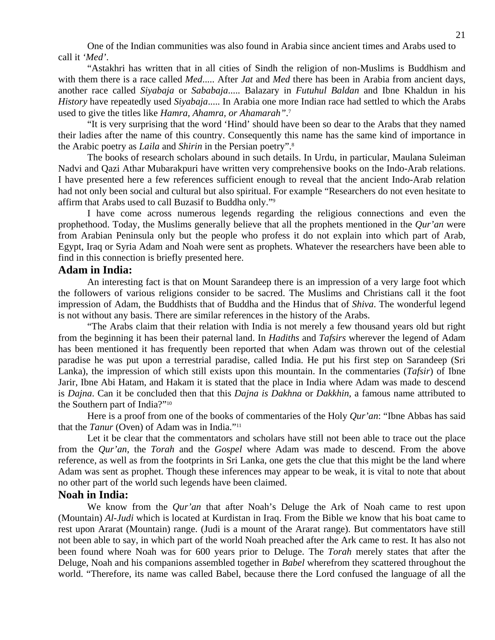One of the Indian communities was also found in Arabia since ancient times and Arabs used to call it *'Med'*.

 "Astakhri has written that in all cities of Sindh the religion of non-Muslims is Buddhism and with them there is a race called *Med.....* After *Jat* and *Med* there has been in Arabia from ancient days, another race called *Siyabaja* or *Sababaja*..... Balazary in *Futuhul Baldan* and Ibne Khaldun in his *History* have repeatedly used *Siyabaja*..... In Arabia one more Indian race had settled to which the Arabs used to give the titles like *Hamra, Ahamra, or Ahamarah"*. 7

 "It is very surprising that the word 'Hind' should have been so dear to the Arabs that they named their ladies after the name of this country. Consequently this name has the same kind of importance in the Arabic poetry as *Laila* and *Shirin* in the Persian poetry".8

 The books of research scholars abound in such details. In Urdu, in particular, Maulana Suleiman Nadvi and Qazi Athar Mubarakpuri have written very comprehensive books on the Indo-Arab relations. I have presented here a few references sufficient enough to reveal that the ancient Indo-Arab relation had not only been social and cultural but also spiritual. For example "Researchers do not even hesitate to affirm that Arabs used to call Buzasif to Buddha only."9

 I have come across numerous legends regarding the religious connections and even the prophethood. Today, the Muslims generally believe that all the prophets mentioned in the *Qur'an* were from Arabian Peninsula only but the people who profess it do not explain into which part of Arab, Egypt, Iraq or Syria Adam and Noah were sent as prophets. Whatever the researchers have been able to find in this connection is briefly presented here.

### **Adam in India:**

An interesting fact is that on Mount Sarandeep there is an impression of a very large foot which the followers of various religions consider to be sacred. The Muslims and Christians call it the foot impression of Adam, the Buddhists that of Buddha and the Hindus that of *Shiva*. The wonderful legend is not without any basis. There are similar references in the history of the Arabs.

 "The Arabs claim that their relation with India is not merely a few thousand years old but right from the beginning it has been their paternal land. In *Hadiths* and *Tafsirs* wherever the legend of Adam has been mentioned it has frequently been reported that when Adam was thrown out of the celestial paradise he was put upon a terrestrial paradise, called India. He put his first step on Sarandeep (Sri Lanka), the impression of which still exists upon this mountain. In the commentaries (*Tafsir*) of Ibne Jarir, Ibne Abi Hatam, and Hakam it is stated that the place in India where Adam was made to descend is *Dajna*. Can it be concluded then that this *Dajna is Dakhna* or *Dakkhin*, a famous name attributed to the Southern part of India?"10

 Here is a proof from one of the books of commentaries of the Holy *Qur'an*: "Ibne Abbas has said that the *Tanur* (Oven) of Adam was in India."11

 Let it be clear that the commentators and scholars have still not been able to trace out the place from the *Qur'an*, the *Torah* and the *Gospel* where Adam was made to descend. From the above reference, as well as from the footprints in Sri Lanka, one gets the clue that this might be the land where Adam was sent as prophet. Though these inferences may appear to be weak, it is vital to note that about no other part of the world such legends have been claimed.

# **Noah in India:**

 We know from the *Qur'an* that after Noah's Deluge the Ark of Noah came to rest upon (Mountain) *Al-Judi* which is located at Kurdistan in Iraq. From the Bible we know that his boat came to rest upon Ararat (Mountain) range. (Judi is a mount of the Ararat range). But commentators have still not been able to say, in which part of the world Noah preached after the Ark came to rest. It has also not been found where Noah was for 600 years prior to Deluge. The *Torah* merely states that after the Deluge, Noah and his companions assembled together in *Babel* wherefrom they scattered throughout the world. "Therefore, its name was called Babel, because there the Lord confused the language of all the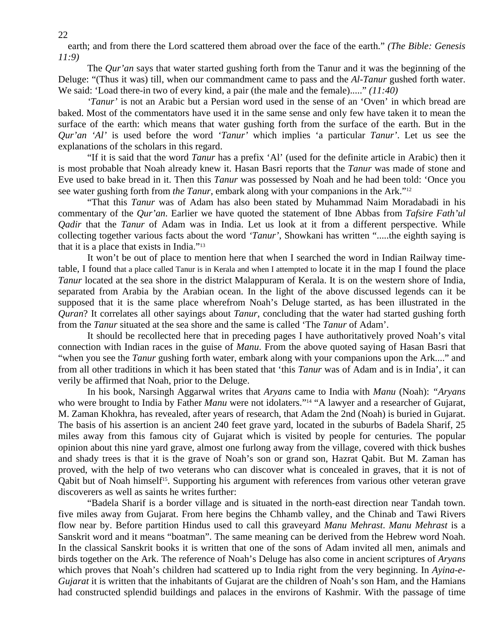earth; and from there the Lord scattered them abroad over the face of the earth." *(The Bible: Genesis 11:9)*

 The *Qur'an* says that water started gushing forth from the Tanur and it was the beginning of the Deluge: "(Thus it was) till, when our commandment came to pass and the *Al-Tanur* gushed forth water. We said: 'Load there-in two of every kind, a pair (the male and the female)....." *(11:40)* 

*'Tanur'* is not an Arabic but a Persian word used in the sense of an 'Oven' in which bread are baked. Most of the commentators have used it in the same sense and only few have taken it to mean the surface of the earth: which means that water gushing forth from the surface of the earth. But in the *Qur'an 'Al'* is used before the word *'Tanur'* which implies 'a particular *Tanur'*. Let us see the explanations of the scholars in this regard.

 "If it is said that the word *Tanur* has a prefix 'Al' (used for the definite article in Arabic) then it is most probable that Noah already knew it. Hasan Basri reports that the *Tanur* was made of stone and Eve used to bake bread in it. Then this *Tanur* was possessed by Noah and he had been told: 'Once you see water gushing forth from *the Tanur*, embark along with your companions in the Ark."12

 "That this *Tanur* was of Adam has also been stated by Muhammad Naim Moradabadi in his commentary of the *Qur'an*. Earlier we have quoted the statement of Ibne Abbas from *Tafsire Fath'ul Qadir* that the *Tanur* of Adam was in India. Let us look at it from a different perspective. While collecting together various facts about the word *'Tanur'*, Showkani has written ".....the eighth saying is that it is a place that exists in India."13

 It won't be out of place to mention here that when I searched the word in Indian Railway timetable, I found that a place called Tanur is in Kerala and when I attempted to locate it in the map I found the place *Tanur* located at the sea shore in the district Malappuram of Kerala. It is on the western shore of India, separated from Arabia by the Arabian ocean. In the light of the above discussed legends can it be supposed that it is the same place wherefrom Noah's Deluge started, as has been illustrated in the *Quran*? It correlates all other sayings about *Tanur*, concluding that the water had started gushing forth from the *Tanur* situated at the sea shore and the same is called 'The *Tanur* of Adam'.

 It should be recollected here that in preceding pages I have authoritatively proved Noah's vital connection with Indian races in the guise of *Manu*. From the above quoted saying of Hasan Basri that "when you see the *Tanur* gushing forth water, embark along with your companions upon the Ark...." and from all other traditions in which it has been stated that 'this *Tanur* was of Adam and is in India', it can verily be affirmed that Noah, prior to the Deluge.

 In his book, Narsingh Aggarwal writes that *Aryans* came to India with *Manu* (Noah): *"Aryans*  who were brought to India by Father *Manu* were not idolaters."<sup>14</sup> "A lawyer and a researcher of Gujarat, M. Zaman Khokhra, has revealed, after years of research, that Adam the 2nd (Noah) is buried in Gujarat. The basis of his assertion is an ancient 240 feet grave yard, located in the suburbs of Badela Sharif, 25 miles away from this famous city of Gujarat which is visited by people for centuries. The popular opinion about this nine yard grave, almost one furlong away from the village, covered with thick bushes and shady trees is that it is the grave of Noah's son or grand son, Hazrat Qabit. But M. Zaman has proved, with the help of two veterans who can discover what is concealed in graves, that it is not of Qabit but of Noah himself<sup>15</sup>. Supporting his argument with references from various other veteran grave discoverers as well as saints he writes further:

 "Badela Sharif is a border village and is situated in the north-east direction near Tandah town. five miles away from Gujarat. From here begins the Chhamb valley, and the Chinab and Tawi Rivers flow near by. Before partition Hindus used to call this graveyard *Manu Mehrast*. *Manu Mehrast* is a Sanskrit word and it means "boatman". The same meaning can be derived from the Hebrew word Noah. In the classical Sanskrit books it is written that one of the sons of Adam invited all men, animals and birds together on the Ark. The reference of Noah's Deluge has also come in ancient scriptures of *Aryans* which proves that Noah's children had scattered up to India right from the very beginning. In *Ayina-e-Gujarat* it is written that the inhabitants of Gujarat are the children of Noah's son Ham, and the Hamians had constructed splendid buildings and palaces in the environs of Kashmir. With the passage of time

22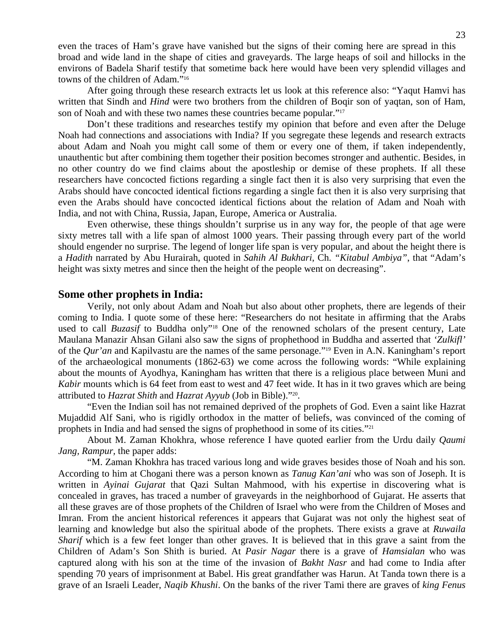even the traces of Ham's grave have vanished but the signs of their coming here are spread in this broad and wide land in the shape of cities and graveyards. The large heaps of soil and hillocks in the environs of Badela Sharif testify that sometime back here would have been very splendid villages and towns of the children of Adam."16

 After going through these research extracts let us look at this reference also: "Yaqut Hamvi has written that Sindh and *Hind* were two brothers from the children of Boqir son of yaqtan, son of Ham, son of Noah and with these two names these countries became popular."17

 Don't these traditions and researches testify my opinion that before and even after the Deluge Noah had connections and associations with India? If you segregate these legends and research extracts about Adam and Noah you might call some of them or every one of them, if taken independently, unauthentic but after combining them together their position becomes stronger and authentic. Besides, in no other country do we find claims about the apostleship or demise of these prophets. If all these researchers have concocted fictions regarding a single fact then it is also very surprising that even the Arabs should have concocted identical fictions regarding a single fact then it is also very surprising that even the Arabs should have concocted identical fictions about the relation of Adam and Noah with India, and not with China, Russia, Japan, Europe, America or Australia.

 Even otherwise, these things shouldn't surprise us in any way for, the people of that age were sixty metres tall with a life span of almost 1000 years. Their passing through every part of the world should engender no surprise. The legend of longer life span is very popular, and about the height there is a *Hadith* narrated by Abu Hurairah, quoted in *Sahih Al Bukhari*, Ch. *"Kitabul Ambiya"*, that "Adam's height was sixty metres and since then the height of the people went on decreasing".

### **Some other prophets in India:**

 Verily, not only about Adam and Noah but also about other prophets, there are legends of their coming to India. I quote some of these here: "Researchers do not hesitate in affirming that the Arabs used to call *Buzasif* to Buddha only"<sup>18</sup> One of the renowned scholars of the present century, Late Maulana Manazir Ahsan Gilani also saw the signs of prophethood in Buddha and asserted that *'Zulkifl'*  of the *Qur'an* and Kapilvastu are the names of the same personage."19 Even in A.N. Kaningham's report of the archaeological monuments (1862-63) we come across the following words: "While explaining about the mounts of Ayodhya, Kaningham has written that there is a religious place between Muni and *Kabir* mounts which is 64 feet from east to west and 47 feet wide. It has in it two graves which are being attributed to *Hazrat Shith* and *Hazrat Ayyub* (Job in Bible)."20.

 "Even the Indian soil has not remained deprived of the prophets of God. Even a saint like Hazrat Mujaddid Alf Sani, who is rigidly orthodox in the matter of beliefs, was convinced of the coming of prophets in India and had sensed the signs of prophethood in some of its cities."21

 About M. Zaman Khokhra, whose reference I have quoted earlier from the Urdu daily *Qaumi Jang, Rampur,* the paper adds:

 "M. Zaman Khokhra has traced various long and wide graves besides those of Noah and his son. According to him at Chogani there was a person known as *Tanug Kan'ani* who was son of Joseph. It is written in *Ayinai Gujarat* that Qazi Sultan Mahmood, with his expertise in discovering what is concealed in graves, has traced a number of graveyards in the neighborhood of Gujarat. He asserts that all these graves are of those prophets of the Children of Israel who were from the Children of Moses and Imran. From the ancient historical references it appears that Gujarat was not only the highest seat of learning and knowledge but also the spiritual abode of the prophets. There exists a grave at *Ruwaila Sharif* which is a few feet longer than other graves. It is believed that in this grave a saint from the Children of Adam's Son Shith is buried. At *Pasir Nagar* there is a grave of *Hamsialan* who was captured along with his son at the time of the invasion of *Bakht Nasr* and had come to India after spending 70 years of imprisonment at Babel. His great grandfather was Harun. At Tanda town there is a grave of an Israeli Leader, *Naqib Khushi*. On the banks of the river Tami there are graves of *king Fenus*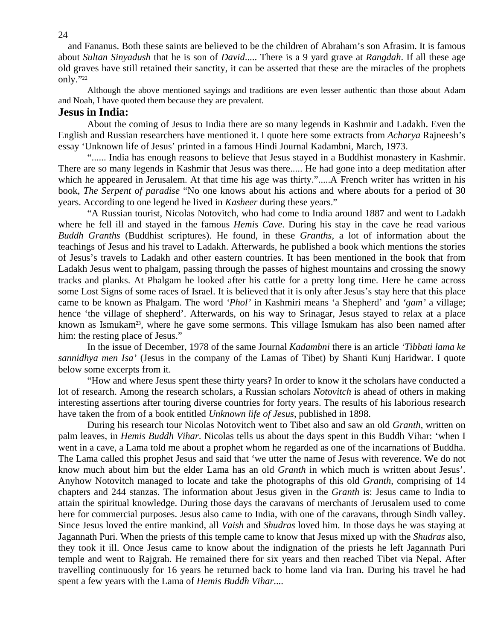and Fananus. Both these saints are believed to be the children of Abraham's son Afrasim. It is famous about *Sultan Sinyadush* that he is son of *David*..... There is a 9 yard grave at *Rangdah*. If all these age old graves have still retained their sanctity, it can be asserted that these are the miracles of the prophets only."22

Although the above mentioned sayings and traditions are even lesser authentic than those about Adam and Noah, I have quoted them because they are prevalent.

#### **Jesus in India:**

 About the coming of Jesus to India there are so many legends in Kashmir and Ladakh. Even the English and Russian researchers have mentioned it. I quote here some extracts from *Acharya* Rajneesh's essay 'Unknown life of Jesus' printed in a famous Hindi Journal Kadambni, March, 1973.

 "...... India has enough reasons to believe that Jesus stayed in a Buddhist monastery in Kashmir. There are so many legends in Kashmir that Jesus was there..... He had gone into a deep meditation after which he appeared in Jerusalem. At that time his age was thirty.".....A French writer has written in his book, *The Serpent of paradise* "No one knows about his actions and where abouts for a period of 30 years. According to one legend he lived in *Kasheer* during these years."

 "A Russian tourist, Nicolas Notovitch, who had come to India around 1887 and went to Ladakh where he fell ill and stayed in the famous *Hemis Cave*. During his stay in the cave he read various *Buddh Granths* (Buddhist scriptures). He found, in these *Granths*, a lot of information about the teachings of Jesus and his travel to Ladakh. Afterwards, he published a book which mentions the stories of Jesus's travels to Ladakh and other eastern countries. It has been mentioned in the book that from Ladakh Jesus went to phalgam, passing through the passes of highest mountains and crossing the snowy tracks and planks. At Phalgam he looked after his cattle for a pretty long time. Here he came across some Lost Signs of some races of Israel. It is believed that it is only after Jesus's stay here that this place came to be known as Phalgam. The word *'Phol'* in Kashmiri means 'a Shepherd' and *'gam'* a village; hence 'the village of shepherd'. Afterwards, on his way to Srinagar, Jesus stayed to relax at a place known as Ismukam<sup>23</sup>, where he gave some sermons. This village Ismukam has also been named after him: the resting place of Jesus."

 In the issue of December, 1978 of the same Journal *Kadambni* there is an article *'Tibbati lama ke sannidhya men Isa'* (Jesus in the company of the Lamas of Tibet) by Shanti Kunj Haridwar. I quote below some excerpts from it.

 "How and where Jesus spent these thirty years? In order to know it the scholars have conducted a lot of research. Among the research scholars, a Russian scholars *Notovitch* is ahead of others in making interesting assertions after touring diverse countries for forty years. The results of his laborious research have taken the from of a book entitled *Unknown life of Jesus*, published in 1898.

 During his research tour Nicolas Notovitch went to Tibet also and saw an old *Granth*, written on palm leaves, in *Hemis Buddh Vihar*. Nicolas tells us about the days spent in this Buddh Vihar: 'when I went in a cave, a Lama told me about a prophet whom he regarded as one of the incarnations of Buddha. The Lama called this prophet Jesus and said that 'we utter the name of Jesus with reverence. We do not know much about him but the elder Lama has an old *Granth* in which much is written about Jesus'. Anyhow Notovitch managed to locate and take the photographs of this old *Granth*, comprising of 14 chapters and 244 stanzas. The information about Jesus given in the *Granth* is: Jesus came to India to attain the spiritual knowledge. During those days the caravans of merchants of Jerusalem used to come here for commercial purposes. Jesus also came to India, with one of the caravans, through Sindh valley. Since Jesus loved the entire mankind, all *Vaish* and *Shudras* loved him. In those days he was staying at Jagannath Puri. When the priests of this temple came to know that Jesus mixed up with the *Shudras* also, they took it ill. Once Jesus came to know about the indignation of the priests he left Jagannath Puri temple and went to Rajgrah. He remained there for six years and then reached Tibet via Nepal. After travelling continuously for 16 years he returned back to home land via Iran. During his travel he had spent a few years with the Lama of *Hemis Buddh Vihar*....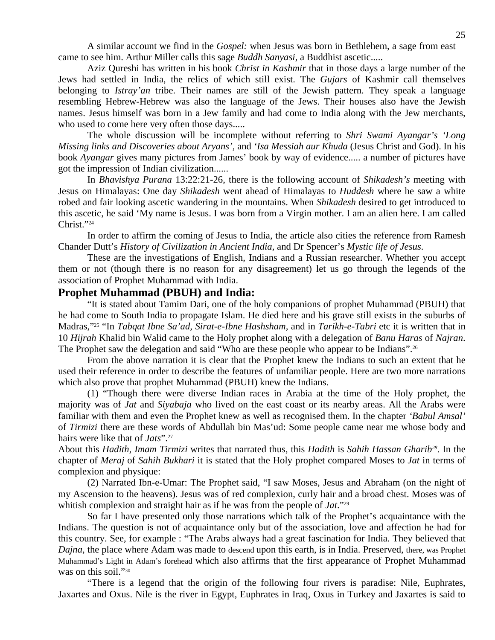A similar account we find in the *Gospel:* when Jesus was born in Bethlehem, a sage from east came to see him. Arthur Miller calls this sage *Buddh Sanyasi*, a Buddhist ascetic.....

 Aziz Qureshi has written in his book *Christ in Kashmir* that in those days a large number of the Jews had settled in India, the relics of which still exist. The *Gujars* of Kashmir call themselves belonging to *Istray'an* tribe. Their names are still of the Jewish pattern. They speak a language resembling Hebrew-Hebrew was also the language of the Jews. Their houses also have the Jewish names. Jesus himself was born in a Jew family and had come to India along with the Jew merchants, who used to come here very often those days.....

 The whole discussion will be incomplete without referring to *Shri Swami Ayangar's 'Long Missing links and Discoveries about Aryans',* and *'Isa Messiah aur Khuda* (Jesus Christ and God). In his book *Ayangar* gives many pictures from James' book by way of evidence..... a number of pictures have got the impression of Indian civilization......

 In *Bhavishya Purana* 13:22:21-26, there is the following account of *Shikadesh's* meeting with Jesus on Himalayas: One day *Shikadesh* went ahead of Himalayas to *Huddesh* where he saw a white robed and fair looking ascetic wandering in the mountains. When *Shikadesh* desired to get introduced to this ascetic, he said 'My name is Jesus. I was born from a Virgin mother. I am an alien here. I am called Christ<sup>"24</sup>

 In order to affirm the coming of Jesus to India, the article also cities the reference from Ramesh Chander Dutt's *History of Civilization in Ancient India,* and Dr Spencer's *Mystic life of Jesus*.

 These are the investigations of English, Indians and a Russian researcher. Whether you accept them or not (though there is no reason for any disagreement) let us go through the legends of the association of Prophet Muhammad with India.

# **Prophet Muhammad (PBUH) and India:**

"It is stated about Tamim Dari, one of the holy companions of prophet Muhammad (PBUH) that he had come to South India to propagate Islam. He died here and his grave still exists in the suburbs of Madras,"25 "In *Tabqat Ibne Sa'ad, Sirat-e-Ibne Hashsham,* and in *Tarikh-e-Tabri* etc it is written that in 10 *Hijrah* Khalid bin Walid came to the Holy prophet along with a delegation of *Banu Haras* of *Najran*. The Prophet saw the delegation and said "Who are these people who appear to be Indians".<sup>26</sup>

 From the above narration it is clear that the Prophet knew the Indians to such an extent that he used their reference in order to describe the features of unfamiliar people. Here are two more narrations which also prove that prophet Muhammad (PBUH) knew the Indians.

 (1) "Though there were diverse Indian races in Arabia at the time of the Holy prophet, the majority was of *Jat* and *Siyabaja* who lived on the east coast or its nearby areas. All the Arabs were familiar with them and even the Prophet knew as well as recognised them. In the chapter *'Babul Amsal'*  of *Tirmizi* there are these words of Abdullah bin Mas'ud: Some people came near me whose body and hairs were like that of *Jats*".27

About this *Hadith, Imam Tirmizi* writes that narrated thus, this *Hadith* is *Sahih Hassan Gharib28*. In the chapter of *Meraj* of *Sahih Bukhari* it is stated that the Holy prophet compared Moses to *Jat* in terms of complexion and physique:

 (2) Narrated Ibn-e-Umar: The Prophet said, "I saw Moses, Jesus and Abraham (on the night of my Ascension to the heavens). Jesus was of red complexion, curly hair and a broad chest. Moses was of whitish complexion and straight hair as if he was from the people of *Jat*."29

 So far I have presented only those narrations which talk of the Prophet's acquaintance with the Indians. The question is not of acquaintance only but of the association, love and affection he had for this country. See, for example : "The Arabs always had a great fascination for India. They believed that *Dajna*, the place where Adam was made to descend upon this earth, is in India. Preserved, there, was Prophet Muhammad's Light in Adam's forehead which also affirms that the first appearance of Prophet Muhammad was on this soil."<sup>30</sup>

 "There is a legend that the origin of the following four rivers is paradise: Nile, Euphrates, Jaxartes and Oxus. Nile is the river in Egypt, Euphrates in Iraq, Oxus in Turkey and Jaxartes is said to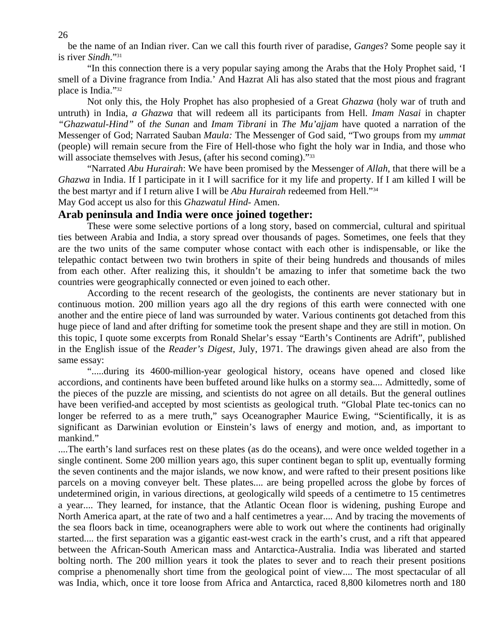be the name of an Indian river. Can we call this fourth river of paradise, *Ganges*? Some people say it is river *Sindh*."31

 "In this connection there is a very popular saying among the Arabs that the Holy Prophet said, 'I smell of a Divine fragrance from India.' And Hazrat Ali has also stated that the most pious and fragrant place is India."32

 Not only this, the Holy Prophet has also prophesied of a Great *Ghazwa* (holy war of truth and untruth) in India, *a Ghazwa* that will redeem all its participants from Hell. *Imam Nasai* in chapter *"Ghazwatul-Hind"* of *the Sunan* and *Imam Tibrani* in *The Mu'ajjam* have quoted a narration of the Messenger of God; Narrated Sauban *Maula:* The Messenger of God said, "Two groups from my *ummat*  (people) will remain secure from the Fire of Hell-those who fight the holy war in India, and those who will associate themselves with Jesus, (after his second coming)."<sup>33</sup>

 "Narrated *Abu Hurairah*: We have been promised by the Messenger of *Allah*, that there will be a *Ghazwa* in India. If I participate in it I will sacrifice for it my life and property. If I am killed I will be the best martyr and if I return alive I will be *Abu Hurairah* redeemed from Hell."34

May God accept us also for this *Ghazwatul Hind*- Amen.

# **Arab peninsula and India were once joined together:**

These were some selective portions of a long story, based on commercial, cultural and spiritual ties between Arabia and India, a story spread over thousands of pages. Sometimes, one feels that they are the two units of the same computer whose contact with each other is indispensable, or like the telepathic contact between two twin brothers in spite of their being hundreds and thousands of miles from each other. After realizing this, it shouldn't be amazing to infer that sometime back the two countries were geographically connected or even joined to each other.

 According to the recent research of the geologists, the continents are never stationary but in continuous motion. 200 million years ago all the dry regions of this earth were connected with one another and the entire piece of land was surrounded by water. Various continents got detached from this huge piece of land and after drifting for sometime took the present shape and they are still in motion. On this topic, I quote some excerpts from Ronald Shelar's essay "Earth's Continents are Adrift", published in the English issue of the *Reader's Digest*, July, 1971. The drawings given ahead are also from the same essay:

 ".....during its 4600-million-year geological history, oceans have opened and closed like accordions, and continents have been buffeted around like hulks on a stormy sea.... Admittedly, some of the pieces of the puzzle are missing, and scientists do not agree on all details. But the general outlines have been verified-and accepted by most scientists as geological truth. "Global Plate tec-tonics can no longer be referred to as a mere truth," says Oceanographer Maurice Ewing, "Scientifically, it is as significant as Darwinian evolution or Einstein's laws of energy and motion, and, as important to mankind."

....The earth's land surfaces rest on these plates (as do the oceans), and were once welded together in a single continent. Some 200 million years ago, this super continent began to split up, eventually forming the seven continents and the major islands, we now know, and were rafted to their present positions like parcels on a moving conveyer belt. These plates.... are being propelled across the globe by forces of undetermined origin, in various directions, at geologically wild speeds of a centimetre to 15 centimetres a year.... They learned, for instance, that the Atlantic Ocean floor is widening, pushing Europe and North America apart, at the rate of two and a half centimetres a year.... And by tracing the movements of the sea floors back in time, oceanographers were able to work out where the continents had originally started.... the first separation was a gigantic east-west crack in the earth's crust, and a rift that appeared between the African-South American mass and Antarctica-Australia. India was liberated and started bolting north. The 200 million years it took the plates to sever and to reach their present positions comprise a phenomenally short time from the geological point of view.... The most spectacular of all was India, which, once it tore loose from Africa and Antarctica, raced 8,800 kilometres north and 180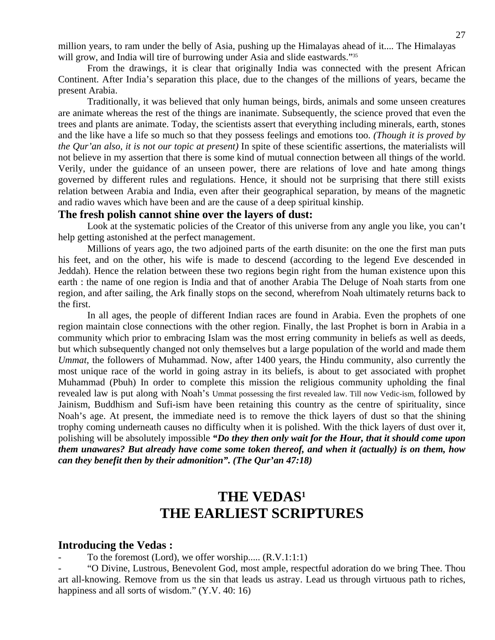million years, to ram under the belly of Asia, pushing up the Himalayas ahead of it.... The Himalayas will grow, and India will tire of burrowing under Asia and slide eastwards."<sup>35</sup>

 From the drawings, it is clear that originally India was connected with the present African Continent. After India's separation this place, due to the changes of the millions of years, became the present Arabia.

 Traditionally, it was believed that only human beings, birds, animals and some unseen creatures are animate whereas the rest of the things are inanimate. Subsequently, the science proved that even the trees and plants are animate. Today, the scientists assert that everything including minerals, earth, stones and the like have a life so much so that they possess feelings and emotions too. *(Though it is proved by the Qur'an also, it is not our topic at present)* In spite of these scientific assertions, the materialists will not believe in my assertion that there is some kind of mutual connection between all things of the world. Verily, under the guidance of an unseen power, there are relations of love and hate among things governed by different rules and regulations. Hence, it should not be surprising that there still exists relation between Arabia and India, even after their geographical separation, by means of the magnetic and radio waves which have been and are the cause of a deep spiritual kinship.

# **The fresh polish cannot shine over the layers of dust:**

Look at the systematic policies of the Creator of this universe from any angle you like, you can't help getting astonished at the perfect management.

 Millions of years ago, the two adjoined parts of the earth disunite: on the one the first man puts his feet, and on the other, his wife is made to descend (according to the legend Eve descended in Jeddah). Hence the relation between these two regions begin right from the human existence upon this earth : the name of one region is India and that of another Arabia The Deluge of Noah starts from one region, and after sailing, the Ark finally stops on the second, wherefrom Noah ultimately returns back to the first.

 In all ages, the people of different Indian races are found in Arabia. Even the prophets of one region maintain close connections with the other region. Finally, the last Prophet is born in Arabia in a community which prior to embracing Islam was the most erring community in beliefs as well as deeds, but which subsequently changed not only themselves but a large population of the world and made them *Ummat*, the followers of Muhammad. Now, after 1400 years, the Hindu community, also currently the most unique race of the world in going astray in its beliefs, is about to get associated with prophet Muhammad (Pbuh) In order to complete this mission the religious community upholding the final revealed law is put along with Noah's Ummat possessing the first revealed law. Till now Vedic-ism, followed by Jainism, Buddhism and Sufi-ism have been retaining this country as the centre of spirituality, since Noah's age. At present, the immediate need is to remove the thick layers of dust so that the shining trophy coming underneath causes no difficulty when it is polished. With the thick layers of dust over it, polishing will be absolutely impossible *"Do they then only wait for the Hour, that it should come upon them unawares? But already have come some token thereof, and when it (actually) is on them, how can they benefit then by their admonition". (The Qur'an 47:18)* 

# **THE VEDAS1 THE EARLIEST SCRIPTURES**

#### **Introducing the Vedas :**

To the foremost (Lord), we offer worship.....  $(R.V.1:1:1)$ 

- "O Divine, Lustrous, Benevolent God, most ample, respectful adoration do we bring Thee. Thou art all-knowing. Remove from us the sin that leads us astray. Lead us through virtuous path to riches, happiness and all sorts of wisdom." (Y.V. 40: 16)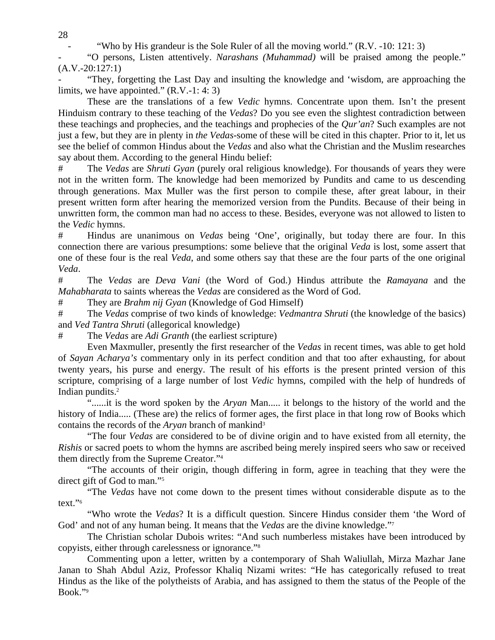"Who by His grandeur is the Sole Ruler of all the moving world."  $(R.V. -10: 121: 3)$ 

- "O persons, Listen attentively. *Narashans (Muhammad)* will be praised among the people."  $(A.V.-20:127:1)$ 

"They, forgetting the Last Day and insulting the knowledge and 'wisdom, are approaching the limits, we have appointed."  $(R.V.-1:4:3)$ 

 These are the translations of a few *Vedic* hymns. Concentrate upon them. Isn't the present Hinduism contrary to these teaching of the *Vedas*? Do you see even the slightest contradiction between these teachings and prophecies, and the teachings and prophecies of the *Qur'an*? Such examples are not just a few, but they are in plenty in *the Vedas*-some of these will be cited in this chapter. Prior to it, let us see the belief of common Hindus about the *Vedas* and also what the Christian and the Muslim researches say about them. According to the general Hindu belief:

# The *Vedas* are *Shruti Gyan* (purely oral religious knowledge). For thousands of years they were not in the written form. The knowledge had been memorized by Pundits and came to us descending through generations. Max Muller was the first person to compile these, after great labour, in their present written form after hearing the memorized version from the Pundits. Because of their being in unwritten form, the common man had no access to these. Besides, everyone was not allowed to listen to the *Vedic* hymns.

# Hindus are unanimous on *Vedas* being 'One', originally, but today there are four. In this connection there are various presumptions: some believe that the original *Veda* is lost, some assert that one of these four is the real *Veda*, and some others say that these are the four parts of the one original *Veda*.

# The *Vedas* are *Deva Vani* (the Word of God.) Hindus attribute the *Ramayana* and the *Mahabharata* to saints whereas the *Vedas* are considered as the Word of God.

# They are *Brahm nij Gyan* (Knowledge of God Himself)

# The *Vedas* comprise of two kinds of knowledge: *Vedmantra Shruti* (the knowledge of the basics) and *Ved Tantra Shruti* (allegorical knowledge)

# The *Vedas* are *Adi Granth* (the earliest scripture)

 Even Maxmuller, presently the first researcher of the *Vedas* in recent times, was able to get hold of *Sayan Acharya's* commentary only in its perfect condition and that too after exhausting, for about twenty years, his purse and energy. The result of his efforts is the present printed version of this scripture, comprising of a large number of lost *Vedic* hymns, compiled with the help of hundreds of Indian pundits.2

 "......it is the word spoken by the *Aryan* Man..... it belongs to the history of the world and the history of India..... (These are) the relics of former ages, the first place in that long row of Books which contains the records of the *Aryan* branch of mankind3

 "The four *Vedas* are considered to be of divine origin and to have existed from all eternity, the *Rishis* or sacred poets to whom the hymns are ascribed being merely inspired seers who saw or received them directly from the Supreme Creator."4

 "The accounts of their origin, though differing in form, agree in teaching that they were the direct gift of God to man."5

 "The *Vedas* have not come down to the present times without considerable dispute as to the text."6

 "Who wrote the *Vedas*? It is a difficult question. Sincere Hindus consider them 'the Word of God' and not of any human being. It means that the *Vedas* are the divine knowledge."7

 The Christian scholar Dubois writes: "And such numberless mistakes have been introduced by copyists, either through carelessness or ignorance."8

 Commenting upon a letter, written by a contemporary of Shah Waliullah, Mirza Mazhar Jane Janan to Shah Abdul Aziz, Professor Khaliq Nizami writes: "He has categorically refused to treat Hindus as the like of the polytheists of Arabia, and has assigned to them the status of the People of the Book."9

28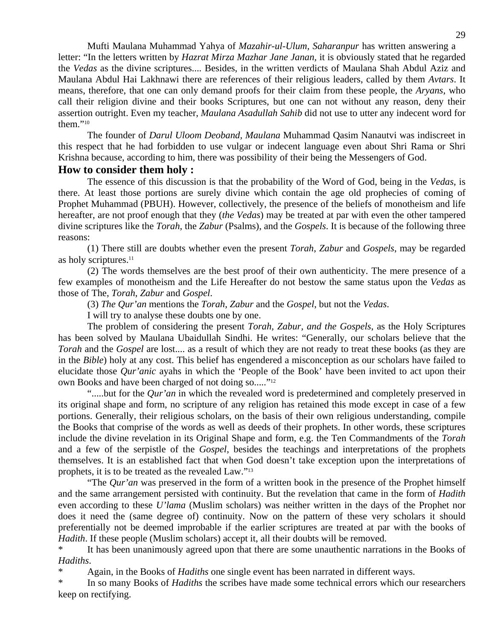Mufti Maulana Muhammad Yahya of *Mazahir-ul-Ulum, Saharanpur* has written answering a letter: "In the letters written by *Hazrat Mirza Mazhar Jane Janan,* it is obviously stated that he regarded the *Vedas* as the divine scriptures.... Besides, in the written verdicts of Maulana Shah Abdul Aziz and Maulana Abdul Hai Lakhnawi there are references of their religious leaders, called by them *Avtars*. It means, therefore, that one can only demand proofs for their claim from these people, the *Aryans*, who call their religion divine and their books Scriptures, but one can not without any reason, deny their assertion outright. Even my teacher, *Maulana Asadullah Sahib* did not use to utter any indecent word for them."10

 The founder of *Darul Uloom Deoband, Maulana* Muhammad Qasim Nanautvi was indiscreet in this respect that he had forbidden to use vulgar or indecent language even about Shri Rama or Shri Krishna because, according to him, there was possibility of their being the Messengers of God.

# **How to consider them holy :**

The essence of this discussion is that the probability of the Word of God, being in the *Vedas*, is there. At least those portions are surely divine which contain the age old prophecies of coming of Prophet Muhammad (PBUH). However, collectively, the presence of the beliefs of monotheism and life hereafter, are not proof enough that they (*the Vedas*) may be treated at par with even the other tampered divine scriptures like the *Torah*, the *Zabur* (Psalms), and the *Gospels*. It is because of the following three reasons:

 (1) There still are doubts whether even the present *Torah*, *Zabur* and *Gospels*, may be regarded as holy scriptures. $11$ 

 (2) The words themselves are the best proof of their own authenticity. The mere presence of a few examples of monotheism and the Life Hereafter do not bestow the same status upon the *Vedas* as those of The, *Torah*, *Zabur* and *Gospel*.

(3) *The Qur'an* mentions the *Torah*, *Zabur* and the *Gospel*, but not the *Vedas*.

I will try to analyse these doubts one by one.

 The problem of considering the present *Torah, Zabur, and the Gospels*, as the Holy Scriptures has been solved by Maulana Ubaidullah Sindhi. He writes: "Generally, our scholars believe that the *Torah* and the *Gospel* are lost.... as a result of which they are not ready to treat these books (as they are in the *Bible*) holy at any cost. This belief has engendered a misconception as our scholars have failed to elucidate those *Qur'anic* ayahs in which the 'People of the Book' have been invited to act upon their own Books and have been charged of not doing so....."<sup>12</sup>

 ".....but for the *Qur'an* in which the revealed word is predetermined and completely preserved in its original shape and form, no scripture of any religion has retained this mode except in case of a few portions. Generally, their religious scholars, on the basis of their own religious understanding, compile the Books that comprise of the words as well as deeds of their prophets. In other words, these scriptures include the divine revelation in its Original Shape and form, e.g. the Ten Commandments of the *Torah*  and a few of the serpistle of the *Gospel*, besides the teachings and interpretations of the prophets themselves. It is an established fact that when God doesn't take exception upon the interpretations of prophets, it is to be treated as the revealed Law."13

 "The *Qur'an* was preserved in the form of a written book in the presence of the Prophet himself and the same arrangement persisted with continuity. But the revelation that came in the form of *Hadith*  even according to these *U'lama* (Muslim scholars) was neither written in the days of the Prophet nor does it need the (same degree of) continuity. Now on the pattern of these very scholars it should preferentially not be deemed improbable if the earlier scriptures are treated at par with the books of *Hadith*. If these people (Muslim scholars) accept it, all their doubts will be removed.

\* It has been unanimously agreed upon that there are some unauthentic narrations in the Books of *Hadiths*.

Again, in the Books of *Hadiths* one single event has been narrated in different ways.

\* In so many Books of *Hadiths* the scribes have made some technical errors which our researchers keep on rectifying.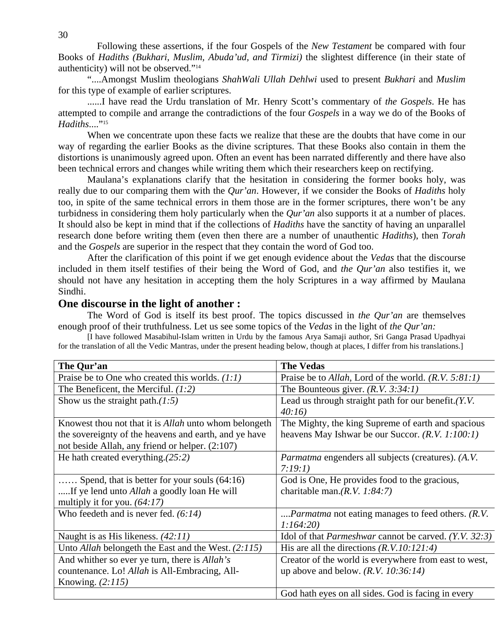Following these assertions, if the four Gospels of the *New Testament* be compared with four Books of *Hadiths (Bukhari, Muslim, Abuda'ud, and Tirmizi)* the slightest difference (in their state of authenticity) will not be observed."14

 "....Amongst Muslim theologians *ShahWali Ullah Dehlwi* used to present *Bukhari* and *Muslim*  for this type of example of earlier scriptures.

 ......I have read the Urdu translation of Mr. Henry Scott's commentary of *the Gospels*. He has attempted to compile and arrange the contradictions of the four *Gospels* in a way we do of the Books of *Hadiths....*"<sup>15</sup>

 When we concentrate upon these facts we realize that these are the doubts that have come in our way of regarding the earlier Books as the divine scriptures. That these Books also contain in them the distortions is unanimously agreed upon. Often an event has been narrated differently and there have also been technical errors and changes while writing them which their researchers keep on rectifying.

 Maulana's explanations clarify that the hesitation in considering the former books holy, was really due to our comparing them with the *Qur'an*. However, if we consider the Books of *Hadiths* holy too, in spite of the same technical errors in them those are in the former scriptures, there won't be any turbidness in considering them holy particularly when the *Qur'an* also supports it at a number of places. It should also be kept in mind that if the collections of *Hadiths* have the sanctity of having an unparallel research done before writing them (even then there are a number of unauthentic *Hadiths*), then *Torah*  and the *Gospels* are superior in the respect that they contain the word of God too.

 After the clarification of this point if we get enough evidence about the *Vedas* that the discourse included in them itself testifies of their being the Word of God, and *the Qur'an* also testifies it, we should not have any hesitation in accepting them the holy Scriptures in a way affirmed by Maulana Sindhi.

# **One discourse in the light of another :**

The Word of God is itself its best proof. The topics discussed in *the Qur'an* are themselves enough proof of their truthfulness. Let us see some topics of the *Vedas* in the light of *the Qur'an:* [I have followed Masabihul-Islam written in Urdu by the famous Arya Samaji author, Sri Ganga Prasad Upadhyai

for the translation of all the Vedic Mantras, under the present heading below, though at places, I differ from his translations.]

| The Qur'an                                                   | <b>The Vedas</b>                                             |
|--------------------------------------------------------------|--------------------------------------------------------------|
| Praise be to One who created this worlds. $(1:1)$            | Praise be to Allah, Lord of the world. $(R.V. 5:81:1)$       |
| The Beneficent, the Merciful. $(1:2)$                        | The Bounteous giver. $(R.V. 3:34:1)$                         |
| Show us the straight path. $(1:5)$                           | Lead us through straight path for our benefit. $(Y, V, V)$   |
|                                                              | 40:16                                                        |
| Knowest thou not that it is <i>Allah</i> unto whom belongeth | The Mighty, the king Supreme of earth and spacious           |
| the sovereignty of the heavens and earth, and ye have        | heavens May Ishwar be our Succor. $(R, V, 1:100:1)$          |
| not beside Allah, any friend or helper. (2:107)              |                                                              |
| He hath created everything. $(25.2)$                         | <i>Parmatma</i> engenders all subjects (creatures). (A.V.    |
|                                                              | 7:19:1)                                                      |
| Spend, that is better for your souls $(64:16)$               | God is One, He provides food to the gracious,                |
| If ye lend unto <i>Allah</i> a goodly loan He will           | charitable man. $(R, V, 1:84:7)$                             |
| multiply it for you. $(64:17)$                               |                                                              |
| Who feedeth and is never fed. $(6.14)$                       | <i>Parmatma</i> not eating manages to feed others. (R.V.     |
|                                                              | 1:164:20                                                     |
| Naught is as His likeness. $(42:11)$                         | Idol of that <i>Parmeshwar</i> cannot be carved. (Y.V. 32:3) |
| Unto Allah belongeth the East and the West. $(2:115)$        | His are all the directions $(R.V.10:121:4)$                  |
| And whither so ever ye turn, there is <i>Allah's</i>         | Creator of the world is everywhere from east to west,        |
| countenance. Lo! Allah is All-Embracing, All-                | up above and below. $(R.V. 10:36:14)$                        |
| Knowing. $(2:115)$                                           |                                                              |
|                                                              | God hath eyes on all sides. God is facing in every           |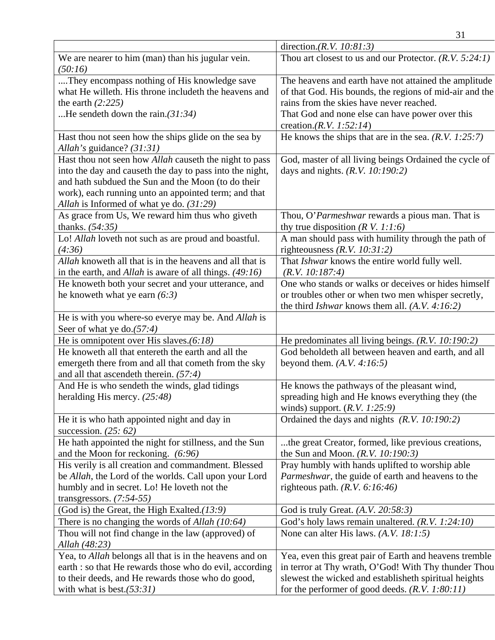|                                                                                                                                                                                                                                                                                     | 31                                                                                                                                                                                                                                                  |
|-------------------------------------------------------------------------------------------------------------------------------------------------------------------------------------------------------------------------------------------------------------------------------------|-----------------------------------------------------------------------------------------------------------------------------------------------------------------------------------------------------------------------------------------------------|
|                                                                                                                                                                                                                                                                                     | direction. $(R.V. 10:81:3)$                                                                                                                                                                                                                         |
| We are nearer to him (man) than his jugular vein.<br>(50:16)                                                                                                                                                                                                                        | Thou art closest to us and our Protector. $(R.V. 5:24:1)$                                                                                                                                                                                           |
| They encompass nothing of His knowledge save<br>what He willeth. His throne includeth the heavens and<br>the earth $(2:225)$<br>He sendeth down the rain. $(31:34)$                                                                                                                 | The heavens and earth have not attained the amplitude<br>of that God. His bounds, the regions of mid-air and the<br>rains from the skies have never reached.<br>That God and none else can have power over this<br>creation.( <i>R.V. 1:52:14</i> ) |
| Hast thou not seen how the ships glide on the sea by<br>Allah's guidance? (31:31)                                                                                                                                                                                                   | He knows the ships that are in the sea. $(R.V. 1:25:7)$                                                                                                                                                                                             |
| Hast thou not seen how <i>Allah</i> causeth the night to pass<br>into the day and causeth the day to pass into the night,<br>and hath subdued the Sun and the Moon (to do their<br>work), each running unto an appointed term; and that<br>Allah is Informed of what ye do. (31:29) | God, master of all living beings Ordained the cycle of<br>days and nights. $(R.V. 10:190:2)$                                                                                                                                                        |
| As grace from Us, We reward him thus who giveth<br>thanks. $(54:35)$                                                                                                                                                                                                                | Thou, O'Parmeshwar rewards a pious man. That is<br>thy true disposition ( $R$ V. 1:1:6)                                                                                                                                                             |
| Lo! Allah loveth not such as are proud and boastful.<br>(4:36)                                                                                                                                                                                                                      | A man should pass with humility through the path of<br>righteousness $(R.V. 10:31:2)$                                                                                                                                                               |
| Allah knoweth all that is in the heavens and all that is<br>in the earth, and <i>Allah</i> is aware of all things. $(49:16)$                                                                                                                                                        | That <i>Ishwar</i> knows the entire world fully well.<br>(R.V. 10:187:4)                                                                                                                                                                            |
| He knoweth both your secret and your utterance, and                                                                                                                                                                                                                                 | One who stands or walks or deceives or hides himself                                                                                                                                                                                                |
| he knoweth what ye earn $(6:3)$                                                                                                                                                                                                                                                     | or troubles other or when two men whisper secretly,<br>the third <i>Ishwar</i> knows them all. $(A.V. 4:16:2)$                                                                                                                                      |
| He is with you where-so everye may be. And Allah is<br>Seer of what ye do. $(57.4)$                                                                                                                                                                                                 |                                                                                                                                                                                                                                                     |
| He is omnipotent over His slaves. $(6.18)$                                                                                                                                                                                                                                          | He predominates all living beings. $(R.V. 10:190:2)$                                                                                                                                                                                                |
| He knoweth all that entereth the earth and all the<br>emergeth there from and all that cometh from the sky<br>and all that ascende th therein. $(57:4)$                                                                                                                             | God beholdeth all between heaven and earth, and all<br>beyond them. $(A.V. 4:16:5)$                                                                                                                                                                 |
| And He is who sendeth the winds, glad tidings<br>heralding His mercy. $(25:48)$                                                                                                                                                                                                     | He knows the pathways of the pleasant wind,<br>spreading high and He knows everything they (the<br>winds) support. $(R.V. 1:25:9)$                                                                                                                  |
| He it is who hath appointed night and day in<br>succession. $(25:62)$                                                                                                                                                                                                               | Ordained the days and nights (R.V. 10:190:2)                                                                                                                                                                                                        |
| He hath appointed the night for stillness, and the Sun<br>and the Moon for reckoning. (6:96)                                                                                                                                                                                        | the great Creator, formed, like previous creations,<br>the Sun and Moon. $(R.V. 10:190:3)$                                                                                                                                                          |
| His verily is all creation and commandment. Blessed<br>be Allah, the Lord of the worlds. Call upon your Lord                                                                                                                                                                        | Pray humbly with hands uplifted to worship able<br>Parmeshwar, the guide of earth and heavens to the                                                                                                                                                |
| humbly and in secret. Lo! He loveth not the<br>transgressors. $(7:54-55)$                                                                                                                                                                                                           | righteous path. $(R.V. 6:16:46)$                                                                                                                                                                                                                    |
| (God is) the Great, the High Exalted. $(13.9)$                                                                                                                                                                                                                                      | God is truly Great. $(A.V. 20:58:3)$                                                                                                                                                                                                                |
| There is no changing the words of Allah $(10:64)$                                                                                                                                                                                                                                   | God's holy laws remain unaltered. $(R.V. 1:24:10)$                                                                                                                                                                                                  |
| Thou will not find change in the law (approved) of                                                                                                                                                                                                                                  | None can alter His laws. $(A.V. 18:1:5)$                                                                                                                                                                                                            |
| Allah (48:23)                                                                                                                                                                                                                                                                       |                                                                                                                                                                                                                                                     |
| Yea, to <i>Allah</i> belongs all that is in the heavens and on                                                                                                                                                                                                                      | Yea, even this great pair of Earth and heavens tremble                                                                                                                                                                                              |
| earth : so that He rewards those who do evil, according                                                                                                                                                                                                                             | in terror at Thy wrath, O'God! With Thy thunder Thou                                                                                                                                                                                                |
| to their deeds, and He rewards those who do good,                                                                                                                                                                                                                                   | slewest the wicked and establisheth spiritual heights                                                                                                                                                                                               |
| with what is best. $(53.31)$                                                                                                                                                                                                                                                        | for the performer of good deeds. $(R.V. 1:80:11)$                                                                                                                                                                                                   |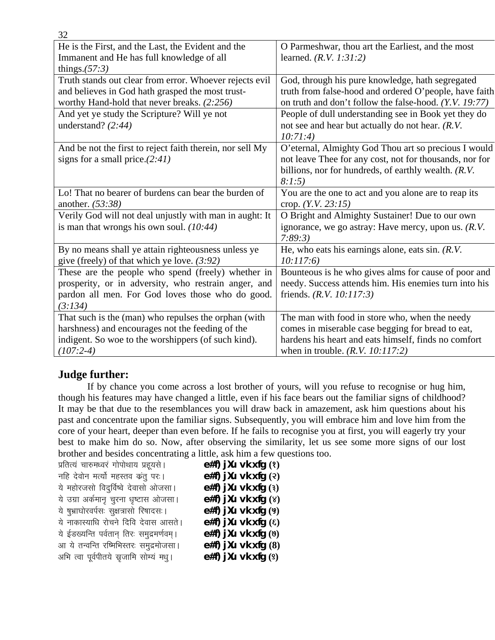| 32                                                        |                                                         |
|-----------------------------------------------------------|---------------------------------------------------------|
| He is the First, and the Last, the Evident and the        | O Parmeshwar, thou art the Earliest, and the most       |
| Immanent and He has full knowledge of all                 | learned. $(R.V. 1:31:2)$                                |
| things. $(57:3)$                                          |                                                         |
| Truth stands out clear from error. Whoever rejects evil   | God, through his pure knowledge, hath segregated        |
| and believes in God hath grasped the most trust-          | truth from false-hood and ordered O'people, have faith  |
| worthy Hand-hold that never breaks. (2:256)               | on truth and don't follow the false-hood. (Y.V. 19:77)  |
| And yet ye study the Scripture? Will ye not               | People of dull understanding see in Book yet they do    |
| understand? $(2:44)$                                      | not see and hear but actually do not hear. $(R.V.$      |
|                                                           | 10:71:4)                                                |
| And be not the first to reject faith therein, nor sell My | O'eternal, Almighty God Thou art so precious I would    |
| signs for a small price. $(2.41)$                         | not leave Thee for any cost, not for thousands, nor for |
|                                                           | billions, nor for hundreds, of earthly wealth. (R.V.    |
|                                                           | 8:1:5                                                   |
| Lo! That no bearer of burdens can bear the burden of      | You are the one to act and you alone are to reap its    |
| another. (53:38)                                          | crop. $(Y.V. 23:15)$                                    |
| Verily God will not deal unjustly with man in aught: It   | O Bright and Almighty Sustainer! Due to our own         |
| is man that wrongs his own soul. $(10:44)$                | ignorance, we go astray: Have mercy, upon us. $(R.V.$   |
|                                                           | 7:89:3                                                  |
| By no means shall ye attain righteousness unless ye       | He, who eats his earnings alone, eats sin. $(R.V.$      |
| give (freely) of that which ye love. $(3.92)$             | 10:117:6                                                |
| These are the people who spend (freely) whether in        | Bounteous is he who gives alms for cause of poor and    |
| prosperity, or in adversity, who restrain anger, and      | needy. Success attends him. His enemies turn into his   |
| pardon all men. For God loves those who do good.          | friends. $(R.V. 10:117:3)$                              |
| (3:134)                                                   |                                                         |
| That such is the (man) who repulses the orphan (with      | The man with food in store who, when the needy          |
| harshness) and encourages not the feeding of the          | comes in miserable case begging for bread to eat,       |
| indigent. So woe to the worshippers (of such kind).       | hardens his heart and eats himself, finds no comfort    |
| $(107:2-4)$                                               | when in trouble. $(R.V. 10:117:2)$                      |

# **Judge further:**

If by chance you come across a lost brother of yours, will you refuse to recognise or hug him, though his features may have changed a little, even if his face bears out the familiar signs of childhood? It may be that due to the resemblances you will draw back in amazement, ask him questions about his past and concentrate upon the familiar signs. Subsequently, you will embrace him and love him from the core of your heart, deeper than even before. If he fails to recognise you at first, you will eagerly try your best to make him do so. Now, after observing the similarity, let us see some more signs of our lost brother and besides concentrating a little, ask him a few questions too.

| प्रतित्यं चारुमध्वरं गोपोथाय प्रहूयसे।     | $e#f$ ) j $\lambda u$ vk xfg $(2)$ |  |
|--------------------------------------------|------------------------------------|--|
| नहि देवोन मर्त्यो महस्तव कतु पर ।          | $e#f$ ) jXu vk xfg $(2)$           |  |
| ये महोरजसो विदुर्विष्वे देवासो ओजसा।       | e#f) jXu vk xfg $(3)$              |  |
| ये उग्रा अर्कमान चुरना धृष्टास ओजसा।       | $e#f$ ) jXu vk xfg $(8)$           |  |
| ये षुभ्राघोरवर्पसः सुक्षत्रासो रिषादसः।    | $e#f$ ) j $Xu$ vk xfg $(9)$        |  |
| ये नाकास्याधि रोचने दिवि देवास आसते।       | e#f) jXu vk xfg $($ 6)             |  |
| ये ईडख्यन्ति पर्वतान् तिरः समुद्रमर्णवम् । | $e#f$ ) j $\lambda u$ vk xfg $(0)$ |  |
| आ ये तन्वन्ति रष्मिभिस्तरः समुद्रमोजसा।    | $e#f$ ) j $\lambda u$ vk xfg $(8)$ |  |
| अभि त्वा पूर्वपीतये स्नृजामि सोम्यं मधु।   | $e#f$ ) j $\lambda u$ vk xfg $(9)$ |  |
|                                            |                                    |  |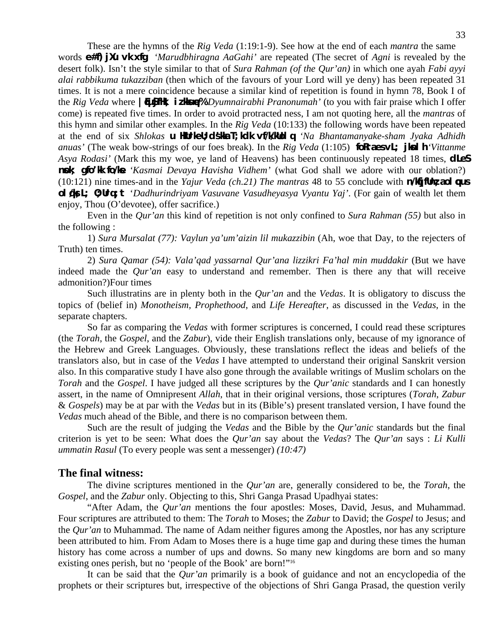These are the hymns of the *Rig Veda* (1:19:1-9). See how at the end of each *mantra* the same words **e#f) jXu vk xfg** *'Marudbhiragna AaGahi'* are repeated (The secret of Agni is revealed by the desert folk). Isn't the style similar to that of *Sura Rahman (of the Qur'an)* in which one ayah *Fabi ayyi alai rabbikuma tukazziban* (then which of the favours of your Lord will ye deny) has been repeated 31 times. It is not a mere coincidence because a similar kind of repetition is found in hymn 78, Book I of the *Rig Veda* where **| [USSIHK, iz Here%** *'Dyumnairabhi Pranonumah'* (to you with fair praise which I offer come) is repeated five times. In order to avoid protracted ness, I am not quoting here, all the *mantras* of this hymn and similar other examples. In the *Rig Veda* (10:133) the following words have been repeated at the end of six *Shlokas* **u Hurleu; dsila T; kdk vf/klublq** *'Na Bhantamanyake-sham Jyaka Adhidh anuas'* (The weak bow-strings of our foes break). In the *Rig Veda* (1:105) **formally is the limit** *'Vittanme Asya Rodasi'* (Mark this my woe, ye land of Heavens) has been continuously repeated 18 times, **dLeS nsk; gfo'lk fo/le** *'Kasmai Devaya Havisha Vidhem'* (what God shall we adore with our oblation?)  $(10:121)$  nine times-and in the *Yajur Veda (ch.21) The mantras* 48 to 55 conclude with **n/kjfthz;aol qus ol del; 0; Urq; t** '*Dadhurindriyam Vasuvane Vasudheyasya Vyantu Yaj'*. (For gain of wealth let them enjoy, Thou (O'devotee), offer sacrifice.)

 Even in the *Qur'an* this kind of repetition is not only confined to *Sura Rahman (55)* but also in the following :

 1) *Sura Mursalat (77): Vaylun ya'um'aizin lil mukazzibin* (Ah, woe that Day, to the rejecters of Truth) ten times.

 2) *Sura Qamar (54): Vala'qad yassarnal Qur'ana lizzikri Fa'hal min muddakir* (But we have indeed made the *Qur'an* easy to understand and remember. Then is there any that will receive admonition?)Four times

 Such illustratins are in plenty both in the *Qur'an* and the *Vedas*. It is obligatory to discuss the topics of (belief in) *Monotheism, Prophethood*, and *Life Hereafter*, as discussed in the *Vedas*, in the separate chapters.

 So far as comparing the *Vedas* with former scriptures is concerned, I could read these scriptures (the *Torah*, the *Gospel*, and the *Zabur*), vide their English translations only, because of my ignorance of the Hebrew and Greek Languages. Obviously, these translations reflect the ideas and beliefs of the translators also, but in case of the *Vedas* I have attempted to understand their original Sanskrit version also. In this comparative study I have also gone through the available writings of Muslim scholars on the *Torah* and the *Gospel*. I have judged all these scriptures by the *Qur'anic* standards and I can honestly assert, in the name of Omnipresent *Allah*, that in their original versions, those scriptures (*Torah*, *Zabur*  & *Gospels*) may be at par with the *Vedas* but in its (Bible's) present translated version, I have found the *Vedas* much ahead of the Bible, and there is no comparison between them.

 Such are the result of judging the *Vedas* and the Bible by the *Qur'anic* standards but the final criterion is yet to be seen: What does the *Qur'an* say about the *Vedas*? The *Qur'an* says : *Li Kulli ummatin Rasul* (To every people was sent a messenger) *(10:47)* 

### **The final witness:**

The divine scriptures mentioned in the *Qur'an* are, generally considered to be, the *Torah*, the *Gospel*, and the *Zabur* only. Objecting to this, Shri Ganga Prasad Upadhyai states:

 "After Adam, the *Qur'an* mentions the four apostles: Moses, David, Jesus, and Muhammad. Four scriptures are attributed to them: The *Torah* to Moses; the *Zabur* to David; the *Gospel* to Jesus; and the *Qur'an* to Muhammad. The name of Adam neither figures among the Apostles, nor has any scripture been attributed to him. From Adam to Moses there is a huge time gap and during these times the human history has come across a number of ups and downs. So many new kingdoms are born and so many existing ones perish, but no 'people of the Book' are born!"16

 It can be said that the *Qur'an* primarily is a book of guidance and not an encyclopedia of the prophets or their scriptures but, irrespective of the objections of Shri Ganga Prasad, the question verily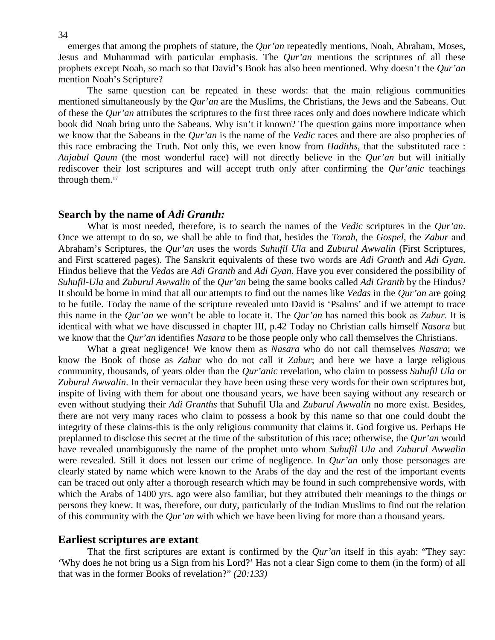34

emerges that among the prophets of stature, the *Qur'an* repeatedly mentions, Noah, Abraham, Moses, Jesus and Muhammad with particular emphasis. The *Qur'an* mentions the scriptures of all these prophets except Noah, so mach so that David's Book has also been mentioned. Why doesn't the *Qur'an*  mention Noah's Scripture?

 The same question can be repeated in these words: that the main religious communities mentioned simultaneously by the *Qur'an* are the Muslims, the Christians, the Jews and the Sabeans. Out of these the *Qur'an* attributes the scriptures to the first three races only and does nowhere indicate which book did Noah bring unto the Sabeans. Why isn't it known? The question gains more importance when we know that the Sabeans in the *Qur'an* is the name of the *Vedic* races and there are also prophecies of this race embracing the Truth. Not only this, we even know from *Hadiths*, that the substituted race : *Aajabul Qaum* (the most wonderful race) will not directly believe in the *Qur'an* but will initially rediscover their lost scriptures and will accept truth only after confirming the *Qur'anic* teachings through them.<sup>17</sup>

#### **Search by the name of** *Adi Granth:*

What is most needed, therefore, is to search the names of the *Vedic* scriptures in the *Qur'an*. Once we attempt to do so, we shall be able to find that, besides the *Torah*, the *Gospel*, the *Zabur* and Abraham's Scriptures, the *Qur'an* uses the words *Suhufil Ula* and *Zuburul Awwalin* (First Scriptures, and First scattered pages). The Sanskrit equivalents of these two words are *Adi Granth* and *Adi Gyan*. Hindus believe that the *Vedas* are *Adi Granth* and *Adi Gyan*. Have you ever considered the possibility of *Suhufil-Ula* and *Zuburul Awwalin* of the *Qur'an* being the same books called *Adi Granth* by the Hindus? It should be borne in mind that all our attempts to find out the names like *Vedas* in the *Qur'an* are going to be futile. Today the name of the scripture revealed unto David is 'Psalms' and if we attempt to trace this name in the *Qur'an* we won't be able to locate it. The *Qur'an* has named this book as *Zabur*. It is identical with what we have discussed in chapter III, p.42 Today no Christian calls himself *Nasara* but we know that the *Qur'an* identifies *Nasara* to be those people only who call themselves the Christians.

 What a great negligence! We know them as *Nasara* who do not call themselves *Nasara*; we know the Book of those as *Zabur* who do not call it *Zabur*; and here we have a large religious community, thousands, of years older than the *Qur'anic* revelation, who claim to possess *Suhufil Ula* or *Zuburul Awwalin*. In their vernacular they have been using these very words for their own scriptures but, inspite of living with them for about one thousand years, we have been saying without any research or even without studying their *Adi Granths* that Suhufil Ula and *Zuburul Awwalin* no more exist. Besides, there are not very many races who claim to possess a book by this name so that one could doubt the integrity of these claims-this is the only religious community that claims it. God forgive us. Perhaps He preplanned to disclose this secret at the time of the substitution of this race; otherwise, the *Qur'an* would have revealed unambiguously the name of the prophet unto whom *Suhufil Ula* and *Zuburul Awwalin*  were revealed. Still it does not lessen our crime of negligence. In *Qur'an* only those personages are clearly stated by name which were known to the Arabs of the day and the rest of the important events can be traced out only after a thorough research which may be found in such comprehensive words, with which the Arabs of 1400 yrs. ago were also familiar, but they attributed their meanings to the things or persons they knew. It was, therefore, our duty, particularly of the Indian Muslims to find out the relation of this community with the *Qur'an* with which we have been living for more than a thousand years.

## **Earliest scriptures are extant**

That the first scriptures are extant is confirmed by the *Qur'an* itself in this ayah: "They say: 'Why does he not bring us a Sign from his Lord?' Has not a clear Sign come to them (in the form) of all that was in the former Books of revelation?" *(20:133)*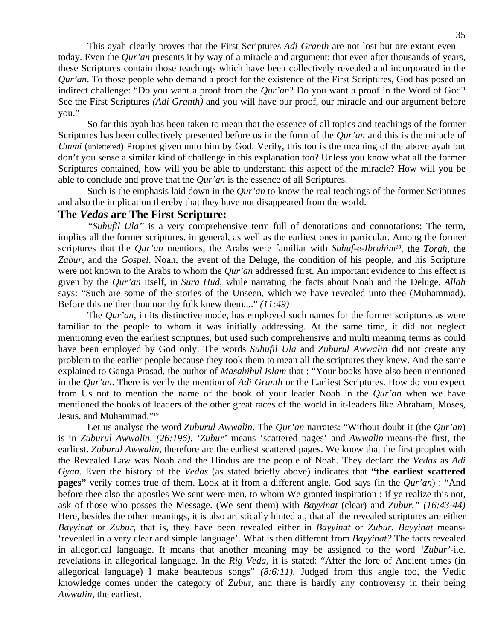This ayah clearly proves that the First Scriptures *Adi Granth* are not lost but are extant even today. Even the *Qur'an* presents it by way of a miracle and argument: that even after thousands of years, these Scriptures contain those teachings which have been collectively revealed and incorporated in the *Qur'an*. To those people who demand a proof for the existence of the First Scriptures, God has posed an indirect challenge: "Do you want a proof from the *Qur'an*? Do you want a proof in the Word of God? See the First Scriptures *(Adi Granth)* and you will have our proof, our miracle and our argument before you."

 So far this ayah has been taken to mean that the essence of all topics and teachings of the former Scriptures has been collectively presented before us in the form of the *Qur'an* and this is the miracle of *Ummi* (unlettered) Prophet given unto him by God. Verily, this too is the meaning of the above ayah but don't you sense a similar kind of challenge in this explanation too? Unless you know what all the former Scriptures contained, how will you be able to understand this aspect of the miracle? How will you be able to conclude and prove that the *Qur'an* is the essence of all Scriptures.

 Such is the emphasis laid down in the *Qur'an* to know the real teachings of the former Scriptures and also the implication thereby that they have not disappeared from the world.

# **The** *Vedas* **are The First Scripture:**

*"Suhufil Ula"* is a very comprehensive term full of denotations and connotations: The term, implies all the former scriptures, in general, as well as the earliest ones in particular. Among the former scriptures that the *Qur'an* mentions, the Arabs were familiar with *Suhuf-e-Ibrahim18*, the *Torah*, the *Zabur*, and the *Gospel*. Noah, the event of the Deluge, the condition of his people, and his Scripture were not known to the Arabs to whom the *Qur'an* addressed first. An important evidence to this effect is given by the *Qur'an* itself, in *Sura Hud*, while narrating the facts about Noah and the Deluge, *Allah*  says: "Such are some of the stories of the Unseen, which we have revealed unto thee (Muhammad). Before this neither thou nor thy folk knew them...." *(11:49)*

The *Qur'an*, in its distinctive mode, has employed such names for the former scriptures as were familiar to the people to whom it was initially addressing. At the same time, it did not neglect mentioning even the earliest scriptures, but used such comprehensive and multi meaning terms as could have been employed by God only. The words *Suhufil Ula* and *Zuburul Awwalin* did not create any problem to the earlier people because they took them to mean all the scriptures they knew. And the same explained to Ganga Prasad, the author of *Masabihul Islam* that : "Your books have also been mentioned in the *Qur'an*. There is verily the mention of *Adi Granth* or the Earliest Scriptures. How do you expect from Us not to mention the name of the book of your leader Noah in the *Qur'an* when we have mentioned the books of leaders of the other great races of the world in it-leaders like Abraham, Moses, Jesus, and Muhammad."19

 Let us analyse the word *Zuburul Awwalin*. The *Qur'an* narrates: "Without doubt it (the *Qur'an*) is in *Zuburul Awwalin*. *(26:196)*. *'Zubur'* means 'scattered pages' and *Awwalin* means-the first, the earliest. *Zuburul Awwalin*, therefore are the earliest scattered pages. We know that the first prophet with the Revealed Law was Noah and the Hindus are the people of Noah. They declare the *Vedas* as *Adi Gyan*. Even the history of the *Vedas* (as stated briefly above) indicates that **"the earliest scattered pages"** verily comes true of them. Look at it from a different angle. God says (in the *Qur'an*) : "And before thee also the apostles We sent were men, to whom We granted inspiration : if ye realize this not, ask of those who posses the Message. (We sent them) with *Bayyinat* (clear) and *Zubur." (16:43-44)*  Here, besides the other meanings, it is also artistically hinted at, that all the revealed scriptures are either *Bayyinat* or *Zubur*, that is, they have been revealed either in *Bayyinat* or *Zubur*. *Bayyinat* means- 'revealed in a very clear and simple language'. What is then different from *Bayyinat?* The facts revealed in allegorical language. It means that another meaning may be assigned to the word *'Zubur'*-i.e. revelations in allegorical language. In the *Rig Veda*, it is stated: "After the lore of Ancient times (in allegorical language) I make beauteous songs" *(8:6:11)*. Judged from this angle too, the Vedic knowledge comes under the category of *Zubu*r, and there is hardly any controversy in their being *Awwalin*, the earliest.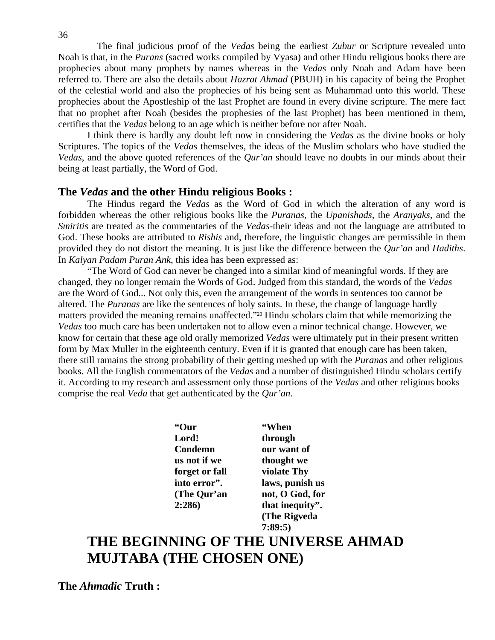The final judicious proof of the *Vedas* being the earliest *Zubur* or Scripture revealed unto Noah is that, in the *Purans* (sacred works compiled by Vyasa) and other Hindu religious books there are prophecies about many prophets by names whereas in the *Vedas* only Noah and Adam have been referred to. There are also the details about *Hazrat Ahmad* (PBUH) in his capacity of being the Prophet of the celestial world and also the prophecies of his being sent as Muhammad unto this world. These prophecies about the Apostleship of the last Prophet are found in every divine scripture. The mere fact that no prophet after Noah (besides the prophesies of the last Prophet) has been mentioned in them, certifies that the *Vedas* belong to an age which is neither before nor after Noah.

 I think there is hardly any doubt left now in considering the *Vedas* as the divine books or holy Scriptures. The topics of the *Vedas* themselves, the ideas of the Muslim scholars who have studied the *Vedas*, and the above quoted references of the *Qur'an* should leave no doubts in our minds about their being at least partially, the Word of God.

# **The** *Vedas* **and the other Hindu religious Books :**

The Hindus regard the *Vedas* as the Word of God in which the alteration of any word is forbidden whereas the other religious books like the *Puranas*, the *Upanishads*, the *Aranyaks*, and the *Smiritis* are treated as the commentaries of the *Vedas*-their ideas and not the language are attributed to God. These books are attributed to *Rishis* and, therefore, the linguistic changes are permissible in them provided they do not distort the meaning. It is just like the difference between the *Qur'an* and *Hadiths*. In *Kalyan Padam Puran Ank*, this idea has been expressed as:

 "The Word of God can never be changed into a similar kind of meaningful words. If they are changed, they no longer remain the Words of God. Judged from this standard, the words of the *Vedas*  are the Word of God... Not only this, even the arrangement of the words in sentences too cannot be altered. The *Puranas* are like the sentences of holy saints. In these, the change of language hardly matters provided the meaning remains unaffected."20 Hindu scholars claim that while memorizing the *Vedas* too much care has been undertaken not to allow even a minor technical change. However, we know for certain that these age old orally memorized *Vedas* were ultimately put in their present written form by Max Muller in the eighteenth century. Even if it is granted that enough care has been taken, there still ramains the strong probability of their getting meshed up with the *Puranas* and other religious books. All the English commentators of the *Vedas* and a number of distinguished Hindu scholars certify it. According to my research and assessment only those portions of the *Vedas* and other religious books comprise the real *Veda* that get authenticated by the *Qur'an*.

 **"Our "When Lord! through Condemn our want of us not if we thought we forget or fall violate Thy** 

 **into error". laws, punish us (The Qur'an not, O God, for 2:286) that inequity". (The Rigveda 7:89:5)** 

# **THE BEGINNING OF THE UNIVERSE AHMAD MUJTABA (THE CHOSEN ONE)**

**The** *Ahmadic* **Truth :**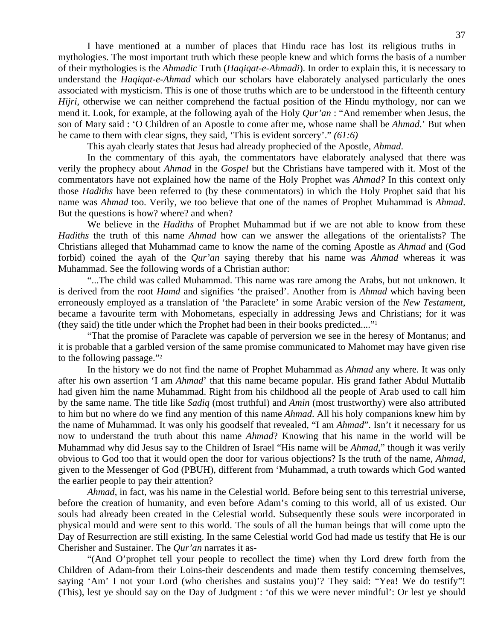I have mentioned at a number of places that Hindu race has lost its religious truths in mythologies. The most important truth which these people knew and which forms the basis of a number of their mythologies is the *Ahmadic* Truth (*Haqiqat-e-Ahmadi*). In order to explain this, it is necessary to understand the *Haqiqat-e-Ahmad* which our scholars have elaborately analysed particularly the ones associated with mysticism. This is one of those truths which are to be understood in the fifteenth century *Hijri*, otherwise we can neither comprehend the factual position of the Hindu mythology, nor can we mend it. Look, for example, at the following ayah of the Holy *Qur'an* : "And remember when Jesus, the son of Mary said : 'O Children of an Apostle to come after me, whose name shall be *Ahmad*.' But when he came to them with clear signs, they said, 'This is evident sorcery'." *(61:6)*

This ayah clearly states that Jesus had already prophecied of the Apostle, *Ahmad*.

 In the commentary of this ayah, the commentators have elaborately analysed that there was verily the prophecy about *Ahmad* in the *Gospel* but the Christians have tampered with it. Most of the commentators have not explained how the name of the Holy Prophet was *Ahmad?* In this context only those *Hadiths* have been referred to (by these commentators) in which the Holy Prophet said that his name was *Ahmad* too. Verily, we too believe that one of the names of Prophet Muhammad is *Ahmad*. But the questions is how? where? and when?

 We believe in the *Hadiths* of Prophet Muhammad but if we are not able to know from these *Hadiths* the truth of this name *Ahmad* how can we answer the allegations of the orientalists? The Christians alleged that Muhammad came to know the name of the coming Apostle as *Ahmad* and (God forbid) coined the ayah of the *Qur'an* saying thereby that his name was *Ahmad* whereas it was Muhammad. See the following words of a Christian author:

 "...The child was called Muhammad. This name was rare among the Arabs, but not unknown. It is derived from the root *Hamd* and signifies 'the praised'. Another from is *Ahmad* which having been erroneously employed as a translation of 'the Paraclete' in some Arabic version of the *New Testament*, became a favourite term with Mohometans, especially in addressing Jews and Christians; for it was (they said) the title under which the Prophet had been in their books predicted...."1

 "That the promise of Paraclete was capable of perversion we see in the heresy of Montanus; and it is probable that a garbled version of the same promise communicated to Mahomet may have given rise to the following passage."2

 In the history we do not find the name of Prophet Muhammad as *Ahmad* any where. It was only after his own assertion 'I am *Ahmad*' that this name became popular. His grand father Abdul Muttalib had given him the name Muhammad. Right from his childhood all the people of Arab used to call him by the same name. The title like *Sadiq* (most truthful) and *Amin* (most trustworthy) were also attributed to him but no where do we find any mention of this name *Ahmad*. All his holy companions knew him by the name of Muhammad. It was only his goodself that revealed, "I am *Ahmad*". Isn't it necessary for us now to understand the truth about this name *Ahmad*? Knowing that his name in the world will be Muhammad why did Jesus say to the Children of Israel "His name will be *Ahmad*," though it was verily obvious to God too that it would open the door for various objections? Is the truth of the name, *Ahmad*, given to the Messenger of God (PBUH), different from 'Muhammad, a truth towards which God wanted the earlier people to pay their attention?

*Ahmad*, in fact, was his name in the Celestial world. Before being sent to this terrestrial universe, before the creation of humanity, and even before Adam's coming to this world, all of us existed. Our souls had already been created in the Celestial world. Subsequently these souls were incorporated in physical mould and were sent to this world. The souls of all the human beings that will come upto the Day of Resurrection are still existing. In the same Celestial world God had made us testify that He is our Cherisher and Sustainer. The *Qur'an* narrates it as-

 "(And O'prophet tell your people to recollect the time) when thy Lord drew forth from the Children of Adam-from their Loins-their descendents and made them testify concerning themselves, saying 'Am' I not your Lord (who cherishes and sustains you)'? They said: "Yea! We do testify"! (This), lest ye should say on the Day of Judgment : 'of this we were never mindful': Or lest ye should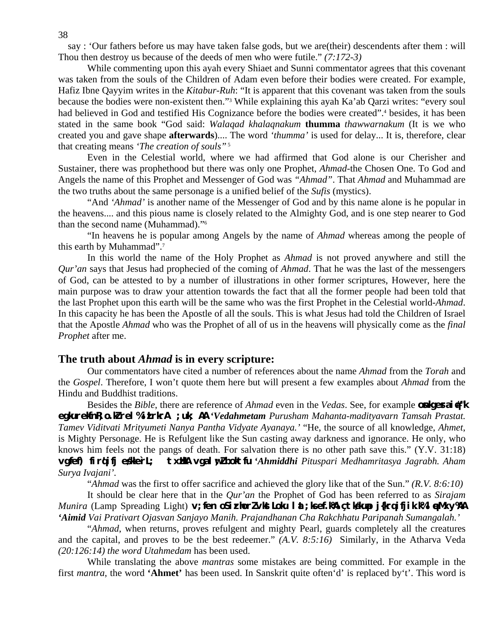say : 'Our fathers before us may have taken false gods, but we are(their) descendents after them : will Thou then destroy us because of the deeds of men who were futile." *(7:172-3)* 

 While commenting upon this ayah every Shiaet and Sunni commentator agrees that this covenant was taken from the souls of the Children of Adam even before their bodies were created. For example, Hafiz Ibne Qayyim writes in the *Kitabur-Ruh*: "It is apparent that this covenant was taken from the souls because the bodies were non-existent then."3 While explaining this ayah Ka'ab Qarzi writes: "every soul had believed in God and testified His Cognizance before the bodies were created".<sup>4</sup> besides, it has been stated in the same book "God said: *Walaqad khalaqnakum* **thumma** *thawwarnakum* (It is we who created you and gave shape **afterwards**).... The word *'thumma'* is used for delay... It is, therefore, clear that creating means *'The creation of souls"* 5

 Even in the Celestial world, where we had affirmed that God alone is our Cherisher and Sustainer, there was prophethood but there was only one Prophet, *Ahmad*-the Chosen One. To God and Angels the name of this Prophet and Messenger of God was *"Ahmad"*. That *Ahmad* and Muhammad are the two truths about the same personage is a unified belief of the *Sufis* (mystics).

 "And *'Ahmad'* is another name of the Messenger of God and by this name alone is he popular in the heavens.... and this pious name is closely related to the Almighty God, and is one step nearer to God than the second name (Muhammad)."6

 "In heavens he is popular among Angels by the name of *Ahmad* whereas among the people of this earth by Muhammad".7

 In this world the name of the Holy Prophet as *Ahmad* is not proved anywhere and still the *Qur'an* says that Jesus had prophecied of the coming of *Ahmad*. That he was the last of the messengers of God, can be attested to by a number of illustrations in other former scriptures, However, here the main purpose was to draw your attention towards the fact that all the former people had been told that the last Prophet upon this earth will be the same who was the first Prophet in the Celestial world-*Ahmad*. In this capacity he has been the Apostle of all the souls. This is what Jesus had told the Children of Israel that the Apostle *Ahmad* who was the Prophet of all of us in the heavens will physically come as the *final Prophet* after me.

#### **The truth about** *Ahmad* **is in every scripture:**

Our commentators have cited a number of references about the name *Ahmad* from the *Torah* and the *Gospel*. Therefore, I won't quote them here but will present a few examples about *Ahmad* from the Hindu and Buddhist traditions.

Besides the *Bible*, there are reference of *Ahmad* even in the *Vedas*. See, for example **only example egkurekfnR;o.kZ rel% izLrkrA ;uk; AA** *'Vedahmetam Purusham Mahanta-madityavarn Tamsah Prastat. Tamev Viditvati Mrityumeti Nanya Pantha Vidyate Ayanaya.'* "He, the source of all knowledge, *Ahmet*, is Mighty Personage. He is Refulgent like the Sun casting away darkness and ignorance. He only, who knows him feels not the pangs of death. For salvation there is no other path save this." (Y.V. 31:18) **vgfef) firqifj eslle`rL; txilla vgal w?boktfu** 'Ahmiddhi Pituspari Medhamritasya Jagrabh. Aham *Surya Ivajani'.* 

"*Ahmad* was the first to offer sacrifice and achieved the glory like that of the Sun." *(R.V. 8:6:10)*

 It should be clear here that in the *Qur'an* the Prophet of God has been referred to as *Sirajam Munira (L*amp Spreading Light) **v;fen oSirlorZvktLoku l &;ksef.k% çtk#up j{krqifjik.k%I eMxy%A** *'Aimid Vai Prativart Ojasvan Sanjayo Manih. Prajandhanan Cha Rakchhatu Paripanah Sumangalah.'*

 "*Ahmad*, when returns, proves refulgent and mighty Pearl, guards completely all the creatures and the capital, and proves to be the best redeemer." *(A.V. 8:5:16)* Similarly, in the Atharva Veda *(20:126:14) the word Utahmedam* has been used.

 While translating the above *mantras* some mistakes are being committed. For example in the first *mantra*, the word **'Ahmet'** has been used. In Sanskrit quite often'd' is replaced by't'. This word is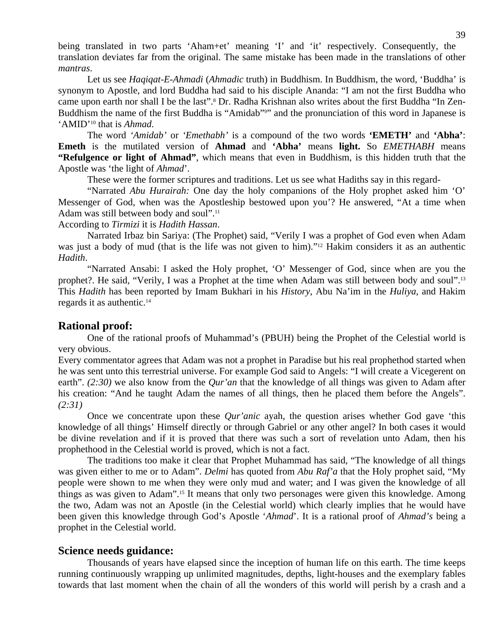being translated in two parts 'Aham+et' meaning 'I' and 'it' respectively. Consequently, the translation deviates far from the original. The same mistake has been made in the translations of other *mantras*.

 Let us see *Haqiqat-E-Ahmadi* (*Ahmadic* truth) in Buddhism. In Buddhism, the word, 'Buddha' is synonym to Apostle, and lord Buddha had said to his disciple Ananda: "I am not the first Buddha who came upon earth nor shall I be the last".<sup>8</sup> Dr. Radha Krishnan also writes about the first Buddha "In Zen-Buddhism the name of the first Buddha is "Amidab"<sup>91</sup> and the pronunciation of this word in Japanese is 'AMID'10 that is *Ahmad*.

 The word *'Amidab'* or *'Emethabh'* is a compound of the two words **'EMETH'** and **'Abha'**: **Emeth** is the mutilated version of **Ahmad** and **'Abha'** means **light.** So *EMETHABH* means **"Refulgence or light of Ahmad"**, which means that even in Buddhism, is this hidden truth that the Apostle was 'the light of *Ahmad*'.

These were the former scriptures and traditions. Let us see what Hadiths say in this regard-

 "Narrated *Abu Hurairah:* One day the holy companions of the Holy prophet asked him 'O' Messenger of God, when was the Apostleship bestowed upon you'? He answered, "At a time when Adam was still between body and soul".11

According to *Tirmizi* it is *Hadith Hassan*.

 Narrated Irbaz bin Sariya: (The Prophet) said, "Verily I was a prophet of God even when Adam was just a body of mud (that is the life was not given to him)."12 Hakim considers it as an authentic *Hadith*.

 "Narrated Ansabi: I asked the Holy prophet, 'O' Messenger of God, since when are you the prophet?. He said, "Verily, I was a Prophet at the time when Adam was still between body and soul".13 This *Hadith* has been reported by Imam Bukhari in his *History*, Abu Na'im in the *Huliya*, and Hakim regards it as authentic.<sup>14</sup>

#### **Rational proof:**

One of the rational proofs of Muhammad's (PBUH) being the Prophet of the Celestial world is very obvious.

Every commentator agrees that Adam was not a prophet in Paradise but his real prophethod started when he was sent unto this terrestrial universe. For example God said to Angels: "I will create a Vicegerent on earth". *(2:30)* we also know from the *Qur'an* that the knowledge of all things was given to Adam after his creation: "And he taught Adam the names of all things, then he placed them before the Angels". *(2:31)* 

 Once we concentrate upon these *Qur'anic* ayah, the question arises whether God gave 'this knowledge of all things' Himself directly or through Gabriel or any other angel? In both cases it would be divine revelation and if it is proved that there was such a sort of revelation unto Adam, then his prophethood in the Celestial world is proved, which is not a fact.

 The traditions too make it clear that Prophet Muhammad has said, "The knowledge of all things was given either to me or to Adam". *Delmi* has quoted from *Abu Raf'a* that the Holy prophet said, "My people were shown to me when they were only mud and water; and I was given the knowledge of all things as was given to Adam".15 It means that only two personages were given this knowledge. Among the two, Adam was not an Apostle (in the Celestial world) which clearly implies that he would have been given this knowledge through God's Apostle '*Ahmad*'. It is a rational proof of *Ahmad's* being a prophet in the Celestial world.

#### **Science needs guidance:**

Thousands of years have elapsed since the inception of human life on this earth. The time keeps running continuously wrapping up unlimited magnitudes, depths, light-houses and the exemplary fables towards that last moment when the chain of all the wonders of this world will perish by a crash and a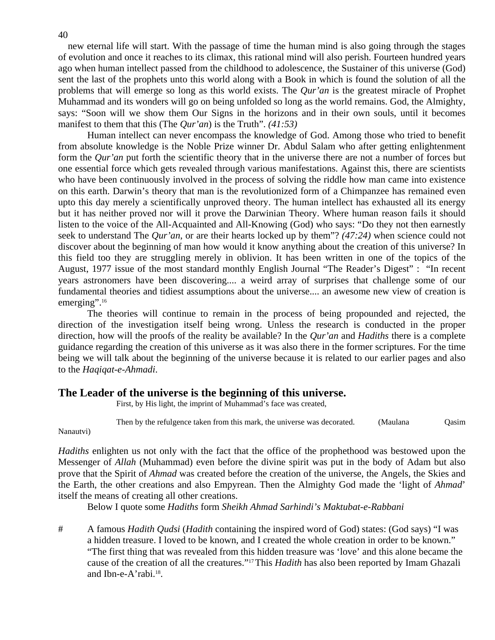new eternal life will start. With the passage of time the human mind is also going through the stages of evolution and once it reaches to its climax, this rational mind will also perish. Fourteen hundred years ago when human intellect passed from the childhood to adolescence, the Sustainer of this universe (God) sent the last of the prophets unto this world along with a Book in which is found the solution of all the problems that will emerge so long as this world exists. The *Qur'an* is the greatest miracle of Prophet Muhammad and its wonders will go on being unfolded so long as the world remains. God, the Almighty, says: "Soon will we show them Our Signs in the horizons and in their own souls, until it becomes manifest to them that this (The *Qur'an*) is the Truth". *(41:53)* 

 Human intellect can never encompass the knowledge of God. Among those who tried to benefit from absolute knowledge is the Noble Prize winner Dr. Abdul Salam who after getting enlightenment form the *Qur'an* put forth the scientific theory that in the universe there are not a number of forces but one essential force which gets revealed through various manifestations. Against this, there are scientists who have been continuously involved in the process of solving the riddle how man came into existence on this earth. Darwin's theory that man is the revolutionized form of a Chimpanzee has remained even upto this day merely a scientifically unproved theory. The human intellect has exhausted all its energy but it has neither proved nor will it prove the Darwinian Theory. Where human reason fails it should listen to the voice of the All-Acquainted and All-Knowing (God) who says: "Do they not then earnestly seek to understand The *Qur'an*, or are their hearts locked up by them"? *(47:24)* when science could not discover about the beginning of man how would it know anything about the creation of this universe? In this field too they are struggling merely in oblivion. It has been written in one of the topics of the August, 1977 issue of the most standard monthly English Journal "The Reader's Digest" : "In recent years astronomers have been discovering.... a weird array of surprises that challenge some of our fundamental theories and tidiest assumptions about the universe.... an awesome new view of creation is emerging".<sup>16</sup>

 The theories will continue to remain in the process of being propounded and rejected, the direction of the investigation itself being wrong. Unless the research is conducted in the proper direction, how will the proofs of the reality be available? In the *Qur'an* and *Hadiths* there is a complete guidance regarding the creation of this universe as it was also there in the former scriptures. For the time being we will talk about the beginning of the universe because it is related to our earlier pages and also to the *Haqiqat-e-Ahmadi*.

#### **The Leader of the universe is the beginning of this universe.**

First, by His light, the imprint of Muhammad's face was created,

Then by the refulgence taken from this mark, the universe was decorated. (Maulana Qasim

Nanautvi)

*Hadiths* enlighten us not only with the fact that the office of the prophethood was bestowed upon the Messenger of *Allah* (Muhammad) even before the divine spirit was put in the body of Adam but also prove that the Spirit of *Ahmad* was created before the creation of the universe, the Angels, the Skies and the Earth, the other creations and also Empyrean. Then the Almighty God made the 'light of *Ahmad*' itself the means of creating all other creations.

Below I quote some *Hadiths* form *Sheikh Ahmad Sarhindi's Maktubat-e-Rabbani* 

# A famous *Hadith Qudsi* (*Hadith* containing the inspired word of God) states: (God says) "I was a hidden treasure. I loved to be known, and I created the whole creation in order to be known." "The first thing that was revealed from this hidden treasure was 'love' and this alone became the cause of the creation of all the creatures."17 This *Hadith* has also been reported by Imam Ghazali and Ibn-e-A'rabi.18.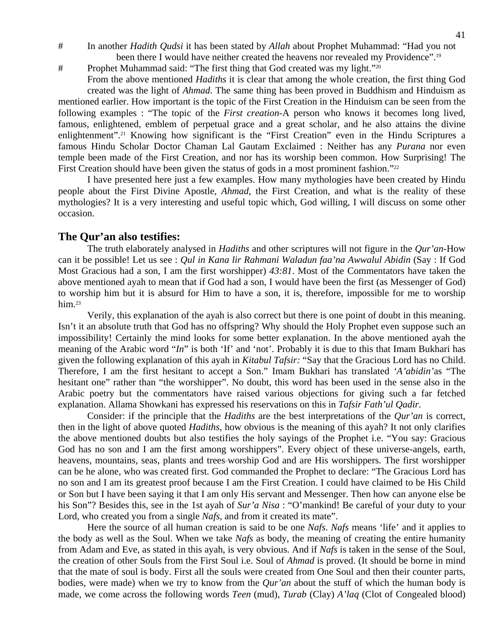# In another *Hadith Qudsi* it has been stated by *Allah* about Prophet Muhammad: "Had you not been there I would have neither created the heavens nor revealed my Providence".<sup>19</sup>

# Prophet Muhammad said: "The first thing that God created was my light."20

 From the above mentioned *Hadiths* it is clear that among the whole creation, the first thing God created was the light of *Ahmad*. The same thing has been proved in Buddhism and Hinduism as mentioned earlier. How important is the topic of the First Creation in the Hinduism can be seen from the following examples : "The topic of the *First creation*-A person who knows it becomes long lived, famous, enlightened, emblem of perpetual grace and a great scholar, and he also attains the divine enlightenment".<sup>21</sup> Knowing how significant is the "First Creation" even in the Hindu Scriptures a famous Hindu Scholar Doctor Chaman Lal Gautam Exclaimed : Neither has any *Purana* nor even temple been made of the First Creation, and nor has its worship been common. How Surprising! The First Creation should have been given the status of gods in a most prominent fashion."<sup>22</sup>

 I have presented here just a few examples. How many mythologies have been created by Hindu people about the First Divine Apostle, *Ahmad*, the First Creation, and what is the reality of these mythologies? It is a very interesting and useful topic which, God willing, I will discuss on some other occasion.

#### **The Qur'an also testifies:**

The truth elaborately analysed in *Hadiths* and other scriptures will not figure in the *Qur'an*-How can it be possible! Let us see : *Qul in Kana lir Rahmani Waladun faa'na Awwalul Abidin* (Say : If God Most Gracious had a son, I am the first worshipper) *43:81*. Most of the Commentators have taken the above mentioned ayah to mean that if God had a son, I would have been the first (as Messenger of God) to worship him but it is absurd for Him to have a son, it is, therefore, impossible for me to worship him.<sup>23</sup>

 Verily, this explanation of the ayah is also correct but there is one point of doubt in this meaning. Isn't it an absolute truth that God has no offspring? Why should the Holy Prophet even suppose such an impossibility! Certainly the mind looks for some better explanation. In the above mentioned ayah the meaning of the Arabic word "*In*" is both 'If' and 'not'. Probably it is due to this that Imam Bukhari has given the following explanation of this ayah in *Kitabul Tafsir:* "Say that the Gracious Lord has no Child. Therefore, I am the first hesitant to accept a Son." Imam Bukhari has translated *'A'abidin'*as "The hesitant one" rather than "the worshipper". No doubt, this word has been used in the sense also in the Arabic poetry but the commentators have raised various objections for giving such a far fetched explanation. Allama Showkani has expressed his reservations on this in *Tafsir Fath'ul Qadir*.

 Consider: if the principle that the *Hadiths* are the best interpretations of the *Qur'an* is correct, then in the light of above quoted *Hadiths*, how obvious is the meaning of this ayah? It not only clarifies the above mentioned doubts but also testifies the holy sayings of the Prophet i.e. "You say: Gracious God has no son and I am the first among worshippers". Every object of these universe-angels, earth, heavens, mountains, seas, plants and trees-worship God and are His worshippers. The first worshipper can be he alone, who was created first. God commanded the Prophet to declare: "The Gracious Lord has no son and I am its greatest proof because I am the First Creation. I could have claimed to be His Child or Son but I have been saying it that I am only His servant and Messenger. Then how can anyone else be his Son"? Besides this, see in the 1st ayah of *Sur'a Nisa* : "O'mankind! Be careful of your duty to your Lord, who created you from a single *Nafs*, and from it created its mate".

 Here the source of all human creation is said to be one *Nafs*. *Nafs* means 'life' and it applies to the body as well as the Soul. When we take *Nafs* as body, the meaning of creating the entire humanity from Adam and Eve, as stated in this ayah, is very obvious. And if *Nafs* is taken in the sense of the Soul, the creation of other Souls from the First Soul i.e. Soul of *Ahmad* is proved. (It should be borne in mind that the mate of soul is body. First all the souls were created from One Soul and then their counter parts, bodies, were made) when we try to know from the *Qur'an* about the stuff of which the human body is made, we come across the following words *Teen* (mud), *Turab* (Clay) *A'laq* (Clot of Congealed blood)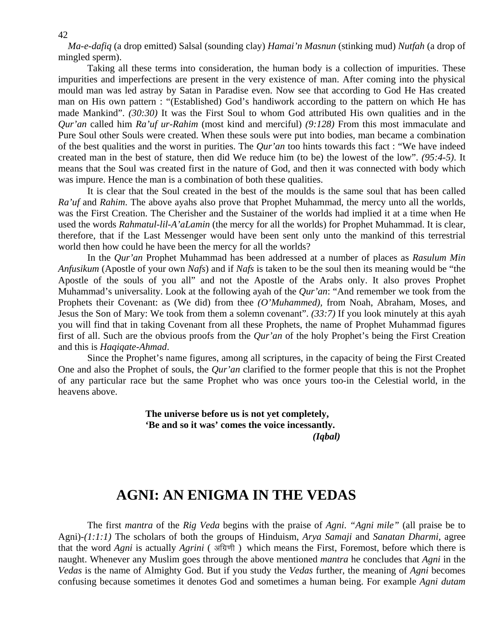*Ma-e-dafiq* (a drop emitted) Salsal (sounding clay) *Hamai'n Masnun* (stinking mud) *Nutfah* (a drop of mingled sperm).

 Taking all these terms into consideration, the human body is a collection of impurities. These impurities and imperfections are present in the very existence of man. After coming into the physical mould man was led astray by Satan in Paradise even. Now see that according to God He Has created man on His own pattern : "(Established) God's handiwork according to the pattern on which He has made Mankind". *(30:30)* It was the First Soul to whom God attributed His own qualities and in the *Qur'an* called him *Ra'uf ur-Rahim* (most kind and merciful) *(9:128)* From this most immaculate and Pure Soul other Souls were created. When these souls were put into bodies, man became a combination of the best qualities and the worst in purities. The *Qur'an* too hints towards this fact : "We have indeed created man in the best of stature, then did We reduce him (to be) the lowest of the low". *(95:4-5)*. It means that the Soul was created first in the nature of God, and then it was connected with body which was impure. Hence the man is a combination of both these qualities.

 It is clear that the Soul created in the best of the moulds is the same soul that has been called *Ra'uf* and *Rahim*. The above ayahs also prove that Prophet Muhammad, the mercy unto all the worlds, was the First Creation. The Cherisher and the Sustainer of the worlds had implied it at a time when He used the words *Rahmatul-lil-A'aLamin* (the mercy for all the worlds) for Prophet Muhammad. It is clear, therefore, that if the Last Messenger would have been sent only unto the mankind of this terrestrial world then how could he have been the mercy for all the worlds?

 In the *Qur'an* Prophet Muhammad has been addressed at a number of places as *Rasulum Min Anfusikum* (Apostle of your own *Nafs*) and if *Nafs* is taken to be the soul then its meaning would be "the Apostle of the souls of you all" and not the Apostle of the Arabs only. It also proves Prophet Muhammad's universality. Look at the following ayah of the *Qur'an*: "And remember we took from the Prophets their Covenant: as (We did) from thee *(O'Muhammed),* from Noah, Abraham, Moses, and Jesus the Son of Mary: We took from them a solemn covenant". *(33:7)* If you look minutely at this ayah you will find that in taking Covenant from all these Prophets, the name of Prophet Muhammad figures first of all. Such are the obvious proofs from the *Qur'an* of the holy Prophet's being the First Creation and this is *Haqiqate-Ahmad*.

 Since the Prophet's name figures, among all scriptures, in the capacity of being the First Created One and also the Prophet of souls, the *Qur'an* clarified to the former people that this is not the Prophet of any particular race but the same Prophet who was once yours too-in the Celestial world, in the heavens above.

 **The universe before us is not yet completely, 'Be and so it was' comes the voice incessantly.** *(Iqbal)*

### **AGNI: AN ENIGMA IN THE VEDAS**

The first *mantra* of the *Rig Veda* begins with the praise of *Agni*. *"Agni mile"* (all praise be to Agni)-*(1:1:1)* The scholars of both the groups of Hinduism, *Arya Samaji* and *Sanatan Dharmi*, agree that the word *Agni* is actually *Agrini* (अग्रिणी) which means the First, Foremost, before which there is naught. Whenever any Muslim goes through the above mentioned *mantra* he concludes that *Agni* in the *Vedas* is the name of Almighty God. But if you study the *Vedas* further, the meaning of *Agni* becomes confusing because sometimes it denotes God and sometimes a human being. For example *Agni dutam*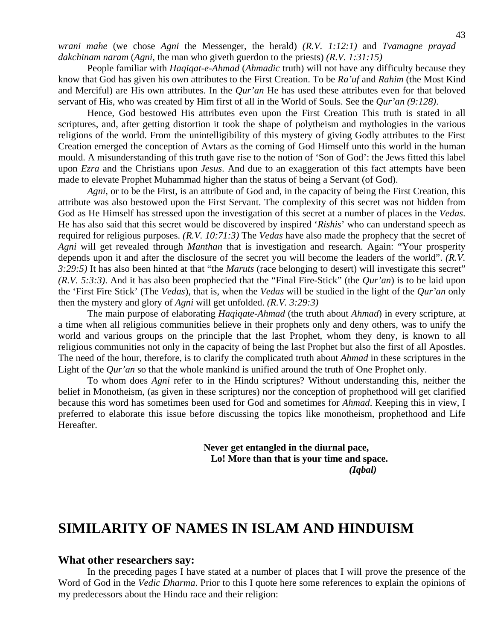*wrani mahe* (we chose *Agni* the Messenger, the herald) *(R.V. 1:12:1)* and *Tvamagne prayad dakchinam naram* (*Agni,* the man who giveth guerdon to the priests) *(R.V. 1:31:15)*

 People familiar with *Haqiqat-e-Ahmad* (*Ahmadic* truth) will not have any difficulty because they know that God has given his own attributes to the First Creation. To be *Ra'uf* and *Rahim* (the Most Kind and Merciful) are His own attributes. In the *Qur'an* He has used these attributes even for that beloved servant of His, who was created by Him first of all in the World of Souls. See the *Qur'an (9:128)*.

 Hence, God bestowed His attributes even upon the First Creation This truth is stated in all scriptures, and, after getting distortion it took the shape of polytheism and mythologies in the various religions of the world. From the unintelligibility of this mystery of giving Godly attributes to the First Creation emerged the conception of Avtars as the coming of God Himself unto this world in the human mould. A misunderstanding of this truth gave rise to the notion of 'Son of God': the Jews fitted this label upon *Ezra* and the Christians upon *Jesus*. And due to an exaggeration of this fact attempts have been made to elevate Prophet Muhammad higher than the status of being a Servant (of God).

*Agni,* or to be the First, is an attribute of God and, in the capacity of being the First Creation, this attribute was also bestowed upon the First Servant. The complexity of this secret was not hidden from God as He Himself has stressed upon the investigation of this secret at a number of places in the *Vedas*. He has also said that this secret would be discovered by inspired '*Rishis*' who can understand speech as required for religious purposes. *(R.V. 10:71:3)* The *Vedas* have also made the prophecy that the secret of *Agni* will get revealed through *Manthan* that is investigation and research. Again: "Your prosperity depends upon it and after the disclosure of the secret you will become the leaders of the world". *(R.V. 3:29:5)* It has also been hinted at that "the *Maruts* (race belonging to desert) will investigate this secret" *(R.V. 5:3:3)*. And it has also been prophecied that the "Final Fire-Stick" (the *Qur'an*) is to be laid upon the 'First Fire Stick' (The *Vedas*), that is, when the *Vedas* will be studied in the light of the *Qur'an* only then the mystery and glory of *Agni* will get unfolded. *(R.V. 3:29:3)* 

 The main purpose of elaborating *Haqiqate-Ahmad* (the truth about *Ahmad*) in every scripture, at a time when all religious communities believe in their prophets only and deny others, was to unify the world and various groups on the principle that the last Prophet, whom they deny, is known to all religious communities not only in the capacity of being the last Prophet but also the first of all Apostles. The need of the hour, therefore, is to clarify the complicated truth about *Ahmad* in these scriptures in the Light of the *Qur'an* so that the whole mankind is unified around the truth of One Prophet only.

 To whom does *Agni* refer to in the Hindu scriptures? Without understanding this, neither the belief in Monotheism, (as given in these scriptures) nor the conception of prophethood will get clarified because this word has sometimes been used for God and sometimes for *Ahmad*. Keeping this in view, I preferred to elaborate this issue before discussing the topics like monotheism, prophethood and Life Hereafter.

 **Never get entangled in the diurnal pace, Lo! More than that is your time and space.**   *(Iqbal)* 

### **SIMILARITY OF NAMES IN ISLAM AND HINDUISM**

#### **What other researchers say:**

In the preceding pages I have stated at a number of places that I will prove the presence of the Word of God in the *Vedic Dharma*. Prior to this I quote here some references to explain the opinions of my predecessors about the Hindu race and their religion: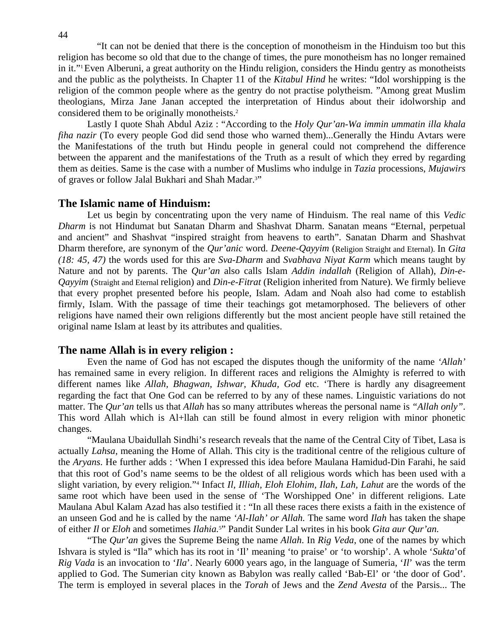"It can not be denied that there is the conception of monotheism in the Hinduism too but this religion has become so old that due to the change of times, the pure monotheism has no longer remained in it."1 Even Alberuni, a great authority on the Hindu religion, considers the Hindu gentry as monotheists and the public as the polytheists. In Chapter 11 of the *Kitabul Hind* he writes: "Idol worshipping is the religion of the common people where as the gentry do not practise polytheism. "Among great Muslim theologians, Mirza Jane Janan accepted the interpretation of Hindus about their idolworship and considered them to be originally monotheists.2

Lastly I quote Shah Abdul Aziz : "According to the *Holy Qur'an-Wa immin ummatin illa khala fiha nazir* (To every people God did send those who warned them)...Generally the Hindu Avtars were the Manifestations of the truth but Hindu people in general could not comprehend the difference between the apparent and the manifestations of the Truth as a result of which they erred by regarding them as deities. Same is the case with a number of Muslims who indulge in *Tazia* processions, *Mujawirs*  of graves or follow Jalal Bukhari and Shah Madar.<sup>3"</sup>

#### **The Islamic name of Hinduism:**

Let us begin by concentrating upon the very name of Hinduism. The real name of this *Vedic Dharm* is not Hindumat but Sanatan Dharm and Shashvat Dharm. Sanatan means "Eternal, perpetual and ancient" and Shashvat "inspired straight from heavens to earth". Sanatan Dharm and Shashvat Dharm therefore, are synonym of the *Qur'anic* word. *Deene-Qayyim* (Religion Straight and Eternal). In *Gita (18: 45, 47)* the words used for this are *Sva-Dharm* and *Svabhava Niyat Karm* which means taught by Nature and not by parents. The *Qur'an* also calls Islam *Addin indallah* (Religion of Allah), *Din-e-Qayyim* (Straight and Eternal religion) and *Din-e-Fitrat* (Religion inherited from Nature). We firmly believe that every prophet presented before his people, Islam. Adam and Noah also had come to establish firmly, Islam. With the passage of time their teachings got metamorphosed. The believers of other religions have named their own religions differently but the most ancient people have still retained the original name Islam at least by its attributes and qualities.

#### **The name Allah is in every religion :**

Even the name of God has not escaped the disputes though the uniformity of the name *'Allah'* has remained same in every religion. In different races and religions the Almighty is referred to with different names like *Allah, Bhagwan, Ishwar, Khuda, God* etc. 'There is hardly any disagreement regarding the fact that One God can be referred to by any of these names. Linguistic variations do not matter. The *Qur'an* tells us that *Allah* has so many attributes whereas the personal name is *"Allah only"*. This word Allah which is Al+llah can still be found almost in every religion with minor phonetic changes.

 "Maulana Ubaidullah Sindhi's research reveals that the name of the Central City of Tibet, Lasa is actually *Lahsa*, meaning the Home of Allah. This city is the traditional centre of the religious culture of the *Aryans*. He further adds : 'When I expressed this idea before Maulana Hamidud-Din Farahi, he said that this root of God's name seems to be the oldest of all religious words which has been used with a slight variation, by every religion."4 Infact *Il, Illiah, Eloh Elohim, Ilah, Lah, Lahut* are the words of the same root which have been used in the sense of 'The Worshipped One' in different religions. Late Maulana Abul Kalam Azad has also testified it : "In all these races there exists a faith in the existence of an unseen God and he is called by the name *'Al-Ilah' or Allah.* The same word *Ilah* has taken the shape of either *Il* or *Eloh* and sometimes *Ilahia.*<sup>5</sup> " Pandit Sunder Lal writes in his book *Gita aur Qur'an.* 

"The *Qur'an* gives the Supreme Being the name *Allah*. In *Rig Veda*, one of the names by which Ishvara is styled is "Ila" which has its root in 'Il' meaning 'to praise' or 'to worship'. A whole '*Sukta*'of *Rig Vada* is an invocation to '*Ila*'. Nearly 6000 years ago, in the language of Sumeria, '*Il*' was the term applied to God. The Sumerian city known as Babylon was really called 'Bab-El' or 'the door of God'. The term is employed in several places in the *Torah* of Jews and the *Zend Avesta* of the Parsis... The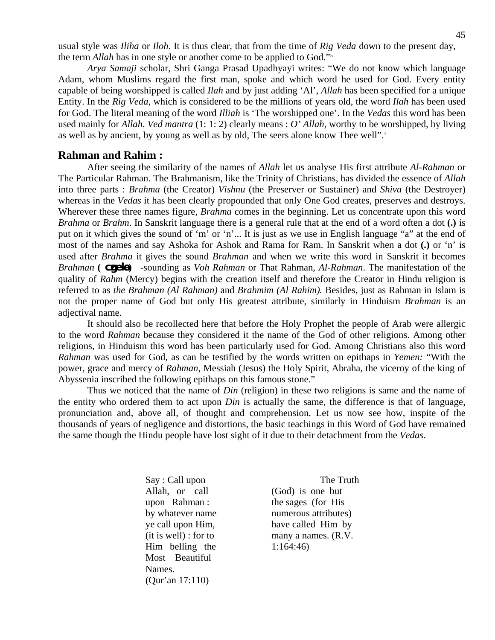usual style was *Iliha* or *Iloh*. It is thus clear, that from the time of *Rig Veda* down to the present day, the term *Allah* has in one style or another come to be applied to God."5

*Arya Samaji* scholar, Shri Ganga Prasad Upadhyayi writes: "We do not know which language Adam, whom Muslims regard the first man, spoke and which word he used for God. Every entity capable of being worshipped is called *Ilah* and by just adding 'Al', *Allah* has been specified for a unique Entity. In the *Rig Veda*, which is considered to be the millions of years old, the word *Ilah* has been used for God. The literal meaning of the word *Illiah* is 'The worshipped one'. In the *Vedas* this word has been used mainly for *Allah*. *Ved mantra* (1: 1: 2) clearly means : *O' Allah,* worthy to be worshipped, by living as well as by ancient, by young as well as by old, The seers alone know Thee well".7

#### **Rahman and Rahim :**

After seeing the similarity of the names of *Allah* let us analyse His first attribute *Al-Rahman* or The Particular Rahman. The Brahmanism, like the Trinity of Christians, has divided the essence of *Allah*  into three parts : *Brahma* (the Creator) *Vishnu* (the Preserver or Sustainer) and *Shiva* (the Destroyer) whereas in the *Vedas* it has been clearly propounded that only One God creates, preserves and destroys. Wherever these three names figure, *Brahma* comes in the beginning. Let us concentrate upon this word *Brahma* or *Brahm*. In Sanskrit language there is a general rule that at the end of a word often a dot **(.)** is put on it which gives the sound of 'm' or 'n'... It is just as we use in English language "a" at the end of most of the names and say Ashoka for Ashok and Rama for Ram. In Sanskrit when a dot **(.)** or 'n' is used after *Brahma* it gives the sound *Brahman* and when we write this word in Sanskrit it becomes *Brahman* **( czjeka )** -sounding as *Voh Rahman* or That Rahman, *Al-Rahman*. The manifestation of the quality of *Rahm* (Mercy) begins with the creation itself and therefore the Creator in Hindu religion is referred to as *the Brahman (Al Rahman)* and *Brahmim (Al Rahim).* Besides, just as Rahman in Islam is not the proper name of God but only His greatest attribute, similarly in Hinduism *Brahman* is an adjectival name.

 It should also be recollected here that before the Holy Prophet the people of Arab were allergic to the word *Rahman* because they considered it the name of the God of other religions. Among other religions, in Hinduism this word has been particularly used for God. Among Christians also this word *Rahman* was used for God, as can be testified by the words written on epithaps in *Yemen:* "With the power, grace and mercy of *Rahman*, Messiah (Jesus) the Holy Spirit, Abraha, the viceroy of the king of Abyssenia inscribed the following epithaps on this famous stone."

 Thus we noticed that the name of *Din* (religion) in these two religions is same and the name of the entity who ordered them to act upon *Din* is actually the same, the difference is that of language, pronunciation and, above all, of thought and comprehension. Let us now see how, inspite of the thousands of years of negligence and distortions, the basic teachings in this Word of God have remained the same though the Hindu people have lost sight of it due to their detachment from the *Vedas*.

> Allah, or call (God) is one but Him belling the  $1:164:46$  Most Beautiful Names. (Qur'an 17:110)

Say : Call upon The Truth upon Rahman : the sages (for His by whatever name numerous attributes) ye call upon Him, have called Him by (it is well) : for to many a names. (R.V.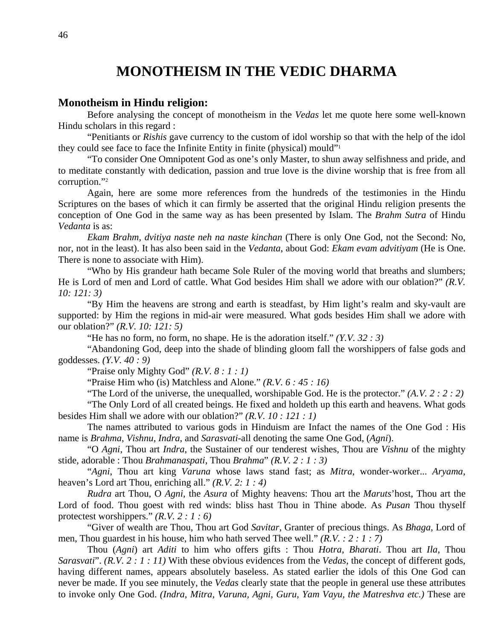### **MONOTHEISM IN THE VEDIC DHARMA**

#### **Monotheism in Hindu religion:**

Before analysing the concept of monotheism in the *Vedas* let me quote here some well-known Hindu scholars in this regard :

 "Penitiants or *Rishis* gave currency to the custom of idol worship so that with the help of the idol they could see face to face the Infinite Entity in finite (physical) mould"1

 "To consider One Omnipotent God as one's only Master, to shun away selfishness and pride, and to meditate constantly with dedication, passion and true love is the divine worship that is free from all corruption."2

 Again, here are some more references from the hundreds of the testimonies in the Hindu Scriptures on the bases of which it can firmly be asserted that the original Hindu religion presents the conception of One God in the same way as has been presented by Islam. The *Brahm Sutra* of Hindu *Vedanta* is as:

*Ekam Brahm, dvitiya naste neh na naste kinchan* (There is only One God, not the Second: No, nor, not in the least). It has also been said in the *Vedanta*, about God: *Ekam evam advitiyam* (He is One. There is none to associate with Him).

 "Who by His grandeur hath became Sole Ruler of the moving world that breaths and slumbers; He is Lord of men and Lord of cattle. What God besides Him shall we adore with our oblation?" *(R.V. 10: 121: 3)* 

 "By Him the heavens are strong and earth is steadfast, by Him light's realm and sky-vault are supported: by Him the regions in mid-air were measured. What gods besides Him shall we adore with our oblation?" *(R.V. 10: 121: 5)* 

"He has no form, no form, no shape. He is the adoration itself." *(Y.V. 32 : 3)* 

 "Abandoning God, deep into the shade of blinding gloom fall the worshippers of false gods and goddesses. *(Y.V. 40 : 9)*

"Praise only Mighty God" *(R.V. 8 : 1 : 1)* 

"Praise Him who (is) Matchless and Alone." *(R.V. 6 : 45 : 16)*

"The Lord of the universe, the unequalled, worshipable God. He is the protector." *(A.V. 2 : 2 : 2)*

 "The Only Lord of all created beings. He fixed and holdeth up this earth and heavens. What gods besides Him shall we adore with our oblation?" *(R.V. 10 : 121 : 1)* 

 The names attributed to various gods in Hinduism are Infact the names of the One God : His name is *Brahma*, *Vishnu*, *Indra*, and *Sarasvati*-all denoting the same One God, (*Agni*).

 "O *Agni*, Thou art *Indra*, the Sustainer of our tenderest wishes, Thou are *Vishnu* of the mighty stide, adorable : Thou *Brahmanaspati*, Thou *Brahma*" *(R.V. 2 : 1 : 3)*

 "*Agni*, Thou art king *Varuna* whose laws stand fast; as *Mitra*, wonder-worker... *Aryama*, heaven's Lord art Thou, enriching all." *(R.V. 2: 1 : 4)*

*Rudra* art Thou, O *Agni*, the *Asura* of Mighty heavens: Thou art the *Maruts*'host, Thou art the Lord of food. Thou goest with red winds: bliss hast Thou in Thine abode. As *Pusan* Thou thyself protectest worshippers." *(R.V. 2 : 1 : 6)*

 "Giver of wealth are Thou, Thou art God *Savitar*, Granter of precious things. As *Bhaga*, Lord of men, Thou guardest in his house, him who hath served Thee well." *(R.V. : 2 : 1 : 7)*

 Thou (*Agni*) art *Aditi* to him who offers gifts : Thou *Hotra*, *Bharati*. Thou art *Ila*, Thou *Sarasvati*". *(R.V. 2 : 1 : 11)* With these obvious evidences from the *Vedas*, the concept of different gods, having different names, appears absolutely baseless. As stated earlier the idols of this One God can never be made. If you see minutely, the *Vedas* clearly state that the people in general use these attributes to invoke only One God. *(Indra, Mitra, Varuna, Agni, Guru, Yam Vayu, the Matreshva etc.)* These are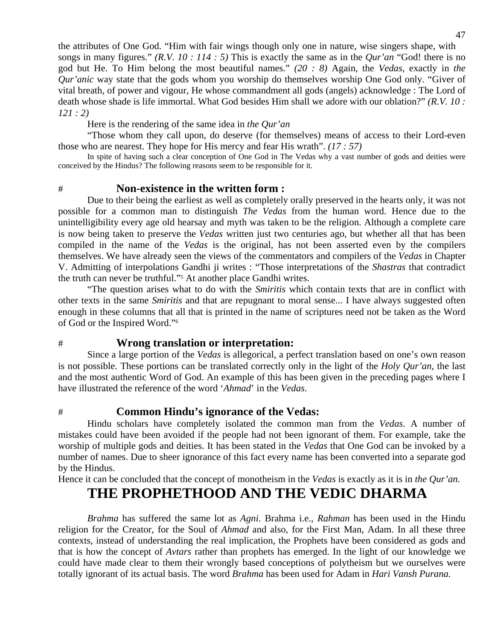the attributes of One God. "Him with fair wings though only one in nature, wise singers shape, with songs in many figures." *(R.V. 10 : 114 : 5)* This is exactly the same as in the *Qur'an* "God! there is no god but He. To Him belong the most beautiful names." *(20 : 8)* Again, the *Vedas*, exactly in *the Qur'anic* way state that the gods whom you worship do themselves worship One God only. "Giver of vital breath, of power and vigour, He whose commandment all gods (angels) acknowledge : The Lord of death whose shade is life immortal. What God besides Him shall we adore with our oblation?" *(R.V. 10 : 121 : 2)*

Here is the rendering of the same idea in *the Qur'an* 

 "Those whom they call upon, do deserve (for themselves) means of access to their Lord-even those who are nearest. They hope for His mercy and fear His wrath". *(17 : 57)*<br>In spite of having such a clear conception of One God in The Vedas why a vast number of gods and deities were

conceived by the Hindus? The following reasons seem to be responsible for it.

#### # **Non-existence in the written form :**

Due to their being the earliest as well as completely orally preserved in the hearts only, it was not possible for a common man to distinguish *The Vedas* from the human word. Hence due to the unintelligibility every age old hearsay and myth was taken to be the religion. Although a complete care is now being taken to preserve the *Vedas* written just two centuries ago, but whether all that has been compiled in the name of the *Vedas* is the original, has not been asserted even by the compilers themselves. We have already seen the views of the commentators and compilers of the *Vedas* in Chapter V. Admitting of interpolations Gandhi ji writes : "Those interpretations of the *Shastras* that contradict the truth can never be truthful."5 At another place Gandhi writes.

 "The question arises what to do with the *Smiritis* which contain texts that are in conflict with other texts in the same *Smiritis* and that are repugnant to moral sense... I have always suggested often enough in these columns that all that is printed in the name of scriptures need not be taken as the Word of God or the Inspired Word."6

#### # **Wrong translation or interpretation:**

Since a large portion of the *Vedas* is allegorical, a perfect translation based on one's own reason is not possible. These portions can be translated correctly only in the light of the *Holy Qur'an*, the last and the most authentic Word of God. An example of this has been given in the preceding pages where I have illustrated the reference of the word '*Ahmad*' in the *Vedas*.

#### # **Common Hindu's ignorance of the Vedas:**

Hindu scholars have completely isolated the common man from the *Vedas*. A number of mistakes could have been avoided if the people had not been ignorant of them. For example, take the worship of multiple gods and deities. It has been stated in the *Vedas* that One God can be invoked by a number of names. Due to sheer ignorance of this fact every name has been converted into a separate god by the Hindus.

Hence it can be concluded that the concept of monotheism in the *Vedas* is exactly as it is in *the Qur'an.* 

### **THE PROPHETHOOD AND THE VEDIC DHARMA**

 *Brahma* has suffered the same lot as *Agni*. Brahma i.e., *Rahman* has been used in the Hindu religion for the Creator, for the Soul of *Ahmad* and also, for the First Man, Adam. In all these three contexts, instead of understanding the real implication, the Prophets have been considered as gods and that is how the concept of *Avtars* rather than prophets has emerged. In the light of our knowledge we could have made clear to them their wrongly based conceptions of polytheism but we ourselves were totally ignorant of its actual basis. The word *Brahma* has been used for Adam in *Hari Vansh Purana.*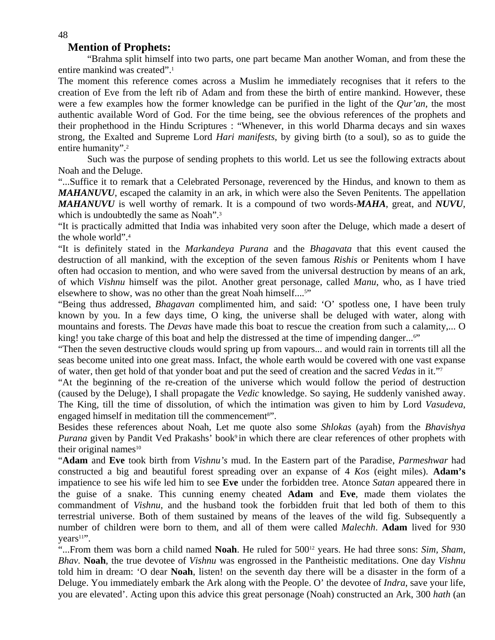#### **Mention of Prophets:**

"Brahma split himself into two parts, one part became Man another Woman, and from these the entire mankind was created".1

The moment this reference comes across a Muslim he immediately recognises that it refers to the creation of Eve from the left rib of Adam and from these the birth of entire mankind. However, these were a few examples how the former knowledge can be purified in the light of the *Qur'an,* the most authentic available Word of God. For the time being, see the obvious references of the prophets and their prophethood in the Hindu Scriptures : "Whenever, in this world Dharma decays and sin waxes strong, the Exalted and Supreme Lord *Hari manifests*, by giving birth (to a soul), so as to guide the entire humanity".<sup>2</sup>

Such was the purpose of sending prophets to this world. Let us see the following extracts about Noah and the Deluge.

"...Suffice it to remark that a Celebrated Personage, reverenced by the Hindus, and known to them as *MAHANUVU*, escaped the calamity in an ark, in which were also the Seven Penitents. The appellation *MAHANUVU* is well worthy of remark. It is a compound of two words-*MAHA*, great, and *NUVU*, which is undoubtedly the same as Noah".<sup>3</sup>

"It is practically admitted that India was inhabited very soon after the Deluge, which made a desert of the whole world".4

"It is definitely stated in the *Markandeya Purana* and the *Bhagavata* that this event caused the destruction of all mankind, with the exception of the seven famous *Rishis* or Penitents whom I have often had occasion to mention, and who were saved from the universal destruction by means of an ark, of which *Vishnu* himself was the pilot. Another great personage, called *Manu*, who, as I have tried elsewhere to show, was no other than the great Noah himself....<sup>5"</sup>

"Being thus addressed, *Bhagavan* complimented him, and said: 'O' spotless one, I have been truly known by you. In a few days time, O king, the universe shall be deluged with water, along with mountains and forests. The *Devas* have made this boat to rescue the creation from such a calamity,... O king! you take charge of this boat and help the distressed at the time of impending danger...<sup>6"</sup>

"Then the seven destructive clouds would spring up from vapours... and would rain in torrents till all the seas become united into one great mass. Infact, the whole earth would be covered with one vast expanse of water, then get hold of that yonder boat and put the seed of creation and the sacred *Vedas* in it."7

"At the beginning of the re-creation of the universe which would follow the period of destruction (caused by the Deluge), I shall propagate the *Vedic* knowledge. So saying, He suddenly vanished away. The King, till the time of dissolution, of which the intimation was given to him by Lord *Vasudeva*, engaged himself in meditation till the commencement<sup>8"</sup>.

Besides these references about Noah, Let me quote also some *Shlokas* (ayah) from the *Bhavishya Purana* given by Pandit Ved Prakashs' book<sup>9</sup> in which there are clear references of other prophets with their original names $10$ 

"**Adam** and **Eve** took birth from *Vishnu's* mud. In the Eastern part of the Paradise, *Parmeshwar* had constructed a big and beautiful forest spreading over an expanse of 4 *Kos* (eight miles). **Adam's**  impatience to see his wife led him to see **Eve** under the forbidden tree. Atonce *Satan* appeared there in the guise of a snake. This cunning enemy cheated **Adam** and **Eve**, made them violates the commandment of *Vishnu*, and the husband took the forbidden fruit that led both of them to this terrestrial universe. Both of them sustained by means of the leaves of the wild fig. Subsequently a number of children were born to them, and all of them were called *Malechh*. **Adam** lived for 930  $years<sup>11</sup>$ .

"...From them was born a child named **Noah**. He ruled for 500<sup>12</sup> years. He had three sons: *Sim, Sham, Bhav.* **Noah**, the true devotee of *Vishnu* was engrossed in the Pantheistic meditations. One day *Vishnu*  told him in dream: 'O dear **Noah**, listen! on the seventh day there will be a disaster in the form of a Deluge. You immediately embark the Ark along with the People. O' the devotee of *Indra*, save your life, you are elevated'. Acting upon this advice this great personage (Noah) constructed an Ark, 300 *hath* (an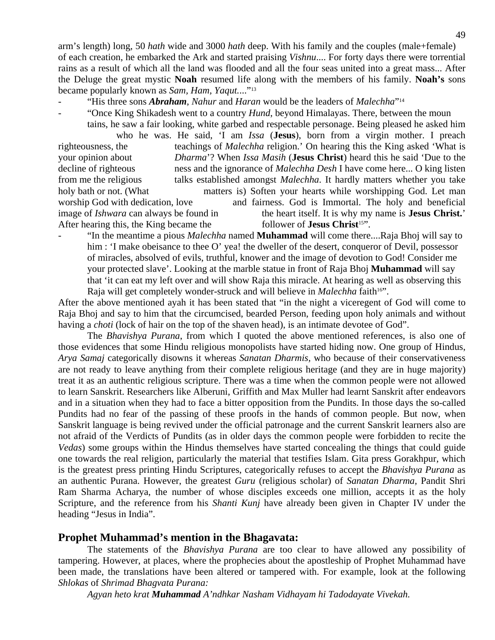arm's length) long, 50 *hath* wide and 3000 *hath* deep. With his family and the couples (male+female) of each creation, he embarked the Ark and started praising *Vishnu*.... For forty days there were torrential rains as a result of which all the land was flooded and all the four seas united into a great mass... After the Deluge the great mystic **Noah** resumed life along with the members of his family. **Noah's** sons became popularly known as *Sam, Ham, Yaqut.*..."13

- "His three sons *Abraham*, *Nahur* and *Haran* would be the leaders of *Malechha*"<sup>14</sup>
- "Once King Shikadesh went to a country *Hund*, beyond Himalayas. There, between the moun

 tains, he saw a fair looking, white garbed and respectable personage. Being pleased he asked him who he was. He said, 'I am *Issa* (**Jesus**), born from a virgin mother. I preach righteousness, the teachings of *Malechha* religion.' On hearing this the King asked 'What is your opinion about *Dharma*'? When *Issa Masih* (**Jesus Christ**) heard this he said 'Due to the decline of righteous ness and the ignorance of *Malechha Desh* I have come here... O king listen from me the religious talks established amongst *Malechha*. It hardly matters whether you take holy bath or not. (What matters is) Soften your hearts while worshipping God. Let man worship God with dedication, love and fairness. God is Immortal. The holy and beneficial image of *Ishwara* can always be found in the heart itself. It is why my name is **Jesus Christ.**' After hearing this, the King became the follower of **Jesus Christ**<sup>15"</sup>.

- "In the meantime a pious *Malechha* named **Muhammad** will come there....Raja Bhoj will say to him : 'I make obeisance to thee O' yea! the dweller of the desert, conqueror of Devil, possessor of miracles, absolved of evils, truthful, knower and the image of devotion to God! Consider me your protected slave'. Looking at the marble statue in front of Raja Bhoj **Muhammad** will say that 'it can eat my left over and will show Raja this miracle. At hearing as well as observing this Raja will get completely wonder-struck and will believe in *Malechha* faith<sup>16"</sup>.

After the above mentioned ayah it has been stated that "in the night a viceregent of God will come to Raja Bhoj and say to him that the circumcised, bearded Person, feeding upon holy animals and without having a *choti* (lock of hair on the top of the shaven head), is an intimate devotee of God".

 The *Bhavishya Purana*, from which I quoted the above mentioned references, is also one of those evidences that some Hindu religious monopolists have started hiding now. One group of Hindus, *Arya Samaj* categorically disowns it whereas *Sanatan Dharmis,* who because of their conservativeness are not ready to leave anything from their complete religious heritage (and they are in huge majority) treat it as an authentic religious scripture. There was a time when the common people were not allowed to learn Sanskrit. Researchers like Alberuni, Griffith and Max Muller had learnt Sanskrit after endeavors and in a situation when they had to face a bitter opposition from the Pundits. In those days the so-called Pundits had no fear of the passing of these proofs in the hands of common people. But now, when Sanskrit language is being revived under the official patronage and the current Sanskrit learners also are not afraid of the Verdicts of Pundits (as in older days the common people were forbidden to recite the *Vedas*) some groups within the Hindus themselves have started concealing the things that could guide one towards the real religion, particularly the material that testifies Islam. Gita press Gorakhpur, which is the greatest press printing Hindu Scriptures, categorically refuses to accept the *Bhavishya Purana* as an authentic Purana. However, the greatest *Guru* (religious scholar) of *Sanatan Dharma,* Pandit Shri Ram Sharma Acharya, the number of whose disciples exceeds one million, accepts it as the holy Scripture, and the reference from his *Shanti Kunj* have already been given in Chapter IV under the heading "Jesus in India".

#### **Prophet Muhammad's mention in the Bhagavata:**

The statements of the *Bhavishya Purana* are too clear to have allowed any possibility of tampering. However, at places, where the prophecies about the apostleship of Prophet Muhammad have been made, the translations have been altered or tampered with. For example, look at the following *Shlokas* of *Shrimad Bhagvata Purana:* 

 *Agyan heto krat Muhammad A'ndhkar Nasham Vidhayam hi Tadodayate Vivekah.*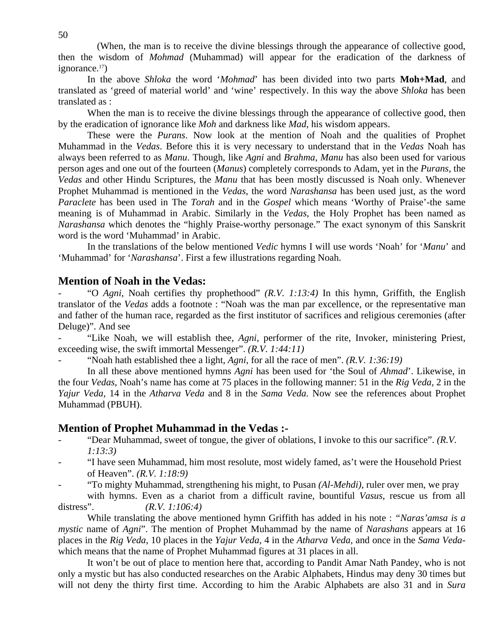(When, the man is to receive the divine blessings through the appearance of collective good, then the wisdom of *Mohmad* (Muhammad) will appear for the eradication of the darkness of ignorance.<sup>17</sup>)

 In the above *Shloka* the word '*Mohmad*' has been divided into two parts **Moh+Mad**, and translated as 'greed of material world' and 'wine' respectively. In this way the above *Shloka* has been translated as :

When the man is to receive the divine blessings through the appearance of collective good, then by the eradication of ignorance like *Moh* and darkness like *Mad*, his wisdom appears.

 These were the *Purans*. Now look at the mention of Noah and the qualities of Prophet Muhammad in the *Vedas*. Before this it is very necessary to understand that in the *Vedas* Noah has always been referred to as *Manu*. Though, like *Agni* and *Brahma*, *Manu* has also been used for various person ages and one out of the fourteen (*Manus*) completely corresponds to Adam, yet in the *Purans*, the *Vedas* and other Hindu Scriptures, the *Manu* that has been mostly discussed is Noah only. Whenever Prophet Muhammad is mentioned in the *Vedas*, the word *Narashansa* has been used just, as the word *Paraclete* has been used in The *Torah* and in the *Gospel* which means 'Worthy of Praise'-the same meaning is of Muhammad in Arabic. Similarly in the *Vedas*, the Holy Prophet has been named as *Narashansa* which denotes the "highly Praise-worthy personage." The exact synonym of this Sanskrit word is the word 'Muhammad' in Arabic.

 In the translations of the below mentioned *Vedic* hymns I will use words 'Noah' for '*Manu*' and 'Muhammad' for '*Narashansa*'. First a few illustrations regarding Noah.

#### **Mention of Noah in the Vedas:**

- "O *Agni*, Noah certifies thy prophethood" *(R.V. 1:13:4)* In this hymn, Griffith, the English translator of the *Vedas* adds a footnote : "Noah was the man par excellence, or the representative man and father of the human race, regarded as the first institutor of sacrifices and religious ceremonies (after Deluge)". And see

- "Like Noah, we will establish thee, *Agni*, performer of the rite, Invoker, ministering Priest, exceeding wise, the swift immortal Messenger". *(R.V. 1:44:11)* 

"Noah hath established thee a light, *Agni*, for all the race of men". *(R.V. 1:36:19)* 

In all these above mentioned hymns *Agni* has been used for 'the Soul of *Ahmad*'. Likewise, in the four *Vedas*, Noah's name has come at 75 places in the following manner: 51 in the *Rig Veda,* 2 in the *Yajur Veda,* 14 in the *Atharva Veda* and 8 in the *Sama Veda.* Now see the references about Prophet Muhammad (PBUH).

#### **Mention of Prophet Muhammad in the Vedas :-**

- "Dear Muhammad, sweet of tongue, the giver of oblations, I invoke to this our sacrifice". *(R.V. 1:13:3)*
- "I have seen Muhammad, him most resolute, most widely famed, as't were the Household Priest of Heaven". *(R.V. 1:18:9)*
- "To mighty Muhammad, strengthening his might, to Pusan *(Al-Mehdi)*, ruler over men, we pray with hymns. Even as a chariot from a difficult ravine, bountiful *Vasus*, rescue us from all

distress". *(R.V. 1:106:4)* 

 While translating the above mentioned hymn Griffith has added in his note : *"Naras'amsa is a mystic* name of *Agni*". The mention of Prophet Muhammad by the name of *Narashans* appears at 16 places in the *Rig Veda*, 10 places in the *Yajur Veda*, 4 in the *Atharva Veda*, and once in the *Sama Veda*which means that the name of Prophet Muhammad figures at 31 places in all.

 It won't be out of place to mention here that, according to Pandit Amar Nath Pandey, who is not only a mystic but has also conducted researches on the Arabic Alphabets, Hindus may deny 30 times but will not deny the thirty first time. According to him the Arabic Alphabets are also 31 and in *Sura*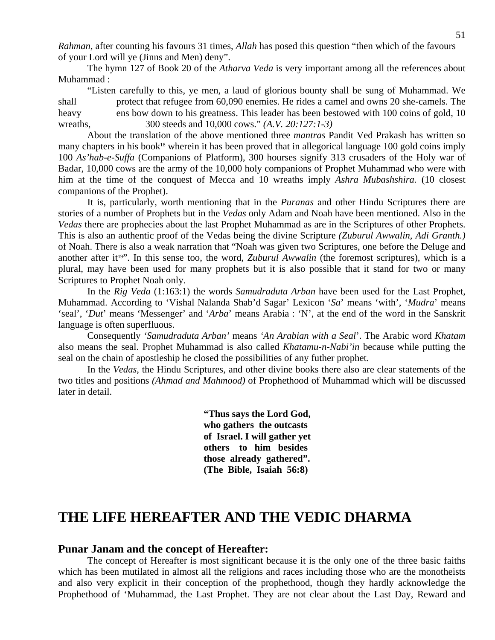*Rahman,* after counting his favours 31 times, *Allah* has posed this question "then which of the favours of your Lord will ye (Jinns and Men) deny".

 The hymn 127 of Book 20 of the *Atharva Veda* is very important among all the references about Muhammad :

 "Listen carefully to this, ye men, a laud of glorious bounty shall be sung of Muhammad. We shall protect that refugee from 60,090 enemies. He rides a camel and owns 20 she-camels. The heavy ens bow down to his greatness. This leader has been bestowed with 100 coins of gold, 10 wreaths, 300 steeds and 10,000 cows." *(A.V. 20:127:1-3)* 

About the translation of the above mentioned three *mantras* Pandit Ved Prakash has written so many chapters in his book<sup>18</sup> wherein it has been proved that in allegorical language 100 gold coins imply 100 *As'hab-e-Suffa* (Companions of Platform), 300 hourses signify 313 crusaders of the Holy war of Badar, 10,000 cows are the army of the 10,000 holy companions of Prophet Muhammad who were with him at the time of the conquest of Mecca and 10 wreaths imply *Ashra Mubashshira.* (10 closest companions of the Prophet).

 It is, particularly, worth mentioning that in the *Puranas* and other Hindu Scriptures there are stories of a number of Prophets but in the *Vedas* only Adam and Noah have been mentioned. Also in the *Vedas* there are prophecies about the last Prophet Muhammad as are in the Scriptures of other Prophets. This is also an authentic proof of the Vedas being the divine Scripture *(Zuburul Awwalin, Adi Granth.)*  of Noah. There is also a weak narration that "Noah was given two Scriptures, one before the Deluge and another after it<sup>19</sup>". In this sense too, the word, *Zuburul Awwalin* (the foremost scriptures), which is a plural, may have been used for many prophets but it is also possible that it stand for two or many Scriptures to Prophet Noah only.

 In the *Rig Veda* (1:163:1) the words *Samudraduta Arban* have been used for the Last Prophet, Muhammad. According to 'Vishal Nalanda Shab'd Sagar' Lexicon '*Sa*' means 'with', '*Mudra*' means 'seal', '*Dut*' means 'Messenger' and '*Arba*' means Arabia : 'N', at the end of the word in the Sanskrit language is often superfluous.

 Consequently *'Samudraduta Arban'* means *'An Arabian with a Seal*'. The Arabic word *Khatam*  also means the seal. Prophet Muhammad is also called *Khatamu-n-Nabi'in* because while putting the seal on the chain of apostleship he closed the possibilities of any futher prophet.

 In the *Vedas*, the Hindu Scriptures, and other divine books there also are clear statements of the two titles and positions *(Ahmad and Mahmood)* of Prophethood of Muhammad which will be discussed later in detail.

> **"Thus says the Lord God, who gathers the outcasts of Israel. I will gather yet others to him besides those already gathered". (The Bible, Isaiah 56:8)**

### **THE LIFE HEREAFTER AND THE VEDIC DHARMA**

#### **Punar Janam and the concept of Hereafter:**

The concept of Hereafter is most significant because it is the only one of the three basic faiths which has been mutilated in almost all the religions and races including those who are the monotheists and also very explicit in their conception of the prophethood, though they hardly acknowledge the Prophethood of 'Muhammad, the Last Prophet. They are not clear about the Last Day, Reward and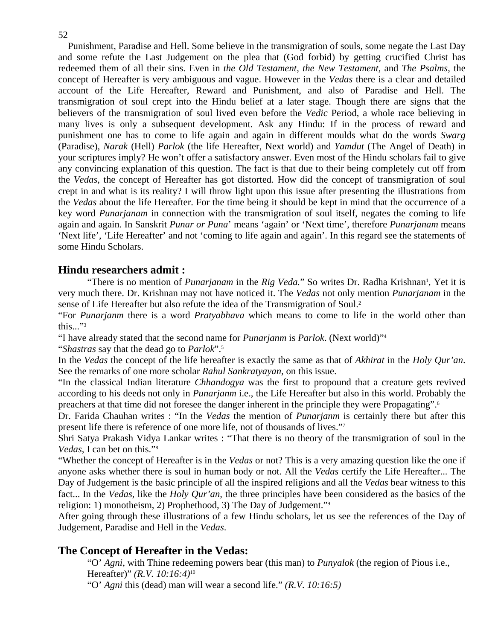52

Punishment, Paradise and Hell. Some believe in the transmigration of souls, some negate the Last Day and some refute the Last Judgement on the plea that (God forbid) by getting crucified Christ has redeemed them of all their sins. Even in *the Old Testament, the New Testament,* and *The Psalms*, the concept of Hereafter is very ambiguous and vague. However in the *Vedas* there is a clear and detailed account of the Life Hereafter, Reward and Punishment, and also of Paradise and Hell. The transmigration of soul crept into the Hindu belief at a later stage. Though there are signs that the believers of the transmigration of soul lived even before the *Vedic* Period, a whole race believing in many lives is only a subsequent development. Ask any Hindu: If in the process of reward and punishment one has to come to life again and again in different moulds what do the words *Swarg*  (Paradise), *Narak* (Hell) *Parlok* (the life Hereafter, Next world) and *Yamdut* (The Angel of Death) in your scriptures imply? He won't offer a satisfactory answer. Even most of the Hindu scholars fail to give any convincing explanation of this question. The fact is that due to their being completely cut off from the *Vedas*, the concept of Hereafter has got distorted. How did the concept of transmigration of soul crept in and what is its reality? I will throw light upon this issue after presenting the illustrations from the *Vedas* about the life Hereafter. For the time being it should be kept in mind that the occurrence of a key word *Punarjanam* in connection with the transmigration of soul itself, negates the coming to life again and again. In Sanskrit *Punar or Puna*' means 'again' or 'Next time', therefore *Punarjanam* means 'Next life', 'Life Hereafter' and not 'coming to life again and again'. In this regard see the statements of some Hindu Scholars.

### **Hindu researchers admit :**

"There is no mention of *Punarjanam* in the *Rig Veda*." So writes Dr. Radha Krishnan<sup>1</sup>, Yet it is very much there. Dr. Krishnan may not have noticed it. The *Vedas* not only mention *Punarjanam* in the sense of Life Hereafter but also refute the idea of the Transmigration of Soul.<sup>2</sup>

"For *Punarjanm* there is a word *Pratyabhava* which means to come to life in the world other than this..." $3$ 

"I have already stated that the second name for *Punarjanm* is *Parlok*. (Next world)"4

"*Shastras* say that the dead go to *Parlok*".5

In the *Vedas* the concept of the life hereafter is exactly the same as that of *Akhirat* in the *Holy Qur'an*. See the remarks of one more scholar *Rahul Sankratyayan,* on this issue.

"In the classical Indian literature *Chhandogya* was the first to propound that a creature gets revived according to his deeds not only in *Punarjanm* i.e., the Life Hereafter but also in this world. Probably the preachers at that time did not foresee the danger inherent in the principle they were Propagating".6

Dr. Farida Chauhan writes : "In the *Vedas* the mention of *Punarjanm* is certainly there but after this present life there is reference of one more life, not of thousands of lives."7

Shri Satya Prakash Vidya Lankar writes : "That there is no theory of the transmigration of soul in the *Vedas*, I can bet on this."8

"Whether the concept of Hereafter is in the *Vedas* or not? This is a very amazing question like the one if anyone asks whether there is soul in human body or not. All the *Vedas* certify the Life Hereafter... The Day of Judgement is the basic principle of all the inspired religions and all the *Vedas* bear witness to this fact... In the *Vedas*, like the *Holy Qur'an,* the three principles have been considered as the basics of the religion: 1) monotheism, 2) Prophethood, 3) The Day of Judgement."9

After going through these illustrations of a few Hindu scholars, let us see the references of the Day of Judgement, Paradise and Hell in the *Vedas*.

### **The Concept of Hereafter in the Vedas:**

"O' *Agni*, with Thine redeeming powers bear (this man) to *Punyalok* (the region of Pious i.e., Hereafter)" *(R.V. 10:16:4)*10

"O' *Agni* this (dead) man will wear a second life." *(R.V. 10:16:5)*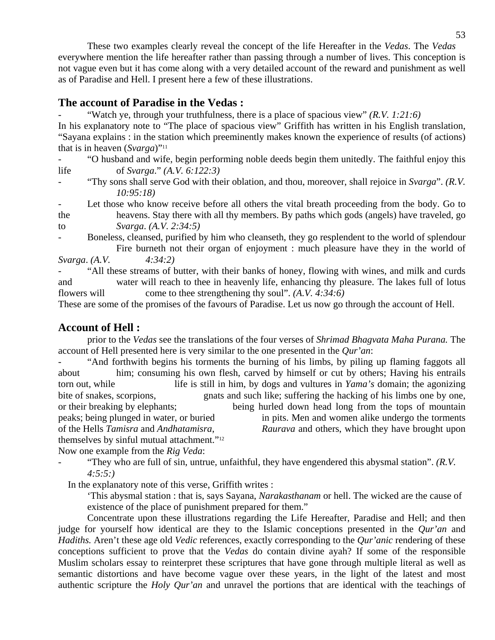These two examples clearly reveal the concept of the life Hereafter in the *Vedas*. The *Vedas*  everywhere mention the life hereafter rather than passing through a number of lives. This conception is not vague even but it has come along with a very detailed account of the reward and punishment as well as of Paradise and Hell. I present here a few of these illustrations.

#### **The account of Paradise in the Vedas :**

"Watch ye, through your truthfulness, there is a place of spacious view" *(R.V. 1:21:6)* 

In his explanatory note to "The place of spacious view" Griffith has written in his English translation, "Sayana explains : in the station which preeminently makes known the experience of results (of actions) that is in heaven (*Svarga*)"11

- "O husband and wife, begin performing noble deeds begin them unitedly. The faithful enjoy this life of *Svarga*." *(A.V. 6:122:3)* 

"Thy sons shall serve God with their oblation, and thou, moreover, shall rejoice in *Svarga*". *(R.V. 10:95:18)* 

Let those who know receive before all others the vital breath proceeding from the body. Go to the heavens. Stay there with all thy members. By paths which gods (angels) have traveled, go to *Svarga*. *(A.V. 2:34:5)* 

Boneless, cleansed, purified by him who cleanseth, they go resplendent to the world of splendour Fire burneth not their organ of enjoyment : much pleasure have they in the world of *Svarga*. *(A.V. 4:34:2)* 

"All these streams of butter, with their banks of honey, flowing with wines, and milk and curds and water will reach to thee in heavenly life, enhancing thy pleasure. The lakes full of lotus flowers will come to thee strengthening thy soul". *(A.V. 4:34:6)* 

These are some of the promises of the favours of Paradise. Let us now go through the account of Hell.

#### **Account of Hell :**

 prior to the *Vedas* see the translations of the four verses of *Shrimad Bhagvata Maha Purana.* The account of Hell presented here is very similar to the one presented in the *Qur'an*:

- "And forthwith begins his torments the burning of his limbs, by piling up flaming faggots all about him; consuming his own flesh, carved by himself or cut by others; Having his entrails torn out, while life is still in him, by dogs and vultures in *Yama's* domain; the agonizing bite of snakes, scorpions, gnats and such like; suffering the hacking of his limbs one by one, or their breaking by elephants; being hurled down head long from the tops of mountain peaks; being plunged in water, or buried in pits. Men and women alike undergo the torments of the Hells *Tamisra* and *Andhatamisra*, *Raurava* and others, which they have brought upon themselves by sinful mutual attachment."12

Now one example from the *Rig Veda*:

"They who are full of sin, untrue, unfaithful, they have engendered this abysmal station". *(R.V. 4:5:5:)* 

In the explanatory note of this verse, Griffith writes :

 'This abysmal station : that is, says Sayana, *Narakasthanam* or hell. The wicked are the cause of existence of the place of punishment prepared for them."

 Concentrate upon these illustrations regarding the Life Hereafter, Paradise and Hell; and then judge for yourself how identical are they to the Islamic conceptions presented in the *Qur'an* and *Hadiths.* Aren't these age old *Vedic* references, exactly corresponding to the *Qur'anic* rendering of these conceptions sufficient to prove that the *Vedas* do contain divine ayah? If some of the responsible Muslim scholars essay to reinterpret these scriptures that have gone through multiple literal as well as semantic distortions and have become vague over these years, in the light of the latest and most authentic scripture the *Holy Qur'an* and unravel the portions that are identical with the teachings of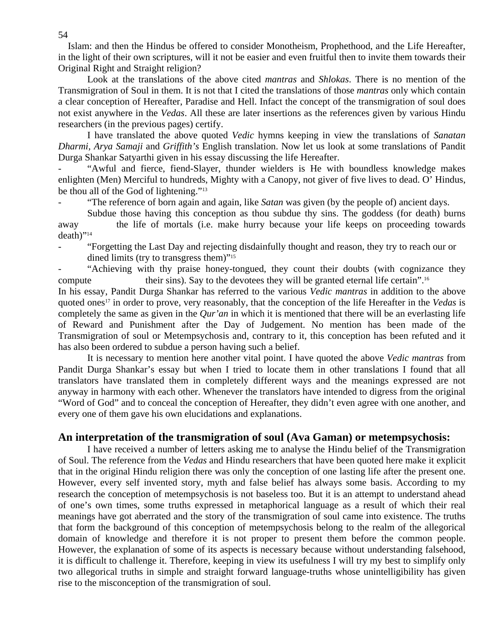Islam: and then the Hindus be offered to consider Monotheism, Prophethood, and the Life Hereafter, in the light of their own scriptures, will it not be easier and even fruitful then to invite them towards their Original Right and Straight religion?

 Look at the translations of the above cited *mantras* and *Shlokas*. There is no mention of the Transmigration of Soul in them. It is not that I cited the translations of those *mantras* only which contain a clear conception of Hereafter, Paradise and Hell. Infact the concept of the transmigration of soul does not exist anywhere in the *Vedas*. All these are later insertions as the references given by various Hindu researchers (in the previous pages) certify.

 I have translated the above quoted *Vedic* hymns keeping in view the translations of *Sanatan Dharmi, Arya Samaji* and *Griffith's* English translation. Now let us look at some translations of Pandit Durga Shankar Satyarthi given in his essay discussing the life Hereafter.

"Awful and fierce, fiend-Slayer, thunder wielders is He with boundless knowledge makes enlighten (Men) Merciful to hundreds, Mighty with a Canopy, not giver of five lives to dead. O' Hindus, be thou all of the God of lightening."13

"The reference of born again and again, like *Satan* was given (by the people of) ancient days.

 Subdue those having this conception as thou subdue thy sins. The goddess (for death) burns away the life of mortals (i.e. make hurry because your life keeps on proceeding towards death)"14

- "Forgetting the Last Day and rejecting disdainfully thought and reason, they try to reach our or dined limits (try to transgress them)"<sup>15</sup>

"Achieving with thy praise honey-tongued, they count their doubts (with cognizance they compute their sins). Say to the devotees they will be granted eternal life certain".<sup>16</sup>

In his essay, Pandit Durga Shankar has referred to the various *Vedic mantras* in addition to the above quoted ones17 in order to prove, very reasonably, that the conception of the life Hereafter in the *Vedas* is completely the same as given in the *Qur'an* in which it is mentioned that there will be an everlasting life of Reward and Punishment after the Day of Judgement. No mention has been made of the Transmigration of soul or Metempsychosis and, contrary to it, this conception has been refuted and it has also been ordered to subdue a person having such a belief.

 It is necessary to mention here another vital point. I have quoted the above *Vedic mantras* from Pandit Durga Shankar's essay but when I tried to locate them in other translations I found that all translators have translated them in completely different ways and the meanings expressed are not anyway in harmony with each other. Whenever the translators have intended to digress from the original "Word of God" and to conceal the conception of Hereafter, they didn't even agree with one another, and every one of them gave his own elucidations and explanations.

#### **An interpretation of the transmigration of soul (Ava Gaman) or metempsychosis:**

I have received a number of letters asking me to analyse the Hindu belief of the Transmigration of Soul. The reference from the *Vedas* and Hindu researchers that have been quoted here make it explicit that in the original Hindu religion there was only the conception of one lasting life after the present one. However, every self invented story, myth and false belief has always some basis. According to my research the conception of metempsychosis is not baseless too. But it is an attempt to understand ahead of one's own times, some truths expressed in metaphorical language as a result of which their real meanings have got aberrated and the story of the transmigration of soul came into existence. The truths that form the background of this conception of metempsychosis belong to the realm of the allegorical domain of knowledge and therefore it is not proper to present them before the common people. However, the explanation of some of its aspects is necessary because without understanding falsehood, it is difficult to challenge it. Therefore, keeping in view its usefulness I will try my best to simplify only two allegorical truths in simple and straight forward language-truths whose unintelligibility has given rise to the misconception of the transmigration of soul.

54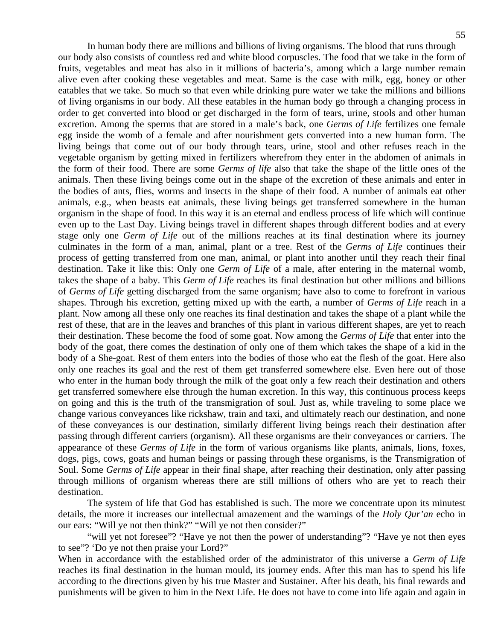In human body there are millions and billions of living organisms. The blood that runs through our body also consists of countless red and white blood corpuscles. The food that we take in the form of fruits, vegetables and meat has also in it millions of bacteria's, among which a large number remain alive even after cooking these vegetables and meat. Same is the case with milk, egg, honey or other eatables that we take. So much so that even while drinking pure water we take the millions and billions of living organisms in our body. All these eatables in the human body go through a changing process in order to get converted into blood or get discharged in the form of tears, urine, stools and other human excretion. Among the sperms that are stored in a male's back, one *Germs of Life* fertilizes one female egg inside the womb of a female and after nourishment gets converted into a new human form. The living beings that come out of our body through tears, urine, stool and other refuses reach in the vegetable organism by getting mixed in fertilizers wherefrom they enter in the abdomen of animals in the form of their food. There are some *Germs of life* also that take the shape of the little ones of the animals. Then these living beings come out in the shape of the excretion of these animals and enter in the bodies of ants, flies, worms and insects in the shape of their food. A number of animals eat other animals, e.g., when beasts eat animals, these living beings get transferred somewhere in the human organism in the shape of food. In this way it is an eternal and endless process of life which will continue even up to the Last Day. Living beings travel in different shapes through different bodies and at every stage only one *Germ of Life* out of the millions reaches at its final destination where its journey culminates in the form of a man, animal, plant or a tree. Rest of the *Germs of Life* continues their process of getting transferred from one man, animal, or plant into another until they reach their final destination. Take it like this: Only one *Germ of Life* of a male, after entering in the maternal womb, takes the shape of a baby. This *Germ of Life* reaches its final destination but other millions and billions of *Germs of Life* getting discharged from the same organism; have also to come to forefront in various shapes. Through his excretion, getting mixed up with the earth, a number of *Germs of Life* reach in a plant. Now among all these only one reaches its final destination and takes the shape of a plant while the rest of these, that are in the leaves and branches of this plant in various different shapes, are yet to reach their destination. These become the food of some goat. Now among the *Germs of Life* that enter into the body of the goat, there comes the destination of only one of them which takes the shape of a kid in the body of a She-goat. Rest of them enters into the bodies of those who eat the flesh of the goat. Here also only one reaches its goal and the rest of them get transferred somewhere else. Even here out of those who enter in the human body through the milk of the goat only a few reach their destination and others get transferred somewhere else through the human excretion. In this way, this continuous process keeps on going and this is the truth of the transmigration of soul. Just as, while traveling to some place we change various conveyances like rickshaw, train and taxi, and ultimately reach our destination, and none of these conveyances is our destination, similarly different living beings reach their destination after passing through different carriers (organism). All these organisms are their conveyances or carriers. The appearance of these *Germs of Life* in the form of various organisms like plants, animals, lions, foxes, dogs, pigs, cows, goats and human beings or passing through these organisms, is the Transmigration of Soul. Some *Germs of Life* appear in their final shape, after reaching their destination, only after passing through millions of organism whereas there are still millions of others who are yet to reach their destination.

 The system of life that God has established is such. The more we concentrate upon its minutest details, the more it increases our intellectual amazement and the warnings of the *Holy Qur'an* echo in our ears: "Will ye not then think?" "Will ye not then consider?"

"will yet not foresee"? "Have ye not then the power of understanding"? "Have ye not then eyes to see"? 'Do ye not then praise your Lord?"

When in accordance with the established order of the administrator of this universe a *Germ of Life* reaches its final destination in the human mould, its journey ends. After this man has to spend his life according to the directions given by his true Master and Sustainer. After his death, his final rewards and punishments will be given to him in the Next Life. He does not have to come into life again and again in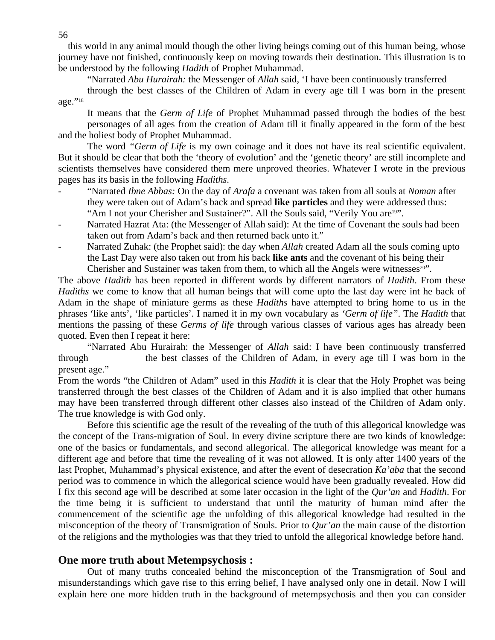this world in any animal mould though the other living beings coming out of this human being, whose journey have not finished, continuously keep on moving towards their destination. This illustration is to be understood by the following *Hadith* of Prophet Muhammad.

"Narrated *Abu Hurairah:* the Messenger of *Allah* said, 'I have been continuously transferred

 through the best classes of the Children of Adam in every age till I was born in the present age."<sup>18</sup>

It means that the *Germ of Life* of Prophet Muhammad passed through the bodies of the best personages of all ages from the creation of Adam till it finally appeared in the form of the best and the holiest body of Prophet Muhammad.

 The word *"Germ of Life* is my own coinage and it does not have its real scientific equivalent. But it should be clear that both the 'theory of evolution' and the 'genetic theory' are still incomplete and scientists themselves have considered them mere unproved theories. Whatever I wrote in the previous pages has its basis in the following *Hadiths*.

- "Narrated *Ibne Abbas:* On the day of *Arafa* a covenant was taken from all souls at *Noman* after they were taken out of Adam's back and spread **like particles** and they were addressed thus: "Am I not your Cherisher and Sustainer?". All the Souls said, "Verily You are<sup>19"</sup>.
- Narrated Hazrat Ata: (the Messenger of Allah said): At the time of Covenant the souls had been taken out from Adam's back and then returned back unto it."
- Narrated Zuhak: (the Prophet said): the day when *Allah* created Adam all the souls coming upto the Last Day were also taken out from his back **like ants** and the covenant of his being their Cherisher and Sustainer was taken from them, to which all the Angels were witnesses $20$ ".

The above *Hadith* has been reported in different words by different narrators of *Hadith*. From these *Hadiths* we come to know that all human beings that will come upto the last day were int he back of Adam in the shape of miniature germs as these *Hadiths* have attempted to bring home to us in the phrases 'like ants', 'like particles'. I named it in my own vocabulary as *'Germ of life"*. The *Hadith* that mentions the passing of these *Germs of life* through various classes of various ages has already been quoted. Even then I repeat it here:

 "Narrated Abu Hurairah: the Messenger of *Allah* said: I have been continuously transferred through the best classes of the Children of Adam, in every age till I was born in the present age."

From the words "the Children of Adam" used in this *Hadith* it is clear that the Holy Prophet was being transferred through the best classes of the Children of Adam and it is also implied that other humans may have been transferred through different other classes also instead of the Children of Adam only. The true knowledge is with God only.

 Before this scientific age the result of the revealing of the truth of this allegorical knowledge was the concept of the Trans-migration of Soul. In every divine scripture there are two kinds of knowledge: one of the basics or fundamentals, and second allegorical. The allegorical knowledge was meant for a different age and before that time the revealing of it was not allowed. It is only after 1400 years of the last Prophet, Muhammad's physical existence, and after the event of desecration *Ka'aba* that the second period was to commence in which the allegorical science would have been gradually revealed. How did I fix this second age will be described at some later occasion in the light of the *Qur'an* and *Hadith*. For the time being it is sufficient to understand that until the maturity of human mind after the commencement of the scientific age the unfolding of this allegorical knowledge had resulted in the misconception of the theory of Transmigration of Souls. Prior to *Qur'an* the main cause of the distortion of the religions and the mythologies was that they tried to unfold the allegorical knowledge before hand.

#### **One more truth about Metempsychosis :**

Out of many truths concealed behind the misconception of the Transmigration of Soul and misunderstandings which gave rise to this erring belief, I have analysed only one in detail. Now I will explain here one more hidden truth in the background of metempsychosis and then you can consider

56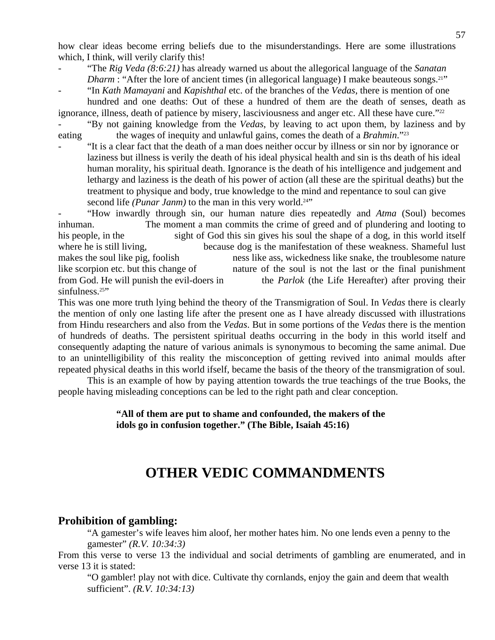how clear ideas become erring beliefs due to the misunderstandings. Here are some illustrations which, I think, will verily clarify this!

- "The *Rig Veda* (8:6:21) has already warned us about the allegorical language of the *Sanatan Dharm* : "After the lore of ancient times (in allegorical language) I make beauteous songs.<sup>21"</sup>
- "In *Kath Mamayani* and *Kapishthal* etc. of the branches of the *Vedas*, there is mention of one hundred and one deaths: Out of these a hundred of them are the death of senses, death as

ignorance, illness, death of patience by misery, lasciviousness and anger etc. All these have cure."<sup>22</sup> "By not gaining knowledge from the *Vedas*, by leaving to act upon them, by laziness and by

eating the wages of inequity and unlawful gains, comes the death of a *Brahmin*."<sup>23</sup>

- "It is a clear fact that the death of a man does neither occur by illness or sin nor by ignorance or laziness but illness is verily the death of his ideal physical health and sin is ths death of his ideal human morality, his spiritual death. Ignorance is the death of his intelligence and judgement and lethargy and laziness is the death of his power of action (all these are the spiritual deaths) but the treatment to physique and body, true knowledge to the mind and repentance to soul can give second life *(Punar Janm)* to the man in this very world.<sup>24"</sup>

- "How inwardly through sin, our human nature dies repeatedly and *Atma* (Soul) becomes inhuman. The moment a man commits the crime of greed and of plundering and looting to his people, in the sight of God this sin gives his soul the shape of a dog, in this world itself where he is still living, because dog is the manifestation of these weakness. Shameful lust makes the soul like pig, foolish ness like ass, wickedness like snake, the troublesome nature like scorpion etc. but this change of nature of the soul is not the last or the final punishment from God. He will punish the evil-doers in the *Parlok* (the Life Hereafter) after proving their sinfulness.<sup>25"</sup>

This was one more truth lying behind the theory of the Transmigration of Soul. In *Vedas* there is clearly the mention of only one lasting life after the present one as I have already discussed with illustrations from Hindu researchers and also from the *Vedas*. But in some portions of the *Vedas* there is the mention of hundreds of deaths. The persistent spiritual deaths occurring in the body in this world itself and consequently adapting the nature of various animals is synonymous to becoming the same animal. Due to an unintelligibility of this reality the misconception of getting revived into animal moulds after repeated physical deaths in this world ifself, became the basis of the theory of the transmigration of soul.

 This is an example of how by paying attention towards the true teachings of the true Books, the people having misleading conceptions can be led to the right path and clear conception.

#### **"All of them are put to shame and confounded, the makers of the idols go in confusion together." (The Bible, Isaiah 45:16)**

### **OTHER VEDIC COMMANDMENTS**

#### **Prohibition of gambling:**

"A gamester's wife leaves him aloof, her mother hates him. No one lends even a penny to the gamester" *(R.V. 10:34:3)* 

From this verse to verse 13 the individual and social detriments of gambling are enumerated, and in verse 13 it is stated:

 "O gambler! play not with dice. Cultivate thy cornlands, enjoy the gain and deem that wealth sufficient". *(R.V. 10:34:13)*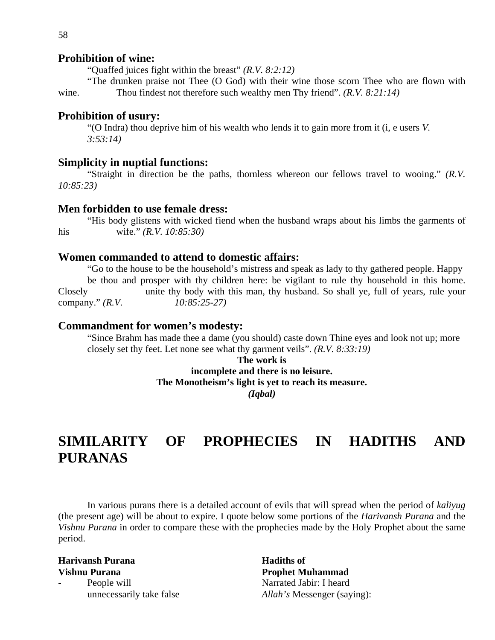#### **Prohibition of wine:**

"Quaffed juices fight within the breast" *(R.V. 8:2:12)*

"The drunken praise not Thee (O God) with their wine those scorn Thee who are flown with wine. Thou findest not therefore such wealthy men Thy friend". *(R.V. 8:21:14)* 

#### **Prohibition of usury:**

"(O Indra) thou deprive him of his wealth who lends it to gain more from it (i, e users *V. 3:53:14)* 

#### **Simplicity in nuptial functions:**

"Straight in direction be the paths, thornless whereon our fellows travel to wooing." *(R.V. 10:85:23)*

#### **Men forbidden to use female dress:**

"His body glistens with wicked fiend when the husband wraps about his limbs the garments of his wife." *(R.V. 10:85:30)* 

#### **Women commanded to attend to domestic affairs:**

"Go to the house to be the household's mistress and speak as lady to thy gathered people. Happy be thou and prosper with thy children here: be vigilant to rule thy household in this home. Closely unite thy body with this man, thy husband. So shall ye, full of years, rule your company." *(R.V. 10:85:25-27)* 

#### **Commandment for women's modesty:**

"Since Brahm has made thee a dame (you should) caste down Thine eyes and look not up; more closely set thy feet. Let none see what thy garment veils". *(R.V. 8:33:19)* 

> **The work is incomplete and there is no leisure. The Monotheism's light is yet to reach its measure.**  *(Iqbal)*

### **SIMILARITY OF PROPHECIES IN HADITHS AND PURANAS**

In various purans there is a detailed account of evils that will spread when the period of *kaliyug* (the present age) will be about to expire. I quote below some portions of the *Harivansh Purana* and the *Vishnu Purana* in order to compare these with the prophecies made by the Holy Prophet about the same period.

# **Harivansh Purana Hadiths of Hadiths of**

**Vishnu Purana****Prophet Muhammad**  People will **People will** Narrated Jabir: I heard unnecessarily take false *Allah's* Messenger (saying):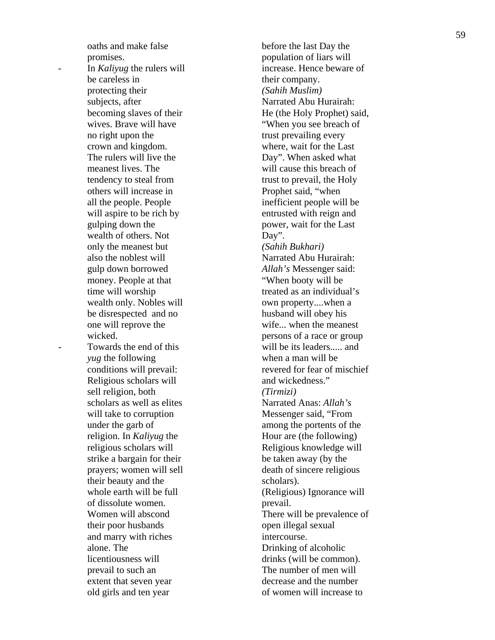oaths and make false before the last Day the promises. population of liars will In *Kaliyug* the rulers will increase. Hence beware of be careless in their company. protecting their *(Sahih Muslim)* subjects, after Narrated Abu Hurairah: wives. Brave will have "When you see breach of no right upon the trust prevailing every crown and kingdom. where, wait for the Last The rulers will live the Day". When asked what meanest lives. The will cause this breach of tendency to steal from trust to prevail, the Holy others will increase in Prophet said, "when all the people. People inefficient people will be will aspire to be rich by entrusted with reign and gulping down the power, wait for the Last wealth of others. Not Day". only the meanest but *(Sahih Bukhari)*  also the noblest will Narrated Abu Hurairah: gulp down borrowed *Allah's* Messenger said: money. People at that "When booty will be time will worship treated as an individual's wealth only. Nobles will own property....when a be disrespected and no husband will obey his one will reprove the wife... when the meanest wicked. **persons of a race or group** Towards the end of this will be its leaders..... and *yug* the following when a man will be Religious scholars will and wickedness." sell religion, both *(Tirmizi)* scholars as well as elites Narrated Anas: *Allah's* will take to corruption Messenger said, "From under the garb of among the portents of the religion. In *Kaliyug* the Hour are (the following) religious scholars will Religious knowledge will strike a bargain for their be taken away (by the prayers; women will sell death of sincere religious their beauty and the scholars). whole earth will be full  $(Religious)$  Ignorance will of dissolute women. prevail. their poor husbands open illegal sexual and marry with riches intercourse. alone. The Drinking of alcoholic licentiousness will drinks (will be common). prevail to such an The number of men will extent that seven year decrease and the number old girls and ten year of women will increase to

becoming slaves of their He (the Holy Prophet) said, conditions will prevail: revered for fear of mischief Women will abscond There will be prevalence of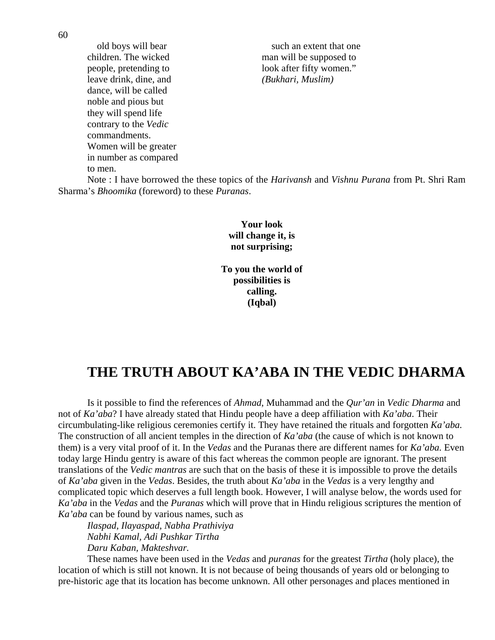leave drink, dine, and *(Bukhari, Muslim)*  dance, will be called noble and pious but they will spend life contrary to the *Vedic* commandments. Women will be greater in number as compared to men.

old boys will bear such an extent that one children. The wicked man will be supposed to people, pretending to look after fifty women."

 Note : I have borrowed the these topics of the *Harivansh* and *Vishnu Purana* from Pt. Shri Ram Sharma's *Bhoomika* (foreword) to these *Puranas*.

> **Your look will change it, is not surprising;**

**To you the world of possibilities is calling. (Iqbal)** 

### **THE TRUTH ABOUT KA'ABA IN THE VEDIC DHARMA**

Is it possible to find the references of *Ahmad*, Muhammad and the *Qur'an* in *Vedic Dharma* and not of *Ka'aba*? I have already stated that Hindu people have a deep affiliation with *Ka'aba*. Their circumbulating-like religious ceremonies certify it. They have retained the rituals and forgotten *Ka'aba.*  The construction of all ancient temples in the direction of *Ka'aba* (the cause of which is not known to them) is a very vital proof of it. In the *Vedas* and the Puranas there are different names for *Ka'aba.* Even today large Hindu gentry is aware of this fact whereas the common people are ignorant. The present translations of the *Vedic mantras* are such that on the basis of these it is impossible to prove the details of *Ka'aba* given in the *Vedas*. Besides, the truth about *Ka'aba* in the *Vedas* is a very lengthy and complicated topic which deserves a full length book. However, I will analyse below, the words used for *Ka'aba* in the *Vedas* and the *Puranas* which will prove that in Hindu religious scriptures the mention of *Ka'aba* can be found by various names, such as

*Ilaspad, Ilayaspad, Nabha Prathiviya Nabhi Kamal, Adi Pushkar Tirtha Daru Kaban, Makteshvar.* 

 These names have been used in the *Vedas* and *puranas* for the greatest *Tirtha* (holy place), the location of which is still not known. It is not because of being thousands of years old or belonging to pre-historic age that its location has become unknown. All other personages and places mentioned in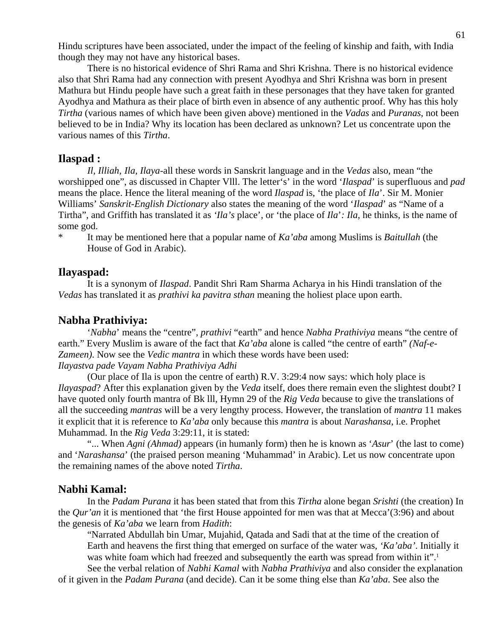Hindu scriptures have been associated, under the impact of the feeling of kinship and faith, with India though they may not have any historical bases.

 There is no historical evidence of Shri Rama and Shri Krishna. There is no historical evidence also that Shri Rama had any connection with present Ayodhya and Shri Krishna was born in present Mathura but Hindu people have such a great faith in these personages that they have taken for granted Ayodhya and Mathura as their place of birth even in absence of any authentic proof. Why has this holy *Tirtha* (various names of which have been given above) mentioned in the *Vadas* and *Puranas*, not been believed to be in India? Why its location has been declared as unknown? Let us concentrate upon the various names of this *Tirtha*.

#### **Ilaspad :**

*Il, Illiah, Ila, Ilaya*-all these words in Sanskrit language and in the *Vedas* also, mean "the worshipped one", as discussed in Chapter Vlll. The letter's' in the word '*Ilaspad*' is superfluous and *pad*  means the place. Hence the literal meaning of the word *Ilaspad* is, 'the place of *Ila*'. Sir M. Monier Williams' *Sanskrit-English Dictionary* also states the meaning of the word '*Ilaspad*' as "Name of a Tirtha", and Griffith has translated it as *'Ila's* place', or 'the place of *Ila*'*: Ila*, he thinks, is the name of some god.

\* It may be mentioned here that a popular name of *Ka'aba* among Muslims is *Baitullah* (the House of God in Arabic).

#### **Ilayaspad:**

 It is a synonym of *Ilaspad*. Pandit Shri Ram Sharma Acharya in his Hindi translation of the *Vedas* has translated it as *prathivi ka pavitra sthan* meaning the holiest place upon earth.

#### **Nabha Prathiviya:**

 '*Nabha*' means the "centre", *prathivi* "earth" and hence *Nabha Prathiviya* means "the centre of earth." Every Muslim is aware of the fact that *Ka'aba* alone is called "the centre of earth" *(Naf-e-Zameen)*. Now see the *Vedic mantra* in which these words have been used: *Ilayastva pade Vayam Nabha Prathiviya Adhi* 

(Our place of Ila is upon the centre of earth) R.V. 3:29:4 now says: which holy place is *Ilayaspad*? After this explanation given by the *Veda* itself, does there remain even the slightest doubt? I have quoted only fourth mantra of Bk lll, Hymn 29 of the *Rig Veda* because to give the translations of all the succeeding *mantras* will be a very lengthy process. However, the translation of *mantra* 11 makes it explicit that it is reference to *Ka'aba* only because this *mantra* is about *Narashansa*, i.e. Prophet Muhammad. In the *Rig Veda* 3:29:11, it is stated:

 "... When *Agni (Ahmad)* appears (in humanly form) then he is known as '*Asur*' (the last to come) and '*Narashansa*' (the praised person meaning 'Muhammad' in Arabic). Let us now concentrate upon the remaining names of the above noted *Tirtha*.

#### **Nabhi Kamal:**

 In the *Padam Purana* it has been stated that from this *Tirtha* alone began *Srishti* (the creation) In the *Qur'an* it is mentioned that 'the first House appointed for men was that at Mecca'(3:96) and about the genesis of *Ka'aba* we learn from *Hadith*:

 "Narrated Abdullah bin Umar, Mujahid, Qatada and Sadi that at the time of the creation of Earth and heavens the first thing that emerged on surface of the water was, *'Ka'aba'*. Initially it was white foam which had freezed and subsequently the earth was spread from within it".<sup>1</sup>

 See the verbal relation of *Nabhi Kamal* with *Nabha Prathiviya* and also consider the explanation of it given in the *Padam Purana* (and decide). Can it be some thing else than *Ka'aba*. See also the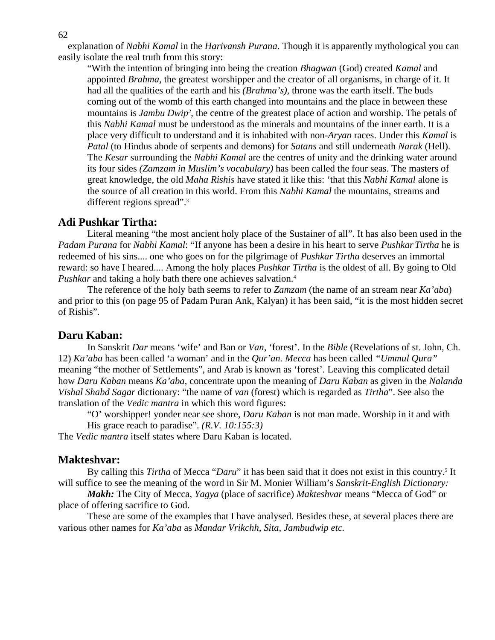62

explanation of *Nabhi Kamal* in the *Harivansh Purana*. Though it is apparently mythological you can easily isolate the real truth from this story:

"With the intention of bringing into being the creation *Bhagwan* (God) created *Kamal* and appointed *Brahma*, the greatest worshipper and the creator of all organisms, in charge of it. It had all the qualities of the earth and his *(Brahma's),* throne was the earth itself. The buds coming out of the womb of this earth changed into mountains and the place in between these mountains is *Jambu Dwip*<sup>2</sup>, the centre of the greatest place of action and worship. The petals of this *Nabhi Kamal* must be understood as the minerals and mountains of the inner earth. It is a place very difficult to understand and it is inhabited with non-*Aryan* races. Under this *Kamal* is *Patal* (to Hindus abode of serpents and demons) for *Satans* and still underneath *Narak* (Hell). The *Kesar* surrounding the *Nabhi Kamal* are the centres of unity and the drinking water around its four sides *(Zamzam in Muslim's vocabulary)* has been called the four seas. The masters of great knowledge, the old *Maha Rishis* have stated it like this: 'that this *Nabhi Kamal* alone is the source of all creation in this world. From this *Nabhi Kamal* the mountains, streams and different regions spread".<sup>3</sup>

#### **Adi Pushkar Tirtha:**

Literal meaning "the most ancient holy place of the Sustainer of all". It has also been used in the *Padam Purana* for *Nabhi Kamal*: "If anyone has been a desire in his heart to serve *PushkarTirtha* he is redeemed of his sins.... one who goes on for the pilgrimage of *Pushkar Tirtha* deserves an immortal reward: so have I heared.... Among the holy places *Pushkar Tirtha* is the oldest of all. By going to Old *Pushkar* and taking a holy bath there one achieves salvation.4

 The reference of the holy bath seems to refer to *Zamzam* (the name of an stream near *Ka'aba*) and prior to this (on page 95 of Padam Puran Ank, Kalyan) it has been said, "it is the most hidden secret of Rishis".

#### **Daru Kaban:**

In Sanskrit *Dar* means 'wife' and Ban or *Van*, 'forest'. In the *Bible* (Revelations of st. John, Ch. 12) *Ka'aba* has been called 'a woman' and in the *Qur'an. Mecca* has been called *"Ummul Qura"* meaning "the mother of Settlements", and Arab is known as 'forest'. Leaving this complicated detail how *Daru Kaban* means *Ka'aba*, concentrate upon the meaning of *Daru Kaban* as given in the *Nalanda Vishal Shabd Sagar* dictionary: "the name of *van* (forest) which is regarded as *Tirtha*". See also the translation of the *Vedic mantra* in which this word figures:

 "O' worshipper! yonder near see shore, *Daru Kaban* is not man made. Worship in it and with His grace reach to paradise". *(R.V. 10:155:3)* 

The *Vedic mantra* itself states where Daru Kaban is located.

#### **Makteshvar:**

By calling this *Tirtha* of Mecca "*Daru*" it has been said that it does not exist in this country.<sup>5</sup> It will suffice to see the meaning of the word in Sir M. Monier William's *Sanskrit-English Dictionary:* 

*Makh:* The City of Mecca, *Yagya* (place of sacrifice) *Makteshvar* means "Mecca of God" or place of offering sacrifice to God.

 These are some of the examples that I have analysed. Besides these, at several places there are various other names for *Ka'aba* as *Mandar Vrikchh, Sita, Jambudwip etc.*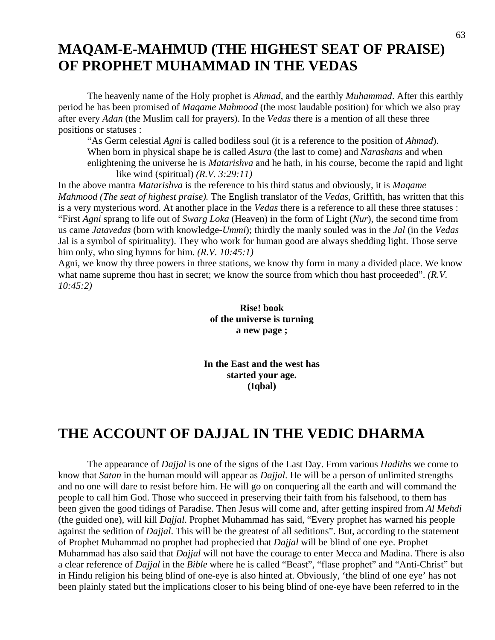## **MAQAM-E-MAHMUD (THE HIGHEST SEAT OF PRAISE) OF PROPHET MUHAMMAD IN THE VEDAS**

The heavenly name of the Holy prophet is *Ahmad*, and the earthly *Muhammad*. After this earthly period he has been promised of *Maqame Mahmood* (the most laudable position) for which we also pray after every *Adan* (the Muslim call for prayers). In the *Vedas* there is a mention of all these three positions or statuses :

 "As Germ celestial *Agni* is called bodiless soul (it is a reference to the position of *Ahmad*). When born in physical shape he is called *Asura* (the last to come) and *Narashans* and when enlightening the universe he is *Matarishva* and he hath, in his course, become the rapid and light like wind (spiritual) *(R.V. 3:29:11)* 

In the above mantra *Matarishva* is the reference to his third status and obviously, it is *Maqame Mahmood (The seat of highest praise).* The English translator of the *Vedas*, Griffith, has written that this is a very mysterious word. At another place in the *Vedas* there is a reference to all these three statuses : "First *Agni* sprang to life out of *Swarg Loka* (Heaven) in the form of Light (*Nur*), the second time from us came *Jatavedas* (born with knowledge-*Ummi*); thirdly the manly souled was in the *Jal* (in the *Vedas*  Jal is a symbol of spirituality). They who work for human good are always shedding light. Those serve him only, who sing hymns for him. *(R.V. 10:45:1)*

Agni, we know thy three powers in three stations, we know thy form in many a divided place. We know what name supreme thou hast in secret; we know the source from which thou hast proceeded". *(R.V. 10:45:2)* 

> **Rise! book of the universe is turning a new page ;**

**In the East and the west has started your age. (Iqbal)** 

## **THE ACCOUNT OF DAJJAL IN THE VEDIC DHARMA**

The appearance of *Dajjal* is one of the signs of the Last Day. From various *Hadiths* we come to know that *Satan* in the human mould will appear as *Dajjal*. He will be a person of unlimited strengths and no one will dare to resist before him. He will go on conquering all the earth and will command the people to call him God. Those who succeed in preserving their faith from his falsehood, to them has been given the good tidings of Paradise. Then Jesus will come and, after getting inspired from *Al Mehdi* (the guided one), will kill *Dajjal*. Prophet Muhammad has said, "Every prophet has warned his people against the sedition of *Dajjal*. This will be the greatest of all seditions". But, according to the statement of Prophet Muhammad no prophet had prophecied that *Dajjal* will be blind of one eye. Prophet Muhammad has also said that *Dajjal* will not have the courage to enter Mecca and Madina. There is also a clear reference of *Dajjal* in the *Bible* where he is called "Beast", "flase prophet" and "Anti-Christ" but in Hindu religion his being blind of one-eye is also hinted at. Obviously, 'the blind of one eye' has not been plainly stated but the implications closer to his being blind of one-eye have been referred to in the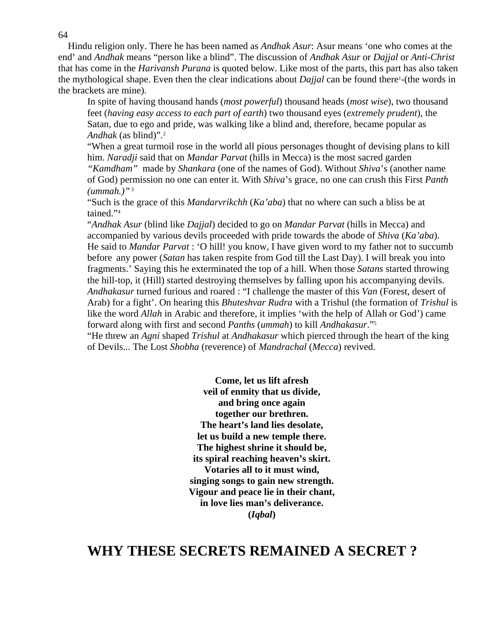Hindu religion only. There he has been named as *Andhak Asur*: Asur means 'one who comes at the end' and *Andhak* means "person like a blind". The discussion of *Andhak Asur* or *Dajjal* or *Anti-Christ*  that has come in the *Harivansh Purana* is quoted below. Like most of the parts, this part has also taken the mythological shape. Even then the clear indications about *Dajjal* can be found there<sup>1</sup>-(the words in the brackets are mine).

 In spite of having thousand hands (*most powerful*) thousand heads (*most wise*), two thousand feet (*having easy access to each part of earth*) two thousand eyes (*extremely prudent*), the Satan, due to ego and pride, was walking like a blind and, therefore, became popular as *Andhak* (as blind)".2

 "When a great turmoil rose in the world all pious personages thought of devising plans to kill him. *Naradji* said that on *Mandar Parvat* (hills in Mecca) is the most sacred garden  *"Kamdham"* made by *Shankara* (one of the names of God). Without *Shiva*'s (another name of God) permission no one can enter it. With *Shiva*'s grace, no one can crush this First *Panth (ummah.)"*<sup>3</sup>

"Such is the grace of this *Mandarvrikchh* (*Ka'aba*) that no where can such a bliss be at tained."4

"*Andhak Asur* (blind like *Dajjal*) decided to go on *Mandar Parvat* (hills in Mecca) and accompanied by various devils proceeded with pride towards the abode of *Shiva* (*Ka'aba*). He said to *Mandar Parvat* : 'O hill! you know, I have given word to my father not to succumb before any power (*Satan* has taken respite from God till the Last Day). I will break you into fragments.' Saying this he exterminated the top of a hill. When those *Satans* started throwing the hill-top, it (Hill) started destroying themselves by falling upon his accompanying devils. *Andhakasur* turned furious and roared : "I challenge the master of this *Van* (Forest, desert of Arab) for a fight'. On hearing this *Bhuteshvar Rudra* with a Trishul (the formation of *Trishul* is like the word *Allah* in Arabic and therefore, it implies 'with the help of Allah or God') came forward along with first and second *Panths* (*ummah*) to kill *Andhakasur*."5 "He threw an *Agni* shaped *Trishul* at *Andhakasur* which pierced through the heart of the king

of Devils... The Lost *Shobha* (reverence) of *Mandrachal* (*Mecca*) revived.

**Come, let us lift afresh veil of enmity that us divide, and bring once again together our brethren. The heart's land lies desolate, let us build a new temple there. The highest shrine it should be, its spiral reaching heaven's skirt. Votaries all to it must wind, singing songs to gain new strength. Vigour and peace lie in their chant, in love lies man's deliverance. (***Iqbal***)** 

### **WHY THESE SECRETS REMAINED A SECRET ?**

64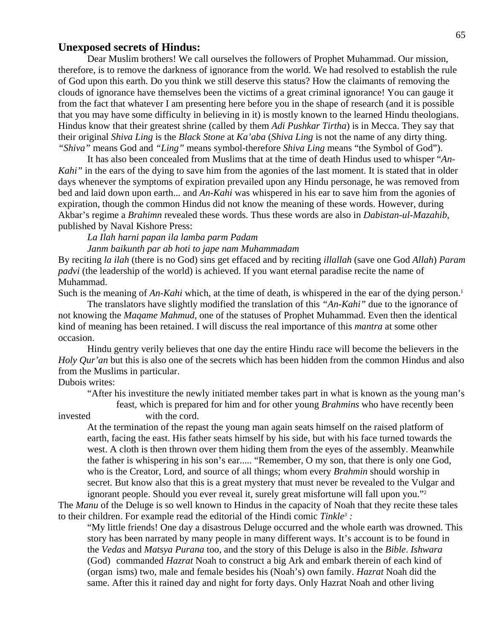#### **Unexposed secrets of Hindus:**

Dear Muslim brothers! We call ourselves the followers of Prophet Muhammad. Our mission, therefore, is to remove the darkness of ignorance from the world. We had resolved to establish the rule of God upon this earth. Do you think we still deserve this status? How the claimants of removing the clouds of ignorance have themselves been the victims of a great criminal ignorance! You can gauge it from the fact that whatever I am presenting here before you in the shape of research (and it is possible that you may have some difficulty in believing in it) is mostly known to the learned Hindu theologians. Hindus know that their greatest shrine (called by them *Adi Pushkar Tirtha*) is in Mecca. They say that their original *Shiva Ling* is the *Black Stone* at *Ka'aba* (*Shiva Ling* is not the name of any dirty thing. *"Shiva"* means God and *"Ling"* means symbol-therefore *Shiva Ling* means "the Symbol of God").

 It has also been concealed from Muslims that at the time of death Hindus used to whisper "*An-Kahi*" in the ears of the dying to save him from the agonies of the last moment. It is stated that in older days whenever the symptoms of expiration prevailed upon any Hindu personage, he was removed from bed and laid down upon earth... and *An-Kahi* was whispered in his ear to save him from the agonies of expiration, though the common Hindus did not know the meaning of these words. However, during Akbar's regime a *Brahimn* revealed these words. Thus these words are also in *Dabistan-ul-Mazahib*, published by Naval Kishore Press:

*La Ilah harni papan ila lamba parm Padam Janm baikunth par ab hoti to jape nam Muhammadam*

By reciting *la ilah* (there is no God) sins get effaced and by reciting *illallah* (save one God *Allah*) *Param padvi* (the leadership of the world) is achieved. If you want eternal paradise recite the name of Muhammad.

Such is the meaning of *An-Kahi* which, at the time of death, is whispered in the ear of the dying person.<sup>1</sup>

The translators have slightly modified the translation of this *"An-Kahi"* due to the ignorance of not knowing the *Maqame Mahmud,* one of the statuses of Prophet Muhammad. Even then the identical kind of meaning has been retained. I will discuss the real importance of this *mantra* at some other occasion.

 Hindu gentry verily believes that one day the entire Hindu race will become the believers in the *Holy Qur'an* but this is also one of the secrets which has been hidden from the common Hindus and also from the Muslims in particular.

#### Dubois writes:

 "After his investiture the newly initiated member takes part in what is known as the young man's feast, which is prepared for him and for other young *Brahmins* who have recently been

invested with the cord.

 At the termination of the repast the young man again seats himself on the raised platform of earth, facing the east. His father seats himself by his side, but with his face turned towards the west. A cloth is then thrown over them hiding them from the eyes of the assembly. Meanwhile the father is whispering in his son's ear..... "Remember, O my son, that there is only one God, who is the Creator, Lord, and source of all things; whom every *Brahmin* should worship in secret. But know also that this is a great mystery that must never be revealed to the Vulgar and ignorant people. Should you ever reveal it, surely great misfortune will fall upon you."2

The *Manu* of the Deluge is so well known to Hindus in the capacity of Noah that they recite these tales to their children. For example read the editorial of the Hindi comic *Tinkle3 :*

 "My little friends! One day a disastrous Deluge occurred and the whole earth was drowned. This story has been narrated by many people in many different ways. It's account is to be found in the *Vedas* and *Matsya Purana* too, and the story of this Deluge is also in the *Bible*. *Ishwara*  (God) commanded *Hazrat* Noah to construct a big Ark and embark therein of each kind of (organ isms) two, male and female besides his (Noah's) own family. *Hazrat* Noah did the same. After this it rained day and night for forty days. Only Hazrat Noah and other living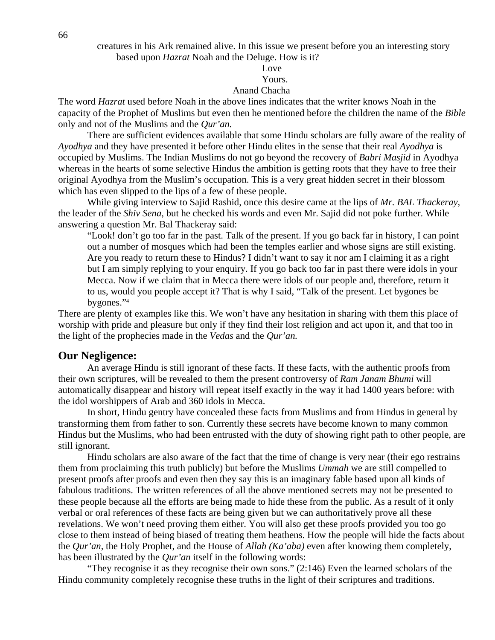#### Love **Love**

#### Yours.

#### Anand Chacha

The word *Hazrat* used before Noah in the above lines indicates that the writer knows Noah in the capacity of the Prophet of Muslims but even then he mentioned before the children the name of the *Bible*  only and not of the Muslims and the *Qur'an.* 

 There are sufficient evidences available that some Hindu scholars are fully aware of the reality of *Ayodhya* and they have presented it before other Hindu elites in the sense that their real *Ayodhya* is occupied by Muslims. The Indian Muslims do not go beyond the recovery of *Babri Masjid* in Ayodhya whereas in the hearts of some selective Hindus the ambition is getting roots that they have to free their original Ayodhya from the Muslim's occupation. This is a very great hidden secret in their blossom which has even slipped to the lips of a few of these people.

 While giving interview to Sajid Rashid, once this desire came at the lips of *Mr. BAL Thackeray,* the leader of the *Shiv Sena,* but he checked his words and even Mr. Sajid did not poke further. While answering a question Mr. Bal Thackeray said:

 "Look! don't go too far in the past. Talk of the present. If you go back far in history, I can point out a number of mosques which had been the temples earlier and whose signs are still existing. Are you ready to return these to Hindus? I didn't want to say it nor am I claiming it as a right but I am simply replying to your enquiry. If you go back too far in past there were idols in your Mecca. Now if we claim that in Mecca there were idols of our people and, therefore, return it to us, would you people accept it? That is why I said, "Talk of the present. Let bygones be bygones."4

There are plenty of examples like this. We won't have any hesitation in sharing with them this place of worship with pride and pleasure but only if they find their lost religion and act upon it, and that too in the light of the prophecies made in the *Vedas* and the *Qur'an.* 

#### **Our Negligence:**

 An average Hindu is still ignorant of these facts. If these facts, with the authentic proofs from their own scriptures, will be revealed to them the present controversy of *Ram Janam Bhumi* will automatically disappear and history will repeat itself exactly in the way it had 1400 years before: with the idol worshippers of Arab and 360 idols in Mecca.

 In short, Hindu gentry have concealed these facts from Muslims and from Hindus in general by transforming them from father to son. Currently these secrets have become known to many common Hindus but the Muslims, who had been entrusted with the duty of showing right path to other people, are still ignorant.

 Hindu scholars are also aware of the fact that the time of change is very near (their ego restrains them from proclaiming this truth publicly) but before the Muslims *Ummah* we are still compelled to present proofs after proofs and even then they say this is an imaginary fable based upon all kinds of fabulous traditions. The written references of all the above mentioned secrets may not be presented to these people because all the efforts are being made to hide these from the public. As a result of it only verbal or oral references of these facts are being given but we can authoritatively prove all these revelations. We won't need proving them either. You will also get these proofs provided you too go close to them instead of being biased of treating them heathens. How the people will hide the facts about the *Qur'an,* the Holy Prophet, and the House of *Allah (Ka'aba)* even after knowing them completely, has been illustrated by the *Qur'an* itself in the following words:

 "They recognise it as they recognise their own sons." (2:146) Even the learned scholars of the Hindu community completely recognise these truths in the light of their scriptures and traditions.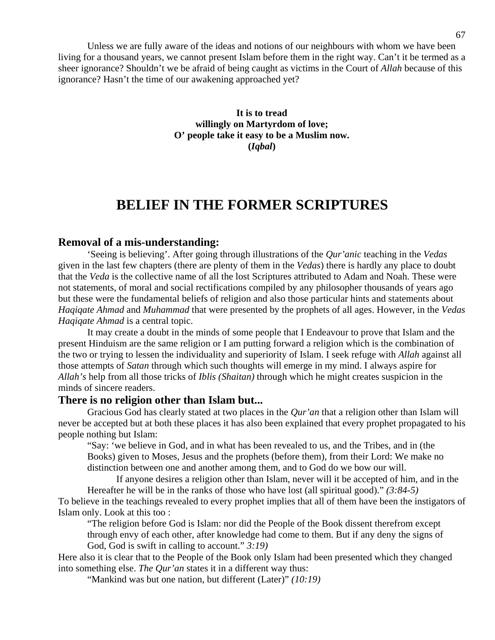Unless we are fully aware of the ideas and notions of our neighbours with whom we have been living for a thousand years, we cannot present Islam before them in the right way. Can't it be termed as a sheer ignorance? Shouldn't we be afraid of being caught as victims in the Court of *Allah* because of this ignorance? Hasn't the time of our awakening approached yet?

> **It is to tread willingly on Martyrdom of love; O' people take it easy to be a Muslim now. (***Iqbal***)**

### **BELIEF IN THE FORMER SCRIPTURES**

#### **Removal of a mis-understanding:**

 'Seeing is believing'. After going through illustrations of the *Qur'anic* teaching in the *Vedas*  given in the last few chapters (there are plenty of them in the *Vedas*) there is hardly any place to doubt that the *Veda* is the collective name of all the lost Scriptures attributed to Adam and Noah. These were not statements, of moral and social rectifications compiled by any philosopher thousands of years ago but these were the fundamental beliefs of religion and also those particular hints and statements about *Haqiqate Ahmad* and *Muhammad* that were presented by the prophets of all ages. However, in the *Vedas Hagiqate Ahmad* is a central topic.

 It may create a doubt in the minds of some people that I Endeavour to prove that Islam and the present Hinduism are the same religion or I am putting forward a religion which is the combination of the two or trying to lessen the individuality and superiority of Islam. I seek refuge with *Allah* against all those attempts of *Satan* through which such thoughts will emerge in my mind. I always aspire for *Allah's* help from all those tricks of *Iblis (Shaitan)* through which he might creates suspicion in the minds of sincere readers.

#### **There is no religion other than Islam but...**

 Gracious God has clearly stated at two places in the *Qur'an* that a religion other than Islam will never be accepted but at both these places it has also been explained that every prophet propagated to his people nothing but Islam:

 "Say: 'we believe in God, and in what has been revealed to us, and the Tribes, and in (the Books) given to Moses, Jesus and the prophets (before them), from their Lord: We make no distinction between one and another among them, and to God do we bow our will.

 If anyone desires a religion other than Islam, never will it be accepted of him, and in the Hereafter he will be in the ranks of those who have lost (all spiritual good)." *(3:84-5)* To believe in the teachings revealed to every prophet implies that all of them have been the instigators of Islam only. Look at this too :

 "The religion before God is Islam: nor did the People of the Book dissent therefrom except through envy of each other, after knowledge had come to them. But if any deny the signs of God, God is swift in calling to account." *3:19)*

Here also it is clear that to the People of the Book only Islam had been presented which they changed into something else. *The Qur'an* states it in a different way thus:

"Mankind was but one nation, but different (Later)" *(10:19)*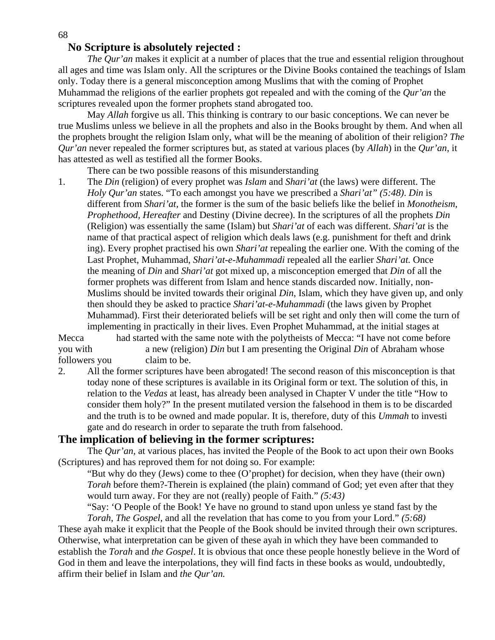#### **No Scripture is absolutely rejected :**

*The Qur'an* makes it explicit at a number of places that the true and essential religion throughout all ages and time was Islam only. All the scriptures or the Divine Books contained the teachings of Islam only. Today there is a general misconception among Muslims that with the coming of Prophet Muhammad the religions of the earlier prophets got repealed and with the coming of the *Qur'an* the scriptures revealed upon the former prophets stand abrogated too.

 May *Allah* forgive us all. This thinking is contrary to our basic conceptions. We can never be true Muslims unless we believe in all the prophets and also in the Books brought by them. And when all the prophets brought the religion Islam only, what will be the meaning of abolition of their religion? *The Qur'an* never repealed the former scriptures but, as stated at various places (by *Allah*) in the *Qur'an*, it has attested as well as testified all the former Books.

There can be two possible reasons of this misunderstanding

1. The *Din* (religion) of every prophet was *Islam* and *Shari'at* (the laws) were different. The  *Holy Qur'an* states. "To each amongst you have we prescribed a *Shari'at" (5:48)*. *Din* is different from *Shari'at,* the former is the sum of the basic beliefs like the belief in *Monotheism, Prophethood, Hereafter* and Destiny (Divine decree). In the scriptures of all the prophets *Din*  (Religion) was essentially the same (Islam) but *Shari'at* of each was different. *Shari'at* is the name of that practical aspect of religion which deals laws (e.g. punishment for theft and drink ing). Every prophet practised his own *Shari'at* repealing the earlier one. With the coming of the Last Prophet, Muhammad, *Shari'at-e-Muhammadi* repealed all the earlier *Shari'at.* Once the meaning of *Din* and *Shari'at* got mixed up, a misconception emerged that *Din* of all the former prophets was different from Islam and hence stands discarded now. Initially, non- Muslims should be invited towards their original *Din*, Islam, which they have given up, and only then should they be asked to practice *Shari'at-e-Muhammadi* (the laws given by Prophet Muhammad). First their deteriorated beliefs will be set right and only then will come the turn of implementing in practically in their lives. Even Prophet Muhammad, at the initial stages at

Mecca had started with the same note with the polytheists of Mecca: "I have not come before you with a new (religion) *Din* but I am presenting the Original *Din* of Abraham whose followers you claim to be.

2. All the former scriptures have been abrogated! The second reason of this misconception is that today none of these scriptures is available in its Original form or text. The solution of this, in relation to the *Vedas* at least, has already been analysed in Chapter V under the title "How to consider them holy?" In the present mutilated version the falsehood in them is to be discarded and the truth is to be owned and made popular. It is, therefore, duty of this *Ummah* to investi gate and do research in order to separate the truth from falsehood.

#### **The implication of believing in the former scriptures:**

 The *Qur'an,* at various places, has invited the People of the Book to act upon their own Books (Scriptures) and has reproved them for not doing so. For example:

 "But why do they (Jews) come to thee (O'prophet) for decision, when they have (their own) *Torah* before them?-Therein is explained (the plain) command of God; yet even after that they would turn away. For they are not (really) people of Faith." *(5:43)*

 "Say: 'O People of the Book! Ye have no ground to stand upon unless ye stand fast by the *Torah*, *The Gospel*, and all the revelation that has come to you from your Lord." *(5:68)* 

These ayah make it explicit that the People of the Book should be invited through their own scriptures. Otherwise, what interpretation can be given of these ayah in which they have been commanded to establish the *Torah* and *the Gospel*. It is obvious that once these people honestly believe in the Word of God in them and leave the interpolations, they will find facts in these books as would, undoubtedly, affirm their belief in Islam and *the Qur'an.*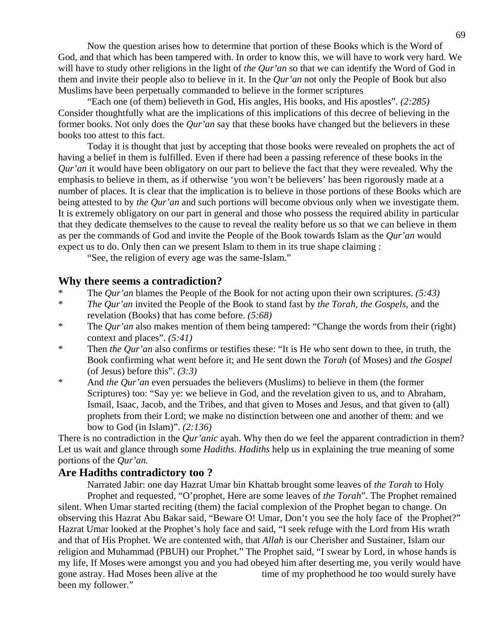Now the question arises how to determine that portion of these Books which is the Word of God, and that which has been tampered with. In order to know this, we will have to work very hard. We will have to study other religions in the light of *the Qur'an* so that we can identify the Word of God in them and invite their people also to believe in it. In the *Qur'an* not only the People of Book but also Muslims have been perpetually commanded to believe in the former scriptures

 "Each one (of them) believeth in God, His angles, His books, and His apostles". *(2:285)*  Consider thoughtfully what are the implications of this implications of this decree of believing in the former books. Not only does the *Qur'an* say that these books have changed but the believers in these books too attest to this fact.

 Today it is thought that just by accepting that those books were revealed on prophets the act of having a belief in them is fulfilled. Even if there had been a passing reference of these books in the *Qur'an* it would have been obligatory on our part to believe the fact that they were revealed. Why the emphasis to believe in them, as if otherwise 'you won't be believers' has been rigorously made at a number of places. It is clear that the implication is to believe in those portions of these Books which are being attested to by *the Qur'an* and such portions will become obvious only when we investigate them. It is extremely obligatory on our part in general and those who possess the required ability in particular that they dedicate themselves to the cause to reveal the reality before us so that we can believe in them as per the commands of God and invite the People of the Book towards Islam as the *Qur'an* would expect us to do. Only then can we present Islam to them in its true shape claiming :

"See, the religion of every age was the same-Islam."

#### **Why there seems a contradiction?**

- The *Qur'an* blames the People of the Book for not acting upon their own scriptures. *(5:43)*
- \* *The Qur'an* invited the People of the Book to stand fast by *the Torah, the Gospels*, and the revelation (Books) that has come before. *(5:68)*
- \* The *Qur'an* also makes mention of them being tampered: "Change the words from their (right) context and places". *(5:41)*
- \* Then *the Qur'an* also confirms or testifies these: "It is He who sent down to thee, in truth, the Book confirming what went before it; and He sent down the *Torah* (of Moses) and *the Gospel*  (of Jesus) before this". *(3:3)*
- \* And *the Qur'an* even persuades the believers (Muslims) to believe in them (the former Scriptures) too: "Say ye: we believe in God, and the revelation given to us, and to Abraham, Ismail, Isaac, Jacob, and the Tribes, and that given to Moses and Jesus, and that given to (all) prophets from their Lord; we make no distinction between one and another of them: and we bow to God (in Islam)". *(2:136)*

There is no contradiction in the *Qur'anic* ayah. Why then do we feel the apparent contradiction in them? Let us wait and glance through some *Hadiths*. *Hadiths* help us in explaining the true meaning of some portions of the *Qur'an.* 

#### **Are Hadiths contradictory too ?**

 Narrated Jabir: one day Hazrat Umar bin Khattab brought some leaves of *the Torah* to Holy Prophet and requested, "O'prophet, Here are some leaves of *the Torah*". The Prophet remained silent. When Umar started reciting (them) the facial complexion of the Prophet began to change. On observing this Hazrat Abu Bakar said, "Beware O! Umar, Don't you see the holy face of the Prophet?" Hazrat Umar looked at the Prophet's holy face and said, "I seek refuge with the Lord from His wrath and that of His Prophet. We are contented with, that *Allah* is our Cherisher and Sustainer, Islam our religion and Muhammad (PBUH) our Prophet." The Prophet said, "I swear by Lord, in whose hands is my life, If Moses were amongst you and you had obeyed him after deserting me, you verily would have gone astray. Had Moses been alive at the time of my prophethood he too would surely have been my follower."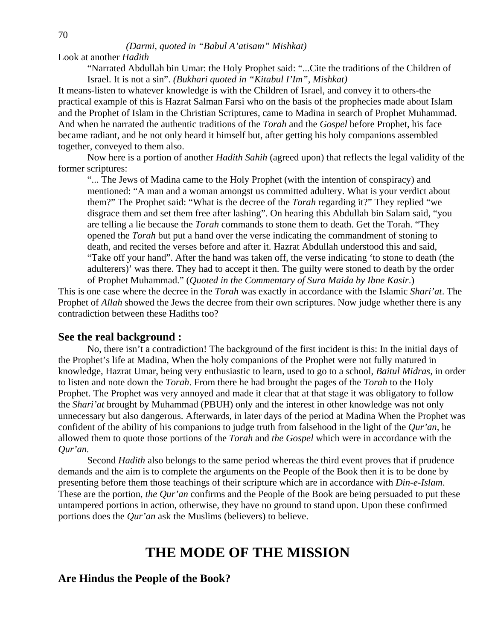#### *(Darmi, quoted in "Babul A'atisam" Mishkat)*

Look at another *Hadith*

 "Narrated Abdullah bin Umar: the Holy Prophet said: "...Cite the traditions of the Children of Israel. It is not a sin". *(Bukhari quoted in "Kitabul I'Im", Mishkat)* 

It means-listen to whatever knowledge is with the Children of Israel, and convey it to others-the practical example of this is Hazrat Salman Farsi who on the basis of the prophecies made about Islam and the Prophet of Islam in the Christian Scriptures, came to Madina in search of Prophet Muhammad. And when he narrated the authentic traditions of the *Torah* and the *Gospel* before Prophet, his face became radiant, and he not only heard it himself but, after getting his holy companions assembled together, conveyed to them also.

 Now here is a portion of another *Hadith Sahih* (agreed upon) that reflects the legal validity of the former scriptures:

 "... The Jews of Madina came to the Holy Prophet (with the intention of conspiracy) and mentioned: "A man and a woman amongst us committed adultery. What is your verdict about them?" The Prophet said: "What is the decree of the *Torah* regarding it?" They replied "we disgrace them and set them free after lashing". On hearing this Abdullah bin Salam said, "you are telling a lie because the *Torah* commands to stone them to death. Get the Torah. "They opened the *Torah* but put a hand over the verse indicating the commandment of stoning to death, and recited the verses before and after it. Hazrat Abdullah understood this and said, "Take off your hand". After the hand was taken off, the verse indicating 'to stone to death (the adulterers)' was there. They had to accept it then. The guilty were stoned to death by the order of Prophet Muhammad." (*Quoted in the Commentary of Sura Maida by Ibne Kasir*.)

This is one case where the decree in the *Torah* was exactly in accordance with the Islamic *Shari'at*. The Prophet of *Allah* showed the Jews the decree from their own scriptures. Now judge whether there is any contradiction between these Hadiths too?

#### **See the real background :**

 No, there isn't a contradiction! The background of the first incident is this: In the initial days of the Prophet's life at Madina, When the holy companions of the Prophet were not fully matured in knowledge, Hazrat Umar, being very enthusiastic to learn, used to go to a school, *Baitul Midras,* in order to listen and note down the *Torah*. From there he had brought the pages of the *Torah* to the Holy Prophet. The Prophet was very annoyed and made it clear that at that stage it was obligatory to follow the *Shari'at* brought by Muhammad (PBUH) only and the interest in other knowledge was not only unnecessary but also dangerous. Afterwards, in later days of the period at Madina When the Prophet was confident of the ability of his companions to judge truth from falsehood in the light of the *Qur'an*, he allowed them to quote those portions of the *Torah* and *the Gospel* which were in accordance with the *Qur'an.*

 Second *Hadith* also belongs to the same period whereas the third event proves that if prudence demands and the aim is to complete the arguments on the People of the Book then it is to be done by presenting before them those teachings of their scripture which are in accordance with *Din-e-Islam*. These are the portion, *the Qur'an* confirms and the People of the Book are being persuaded to put these untampered portions in action, otherwise, they have no ground to stand upon. Upon these confirmed portions does the *Qur'an* ask the Muslims (believers) to believe.

### **THE MODE OF THE MISSION**

#### **Are Hindus the People of the Book?**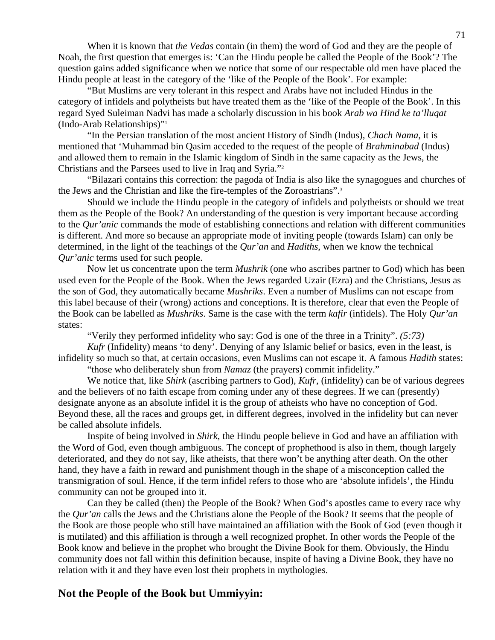When it is known that *the Vedas* contain (in them) the word of God and they are the people of Noah, the first question that emerges is: 'Can the Hindu people be called the People of the Book'? The question gains added significance when we notice that some of our respectable old men have placed the Hindu people at least in the category of the 'like of the People of the Book'. For example:

 "But Muslims are very tolerant in this respect and Arabs have not included Hindus in the category of infidels and polytheists but have treated them as the 'like of the People of the Book'. In this regard Syed Suleiman Nadvi has made a scholarly discussion in his book *Arab wa Hind ke ta'lluqat*  (Indo-Arab Relationships)"1

 "In the Persian translation of the most ancient History of Sindh (Indus), *Chach Nama,* it is mentioned that 'Muhammad bin Qasim acceded to the request of the people of *Brahminabad* (Indus) and allowed them to remain in the Islamic kingdom of Sindh in the same capacity as the Jews, the Christians and the Parsees used to live in Iraq and Syria."2

 "Bilazari contains this correction: the pagoda of India is also like the synagogues and churches of the Jews and the Christian and like the fire-temples of the Zoroastrians".3

 Should we include the Hindu people in the category of infidels and polytheists or should we treat them as the People of the Book? An understanding of the question is very important because according to the *Qur'anic* commands the mode of establishing connections and relation with different communities is different. And more so because an appropriate mode of inviting people (towards Islam) can only be determined, in the light of the teachings of the *Qur'an* and *Hadiths*, when we know the technical *Qur'anic* terms used for such people.

 Now let us concentrate upon the term *Mushrik* (one who ascribes partner to God) which has been used even for the People of the Book. When the Jews regarded Uzair (Ezra) and the Christians, Jesus as the son of God, they automatically became *Mushriks*. Even a number of Muslims can not escape from this label because of their (wrong) actions and conceptions. It is therefore, clear that even the People of the Book can be labelled as *Mushriks*. Same is the case with the term *kafir* (infidels). The Holy *Qur'an*  states:

"Verily they performed infidelity who say: God is one of the three in a Trinity". *(5:73)*

*Kufr* (Infidelity) means 'to deny'. Denying of any Islamic belief or basics, even in the least, is infidelity so much so that, at certain occasions, even Muslims can not escape it. A famous *Hadith* states:

"those who deliberately shun from *Namaz* (the prayers) commit infidelity."

 We notice that, like *Shirk* (ascribing partners to God), *Kufr*, (infidelity) can be of various degrees and the believers of no faith escape from coming under any of these degrees. If we can (presently) designate anyone as an absolute infidel it is the group of atheists who have no conception of God. Beyond these, all the races and groups get, in different degrees, involved in the infidelity but can never be called absolute infidels.

 Inspite of being involved in *Shirk*, the Hindu people believe in God and have an affiliation with the Word of God, even though ambiguous. The concept of prophethood is also in them, though largely deteriorated, and they do not say, like atheists, that there won't be anything after death. On the other hand, they have a faith in reward and punishment though in the shape of a misconception called the transmigration of soul. Hence, if the term infidel refers to those who are 'absolute infidels', the Hindu community can not be grouped into it.

 Can they be called (then) the People of the Book? When God's apostles came to every race why the *Qur'an* calls the Jews and the Christians alone the People of the Book? It seems that the people of the Book are those people who still have maintained an affiliation with the Book of God (even though it is mutilated) and this affiliation is through a well recognized prophet. In other words the People of the Book know and believe in the prophet who brought the Divine Book for them. Obviously, the Hindu community does not fall within this definition because, inspite of having a Divine Book, they have no relation with it and they have even lost their prophets in mythologies.

### **Not the People of the Book but Ummiyyin:**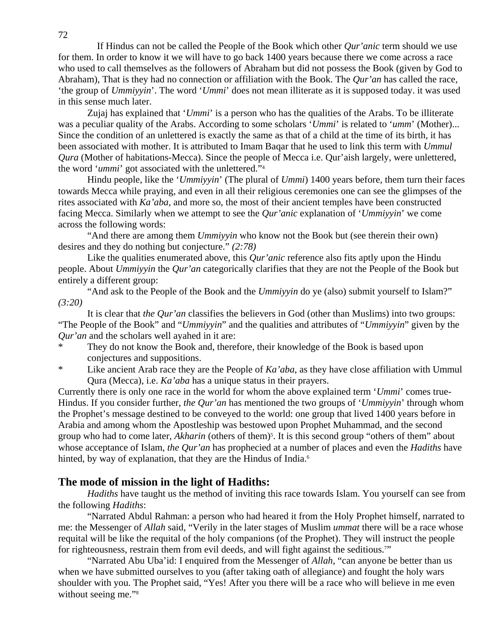If Hindus can not be called the People of the Book which other *Qur'anic* term should we use for them. In order to know it we will have to go back 1400 years because there we come across a race who used to call themselves as the followers of Abraham but did not possess the Book (given by God to Abraham), That is they had no connection or affiliation with the Book. The *Qur'an* has called the race, 'the group of *Ummiyyin*'. The word '*Ummi*' does not mean illiterate as it is supposed today. it was used in this sense much later.

 Zujaj has explained that '*Ummi*' is a person who has the qualities of the Arabs. To be illiterate was a peculiar quality of the Arabs. According to some scholars '*Ummi*' is related to '*umm*' (Mother)... Since the condition of an unlettered is exactly the same as that of a child at the time of its birth, it has been associated with mother. It is attributed to Imam Baqar that he used to link this term with *Ummul Qura* (Mother of habitations-Mecca). Since the people of Mecca i.e. Qur'aish largely, were unlettered, the word '*ummi*' got associated with the unlettered."4

 Hindu people, like the '*Ummiyyin*' (The plural of *Ummi*) 1400 years before, them turn their faces towards Mecca while praying, and even in all their religious ceremonies one can see the glimpses of the rites associated with *Ka'aba,* and more so, the most of their ancient temples have been constructed facing Mecca. Similarly when we attempt to see the *Qur'anic* explanation of '*Ummiyyin*' we come across the following words:

 "And there are among them *Ummiyyin* who know not the Book but (see therein their own) desires and they do nothing but conjecture." *(2:78)*

Like the qualities enumerated above, this *Qur'anic* reference also fits aptly upon the Hindu people. About *Ummiyyin* the *Qur'an* categorically clarifies that they are not the People of the Book but entirely a different group:

 "And ask to the People of the Book and the *Ummiyyin* do ye (also) submit yourself to Islam?" *(3:20)*

 It is clear that *the Qur'an* classifies the believers in God (other than Muslims) into two groups: "The People of the Book" and "*Ummiyyin*" and the qualities and attributes of "*Ummiyyin*" given by the *Qur'an* and the scholars well ayahed in it are:

- They do not know the Book and, therefore, their knowledge of the Book is based upon conjectures and suppositions.
- \* Like ancient Arab race they are the People of *Ka'aba*, as they have close affiliation with Ummul Qura (Mecca), i.e. *Ka'aba* has a unique status in their prayers.

Currently there is only one race in the world for whom the above explained term '*Ummi*' comes true-Hindus. If you consider further, *the Qur'an* has mentioned the two groups of '*Ummiyyin*' through whom the Prophet's message destined to be conveyed to the world: one group that lived 1400 years before in Arabia and among whom the Apostleship was bestowed upon Prophet Muhammad, and the second group who had to come later, *Akharin* (others of them)<sup>5</sup>. It is this second group "others of them" about whose acceptance of Islam, *the Qur'an* has prophecied at a number of places and even the *Hadiths* have hinted, by way of explanation, that they are the Hindus of India.<sup>6</sup>

### **The mode of mission in the light of Hadiths:**

*Hadiths* have taught us the method of inviting this race towards Islam. You yourself can see from the following *Hadiths*:

 "Narrated Abdul Rahman: a person who had heared it from the Holy Prophet himself, narrated to me: the Messenger of *Allah* said, "Verily in the later stages of Muslim *ummat* there will be a race whose requital will be like the requital of the holy companions (of the Prophet). They will instruct the people for righteousness, restrain them from evil deeds, and will fight against the seditious."

 "Narrated Abu Uba'id: I enquired from the Messenger of *Allah*, "can anyone be better than us when we have submitted ourselves to you (after taking oath of allegiance) and fought the holy wars shoulder with you. The Prophet said, "Yes! After you there will be a race who will believe in me even without seeing me."<sup>8</sup>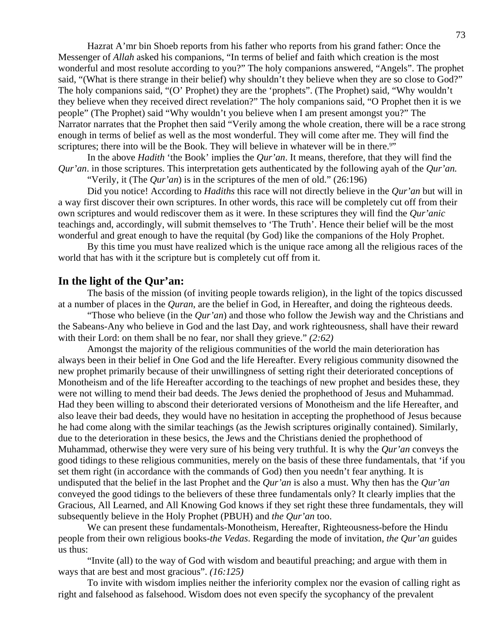Hazrat A'mr bin Shoeb reports from his father who reports from his grand father: Once the Messenger of *Allah* asked his companions, "In terms of belief and faith which creation is the most wonderful and most resolute according to you?" The holy companions answered, "Angels". The prophet said, "(What is there strange in their belief) why shouldn't they believe when they are so close to God?" The holy companions said, "(O' Prophet) they are the 'prophets". (The Prophet) said, "Why wouldn't they believe when they received direct revelation?" The holy companions said, "O Prophet then it is we people" (The Prophet) said "Why wouldn't you believe when I am present amongst you?" The Narrator narrates that the Prophet then said "Verily among the whole creation, there will be a race strong enough in terms of belief as well as the most wonderful. They will come after me. They will find the scriptures; there into will be the Book. They will believe in whatever will be in there.<sup>9</sup>"

 In the above *Hadith* 'the Book' implies the *Qur'an*. It means, therefore, that they will find the *Qur'an*. in those scriptures. This interpretation gets authenticated by the following ayah of the *Qur'an.*

"Verily, it (The *Qur'an*) is in the scriptures of the men of old." (26:196)

 Did you notice! According to *Hadiths* this race will not directly believe in the *Qur'an* but will in a way first discover their own scriptures. In other words, this race will be completely cut off from their own scriptures and would rediscover them as it were. In these scriptures they will find the *Qur'anic*  teachings and, accordingly, will submit themselves to 'The Truth'. Hence their belief will be the most wonderful and great enough to have the requital (by God) like the companions of the Holy Prophet.

 By this time you must have realized which is the unique race among all the religious races of the world that has with it the scripture but is completely cut off from it.

#### **In the light of the Qur'an:**

 The basis of the mission (of inviting people towards religion), in the light of the topics discussed at a number of places in the *Quran*, are the belief in God, in Hereafter, and doing the righteous deeds.

 "Those who believe (in the *Qur'an*) and those who follow the Jewish way and the Christians and the Sabeans-Any who believe in God and the last Day, and work righteousness, shall have their reward with their Lord: on them shall be no fear, nor shall they grieve." *(2:62)* 

 Amongst the majority of the religious communities of the world the main deterioration has always been in their belief in One God and the life Hereafter. Every religious community disowned the new prophet primarily because of their unwillingness of setting right their deteriorated conceptions of Monotheism and of the life Hereafter according to the teachings of new prophet and besides these, they were not willing to mend their bad deeds. The Jews denied the prophethood of Jesus and Muhammad. Had they been willing to abscond their deteriorated versions of Monotheism and the life Hereafter, and also leave their bad deeds, they would have no hesitation in accepting the prophethood of Jesus because he had come along with the similar teachings (as the Jewish scriptures originally contained). Similarly, due to the deterioration in these besics, the Jews and the Christians denied the prophethood of Muhammad, otherwise they were very sure of his being very truthful. It is why the *Qur'an* conveys the good tidings to these religious communities, merely on the basis of these three fundamentals, that 'if you set them right (in accordance with the commands of God) then you needn't fear anything. It is undisputed that the belief in the last Prophet and the *Qur'an* is also a must. Why then has the *Qur'an* conveyed the good tidings to the believers of these three fundamentals only? It clearly implies that the Gracious, All Learned, and All Knowing God knows if they set right these three fundamentals, they will subsequently believe in the Holy Prophet (PBUH) and *the Qur'an* too.

 We can present these fundamentals-Monotheism, Hereafter, Righteousness-before the Hindu people from their own religious books-*the Vedas*. Regarding the mode of invitation, *the Qur'an* guides us thus:

 "Invite (all) to the way of God with wisdom and beautiful preaching; and argue with them in ways that are best and most gracious". *(16:125)*

 To invite with wisdom implies neither the inferiority complex nor the evasion of calling right as right and falsehood as falsehood. Wisdom does not even specify the sycophancy of the prevalent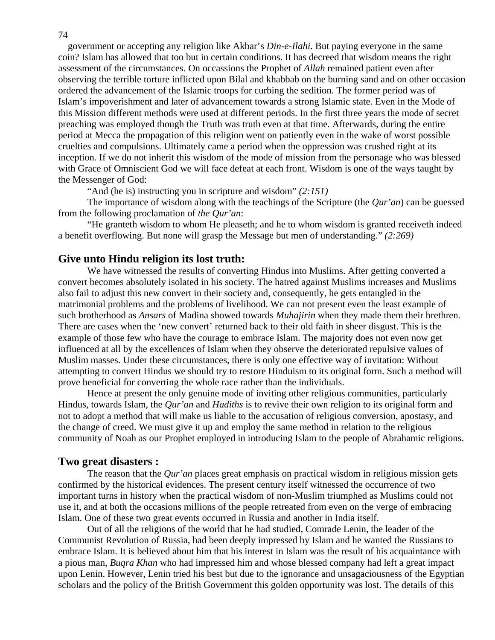government or accepting any religion like Akbar's *Din-e-Ilahi*. But paying everyone in the same coin? Islam has allowed that too but in certain conditions. It has decreed that wisdom means the right assessment of the circumstances. On occassions the Prophet of *Allah* remained patient even after observing the terrible torture inflicted upon Bilal and khabbab on the burning sand and on other occasion ordered the advancement of the Islamic troops for curbing the sedition. The former period was of Islam's impoverishment and later of advancement towards a strong Islamic state. Even in the Mode of this Mission different methods were used at different periods. In the first three years the mode of secret preaching was employed though the Truth was truth even at that time. Afterwards, during the entire period at Mecca the propagation of this religion went on patiently even in the wake of worst possible cruelties and compulsions. Ultimately came a period when the oppression was crushed right at its inception. If we do not inherit this wisdom of the mode of mission from the personage who was blessed with Grace of Omniscient God we will face defeat at each front. Wisdom is one of the ways taught by the Messenger of God:

"And (he is) instructing you in scripture and wisdom" *(2:151)*

 The importance of wisdom along with the teachings of the Scripture (the *Qur'an*) can be guessed from the following proclamation of *the Qur'an*:

 "He granteth wisdom to whom He pleaseth; and he to whom wisdom is granted receiveth indeed a benefit overflowing. But none will grasp the Message but men of understanding." *(2:269)* 

#### **Give unto Hindu religion its lost truth:**

 We have witnessed the results of converting Hindus into Muslims. After getting converted a convert becomes absolutely isolated in his society. The hatred against Muslims increases and Muslims also fail to adjust this new convert in their society and, consequently, he gets entangled in the matrimonial problems and the problems of livelihood. We can not present even the least example of such brotherhood as *Ansars* of Madina showed towards *Muhajirin* when they made them their brethren. There are cases when the 'new convert' returned back to their old faith in sheer disgust. This is the example of those few who have the courage to embrace Islam. The majority does not even now get influenced at all by the excellences of Islam when they observe the deteriorated repulsive values of Muslim masses. Under these circumstances, there is only one effective way of invitation: Without attempting to convert Hindus we should try to restore Hinduism to its original form. Such a method will prove beneficial for converting the whole race rather than the individuals.

 Hence at present the only genuine mode of inviting other religious communities, particularly Hindus, towards Islam, the *Qur'an* and *Hadiths* is to revive their own religion to its original form and not to adopt a method that will make us liable to the accusation of religious conversion, apostasy, and the change of creed. We must give it up and employ the same method in relation to the religious community of Noah as our Prophet employed in introducing Islam to the people of Abrahamic religions.

#### **Two great disasters :**

 The reason that the *Qur'an* places great emphasis on practical wisdom in religious mission gets confirmed by the historical evidences. The present century itself witnessed the occurrence of two important turns in history when the practical wisdom of non-Muslim triumphed as Muslims could not use it, and at both the occasions millions of the people retreated from even on the verge of embracing Islam. One of these two great events occurred in Russia and another in India itself.

 Out of all the religions of the world that he had studied, Comrade Lenin, the leader of the Communist Revolution of Russia, had been deeply impressed by Islam and he wanted the Russians to embrace Islam. It is believed about him that his interest in Islam was the result of his acquaintance with a pious man, *Buqra Khan* who had impressed him and whose blessed company had left a great impact upon Lenin. However, Lenin tried his best but due to the ignorance and unsagaciousness of the Egyptian scholars and the policy of the British Government this golden opportunity was lost. The details of this

#### 74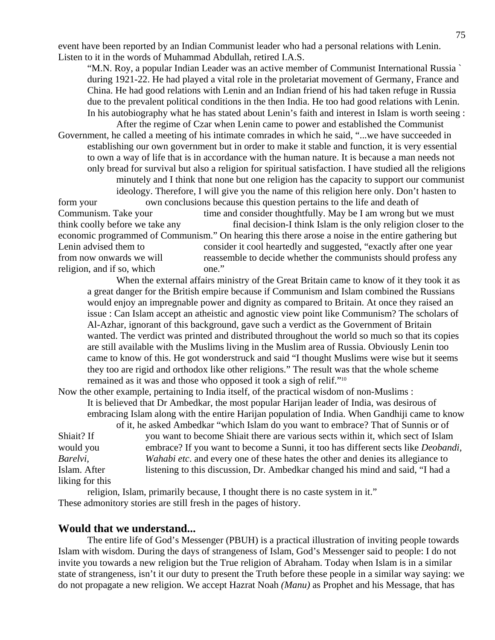event have been reported by an Indian Communist leader who had a personal relations with Lenin. Listen to it in the words of Muhammad Abdullah, retired I.A.S.

 "M.N. Roy, a popular Indian Leader was an active member of Communist International Russia ` during 1921-22. He had played a vital role in the proletariat movement of Germany, France and China. He had good relations with Lenin and an Indian friend of his had taken refuge in Russia due to the prevalent political conditions in the then India. He too had good relations with Lenin. In his autobiography what he has stated about Lenin's faith and interest in Islam is worth seeing :

 After the regime of Czar when Lenin came to power and established the Communist Government, he called a meeting of his intimate comrades in which he said, "...we have succeeded in establishing our own government but in order to make it stable and function, it is very essential to own a way of life that is in accordance with the human nature. It is because a man needs not only bread for survival but also a religion for spiritual satisfaction. I have studied all the religions minutely and I think that none but one religion has the capacity to support our communist ideology. Therefore, I will give you the name of this religion here only. Don't hasten to form your own conclusions because this question pertains to the life and death of Communism. Take your time and consider thoughtfully. May be I am wrong but we must think coolly before we take any final decision-I think Islam is the only religion closer to the economic programmed of Communism." On hearing this there arose a noise in the entire gathering but Lenin advised them to consider it cool heartedly and suggested, "exactly after one year from now onwards we will reassemble to decide whether the communists should profess any religion, and if so, which one."

 When the external affairs ministry of the Great Britain came to know of it they took it as a great danger for the British empire because if Communism and Islam combined the Russians would enjoy an impregnable power and dignity as compared to Britain. At once they raised an issue : Can Islam accept an atheistic and agnostic view point like Communism? The scholars of Al-Azhar, ignorant of this background, gave such a verdict as the Government of Britain wanted. The verdict was printed and distributed throughout the world so much so that its copies are still available with the Muslims living in the Muslim area of Russia. Obviously Lenin too came to know of this. He got wonderstruck and said "I thought Muslims were wise but it seems they too are rigid and orthodox like other religions." The result was that the whole scheme remained as it was and those who opposed it took a sigh of relif."10

Now the other example, pertaining to India itself, of the practical wisdom of non-Muslims : It is believed that Dr Ambedkar, the most popular Harijan leader of India, was desirous of embracing Islam along with the entire Harijan population of India. When Gandhiji came to know

 of it, he asked Ambedkar "which Islam do you want to embrace? That of Sunnis or of Shiait? If you want to become Shiait there are various sects within it, which sect of Islam would you embrace? If you want to become a Sunni, it too has different sects like *Deobandi, Barelvi, Wahabi etc*. and every one of these hates the other and denies its allegiance to Islam. After listening to this discussion, Dr. Ambedkar changed his mind and said, "I had a liking for this

 religion, Islam, primarily because, I thought there is no caste system in it." These admonitory stories are still fresh in the pages of history.

#### **Would that we understand...**

 The entire life of God's Messenger (PBUH) is a practical illustration of inviting people towards Islam with wisdom. During the days of strangeness of Islam, God's Messenger said to people: I do not invite you towards a new religion but the True religion of Abraham. Today when Islam is in a similar state of strangeness, isn't it our duty to present the Truth before these people in a similar way saying: we do not propagate a new religion. We accept Hazrat Noah *(Manu)* as Prophet and his Message, that has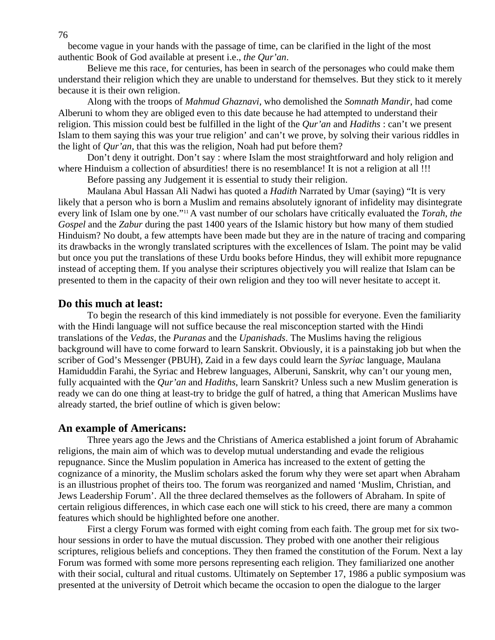become vague in your hands with the passage of time, can be clarified in the light of the most authentic Book of God available at present i.e., *the Qur'an*.

 Believe me this race, for centuries, has been in search of the personages who could make them understand their religion which they are unable to understand for themselves. But they stick to it merely because it is their own religion.

 Along with the troops of *Mahmud Ghaznavi*, who demolished the *Somnath Mandir*, had come Alberuni to whom they are obliged even to this date because he had attempted to understand their religion. This mission could best be fulfilled in the light of the *Qur'an* and *Hadiths* : can't we present Islam to them saying this was your true religion' and can't we prove, by solving their various riddles in the light of *Qur'an*, that this was the religion, Noah had put before them?

 Don't deny it outright. Don't say : where Islam the most straightforward and holy religion and where Hinduism a collection of absurdities! there is no resemblance! It is not a religion at all !!!

Before passing any Judgement it is essential to study their religion.

 Maulana Abul Hassan Ali Nadwi has quoted a *Hadith* Narrated by Umar (saying) "It is very likely that a person who is born a Muslim and remains absolutely ignorant of infidelity may disintegrate every link of Islam one by one."11 A vast number of our scholars have critically evaluated the *Torah*, *the Gospel* and the *Zabur* during the past 1400 years of the Islamic history but how many of them studied Hinduism? No doubt, a few attempts have been made but they are in the nature of tracing and comparing its drawbacks in the wrongly translated scriptures with the excellences of Islam. The point may be valid but once you put the translations of these Urdu books before Hindus, they will exhibit more repugnance instead of accepting them. If you analyse their scriptures objectively you will realize that Islam can be presented to them in the capacity of their own religion and they too will never hesitate to accept it.

#### **Do this much at least:**

To begin the research of this kind immediately is not possible for everyone. Even the familiarity with the Hindi language will not suffice because the real misconception started with the Hindi translations of the *Vedas*, the *Puranas* and the *Upanishads*. The Muslims having the religious background will have to come forward to learn Sanskrit. Obviously, it is a painstaking job but when the scriber of God's Messenger (PBUH), Zaid in a few days could learn the *Syriac* language, Maulana Hamiduddin Farahi, the Syriac and Hebrew languages, Alberuni, Sanskrit, why can't our young men, fully acquainted with the *Qur'an* and *Hadiths*, learn Sanskrit? Unless such a new Muslim generation is ready we can do one thing at least-try to bridge the gulf of hatred, a thing that American Muslims have already started, the brief outline of which is given below:

#### **An example of Americans:**

 Three years ago the Jews and the Christians of America established a joint forum of Abrahamic religions, the main aim of which was to develop mutual understanding and evade the religious repugnance. Since the Muslim population in America has increased to the extent of getting the cognizance of a minority, the Muslim scholars asked the forum why they were set apart when Abraham is an illustrious prophet of theirs too. The forum was reorganized and named 'Muslim, Christian, and Jews Leadership Forum'. All the three declared themselves as the followers of Abraham. In spite of certain religious differences, in which case each one will stick to his creed, there are many a common features which should be highlighted before one another.

 First a clergy Forum was formed with eight coming from each faith. The group met for six twohour sessions in order to have the mutual discussion. They probed with one another their religious scriptures, religious beliefs and conceptions. They then framed the constitution of the Forum. Next a lay Forum was formed with some more persons representing each religion. They familiarized one another with their social, cultural and ritual customs. Ultimately on September 17, 1986 a public symposium was presented at the university of Detroit which became the occasion to open the dialogue to the larger

76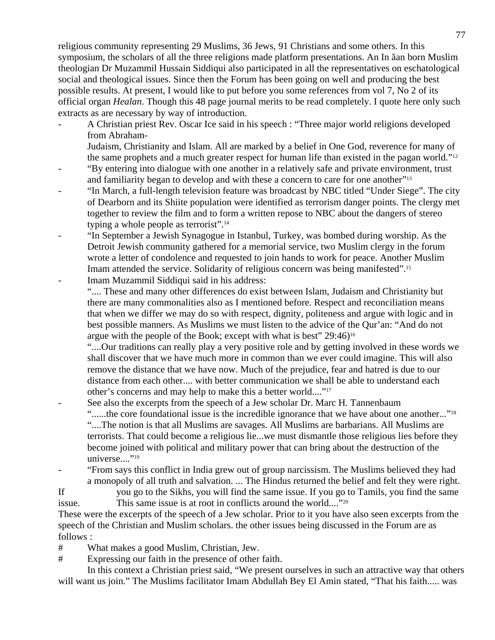religious community representing 29 Muslims, 36 Jews, 91 Christians and some others. In this symposium, the scholars of all the three religions made platform presentations. An In ãan born Muslim theologian Dr Muzammil Hussain Siddiqui also participated in all the representatives on eschatological social and theological issues. Since then the Forum has been going on well and producing the best possible results. At present, I would like to put before you some references from vol 7, No 2 of its official organ *Healan*. Though this 48 page journal merits to be read completely. I quote here only such extracts as are necessary by way of introduction.

- A Christian priest Rev. Oscar Ice said in his speech : "Three major world religions developed from Abraham-
	- Judaism, Christianity and Islam. All are marked by a belief in One God, reverence for many of the same prophets and a much greater respect for human life than existed in the pagan world."12
- "By entering into dialogue with one another in a relatively safe and private environment, trust and familiarity began to develop and with these a concern to care for one another"13
- "In March, a full-length television feature was broadcast by NBC titled "Under Siege". The city of Dearborn and its Shiite population were identified as terrorism danger points. The clergy met together to review the film and to form a written repose to NBC about the dangers of stereo typing a whole people as terrorist".14
- "In September a Jewish Synagogue in Istanbul, Turkey, was bombed during worship. As the Detroit Jewish community gathered for a memorial service, two Muslim clergy in the forum wrote a letter of condolence and requested to join hands to work for peace. Another Muslim Imam attended the service. Solidarity of religious concern was being manifested".15 Imam Muzammil Siddiqui said in his address:
	- ".... These and many other differences do exist between Islam, Judaism and Christianity but there are many commonalities also as I mentioned before. Respect and reconciliation means that when we differ we may do so with respect, dignity, politeness and argue with logic and in best possible manners. As Muslims we must listen to the advice of the Qur'an: "And do not argue with the people of the Book; except with what is best" 29:46)16
		- "....Our traditions can really play a very positive role and by getting involved in these words we shall discover that we have much more in common than we ever could imagine. This will also remove the distance that we have now. Much of the prejudice, fear and hatred is due to our distance from each other.... with better communication we shall be able to understand each other's concerns and may help to make this a better world...."17
- See also the excerpts from the speech of a Jew scholar Dr. Marc H. Tannenbaum "......the core foundational issue is the incredible ignorance that we have about one another..."<sup>18</sup> "....The notion is that all Muslims are savages. All Muslims are barbarians. All Muslims are terrorists. That could become a religious lie...we must dismantle those religious lies before they become joined with political and military power that can bring about the destruction of the universe...."<sup>19</sup>
- "From says this conflict in India grew out of group narcissism. The Muslims believed they had a monopoly of all truth and salvation. ... The Hindus returned the belief and felt they were right.
- If you go to the Sikhs, you will find the same issue. If you go to Tamils, you find the same issue. This same issue is at root in conflicts around the world...."20

These were the excerpts of the speech of a Jew scholar. Prior to it you have also seen excerpts from the speech of the Christian and Muslim scholars. the other issues being discussed in the Forum are as follows :

# What makes a good Muslim, Christian, Jew.

# Expressing our faith in the presence of other faith.

 In this context a Christian priest said, "We present ourselves in such an attractive way that others will want us join." The Muslims facilitator Imam Abdullah Bey El Amin stated, "That his faith..... was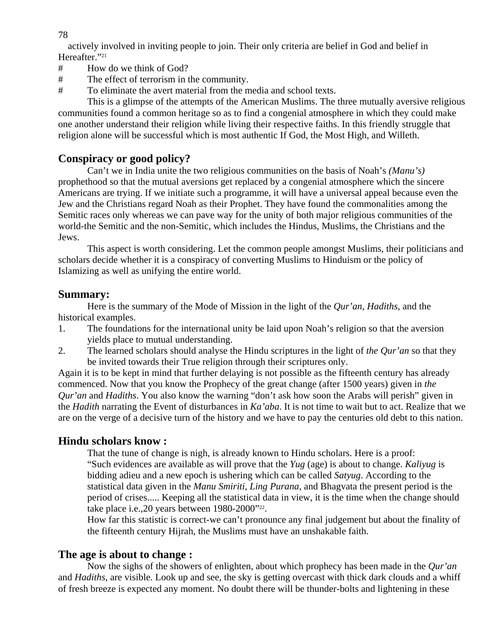78

actively involved in inviting people to join. Their only criteria are belief in God and belief in Hereafter."<sup>21</sup>

- # How do we think of God?
- # The effect of terrorism in the community.
- # To eliminate the avert material from the media and school texts.

 This is a glimpse of the attempts of the American Muslims. The three mutually aversive religious communities found a common heritage so as to find a congenial atmosphere in which they could make one another understand their religion while living their respective faiths. In this friendly struggle that religion alone will be successful which is most authentic If God, the Most High, and Willeth.

## **Conspiracy or good policy?**

 Can't we in India unite the two religious communities on the basis of Noah's *(Manu's)*  prophethood so that the mutual aversions get replaced by a congenial atmosphere which the sincere Americans are trying. If we initiate such a programme, it will have a universal appeal because even the Jew and the Christians regard Noah as their Prophet. They have found the commonalities among the Semitic races only whereas we can pave way for the unity of both major religious communities of the world-the Semitic and the non-Semitic, which includes the Hindus, Muslims, the Christians and the Jews.

 This aspect is worth considering. Let the common people amongst Muslims, their politicians and scholars decide whether it is a conspiracy of converting Muslims to Hinduism or the policy of Islamizing as well as unifying the entire world.

#### **Summary:**

 Here is the summary of the Mode of Mission in the light of the *Qur'an*, *Hadiths*, and the historical examples.

- 1. The foundations for the international unity be laid upon Noah's religion so that the aversion yields place to mutual understanding.
- 2. The learned scholars should analyse the Hindu scriptures in the light of *the Qur'an* so that they be invited towards their True religion through their scriptures only.

Again it is to be kept in mind that further delaying is not possible as the fifteenth century has already commenced. Now that you know the Prophecy of the great change (after 1500 years) given in *the Qur'an* and *Hadiths*. You also know the warning "don't ask how soon the Arabs will perish" given in the *Hadith* narrating the Event of disturbances in *Ka'aba*. It is not time to wait but to act. Realize that we are on the verge of a decisive turn of the history and we have to pay the centuries old debt to this nation.

### **Hindu scholars know :**

 That the tune of change is nigh, is already known to Hindu scholars. Here is a proof: "Such evidences are available as will prove that the *Yug* (age) is about to change. *Kaliyug* is bidding adieu and a new epoch is ushering which can be called *Satyug*. According to the statistical data given in the *Manu Smiriti, Ling Purana*, and Bhagvata the present period is the period of crises..... Keeping all the statistical data in view, it is the time when the change should take place i.e., 20 years between 1980-2000"<sup>22</sup>.

 How far this statistic is correct-we can't pronounce any final judgement but about the finality of the fifteenth century Hijrah, the Muslims must have an unshakable faith.

## **The age is about to change :**

 Now the sighs of the showers of enlighten, about which prophecy has been made in the *Qur'an*  and *Hadiths*, are visible. Look up and see, the sky is getting overcast with thick dark clouds and a whiff of fresh breeze is expected any moment. No doubt there will be thunder-bolts and lightening in these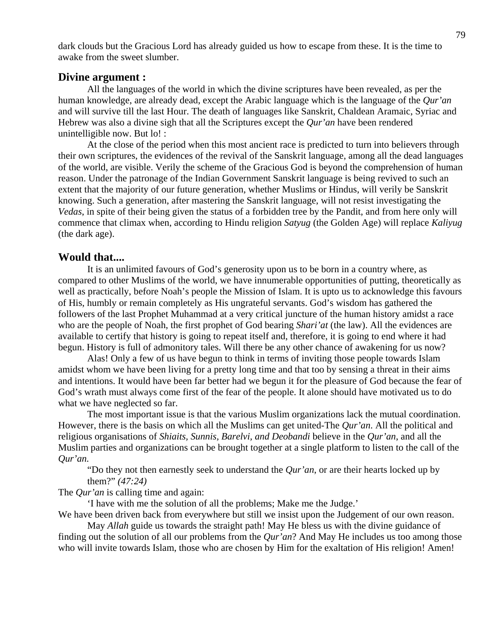dark clouds but the Gracious Lord has already guided us how to escape from these. It is the time to awake from the sweet slumber.

#### **Divine argument :**

 All the languages of the world in which the divine scriptures have been revealed, as per the human knowledge, are already dead, except the Arabic language which is the language of the *Qur'an*  and will survive till the last Hour. The death of languages like Sanskrit, Chaldean Aramaic, Syriac and Hebrew was also a divine sigh that all the Scriptures except the *Qur'an* have been rendered unintelligible now. But lo! :

 At the close of the period when this most ancient race is predicted to turn into believers through their own scriptures, the evidences of the revival of the Sanskrit language, among all the dead languages of the world, are visible. Verily the scheme of the Gracious God is beyond the comprehension of human reason. Under the patronage of the Indian Government Sanskrit language is being revived to such an extent that the majority of our future generation, whether Muslims or Hindus, will verily be Sanskrit knowing. Such a generation, after mastering the Sanskrit language, will not resist investigating the *Vedas*, in spite of their being given the status of a forbidden tree by the Pandit, and from here only will commence that climax when, according to Hindu religion *Satyug* (the Golden Age) will replace *Kaliyug*  (the dark age).

#### **Would that....**

 It is an unlimited favours of God's generosity upon us to be born in a country where, as compared to other Muslims of the world, we have innumerable opportunities of putting, theoretically as well as practically, before Noah's people the Mission of Islam. It is upto us to acknowledge this favours of His, humbly or remain completely as His ungrateful servants. God's wisdom has gathered the followers of the last Prophet Muhammad at a very critical juncture of the human history amidst a race who are the people of Noah, the first prophet of God bearing *Shari'at* (the law). All the evidences are available to certify that history is going to repeat itself and, therefore, it is going to end where it had begun. History is full of admonitory tales. Will there be any other chance of awakening for us now?

 Alas! Only a few of us have begun to think in terms of inviting those people towards Islam amidst whom we have been living for a pretty long time and that too by sensing a threat in their aims and intentions. It would have been far better had we begun it for the pleasure of God because the fear of God's wrath must always come first of the fear of the people. It alone should have motivated us to do what we have neglected so far.

 The most important issue is that the various Muslim organizations lack the mutual coordination. However, there is the basis on which all the Muslims can get united-The *Qur'an*. All the political and religious organisations of *Shiaits, Sunnis, Barelvi, and Deobandi* believe in the *Qur'an*, and all the Muslim parties and organizations can be brought together at a single platform to listen to the call of the *Qur'an.*

 "Do they not then earnestly seek to understand the *Qur'an*, or are their hearts locked up by them?" *(47:24)* 

The *Qur'an* is calling time and again:

'I have with me the solution of all the problems; Make me the Judge.'

We have been driven back from everywhere but still we insist upon the Judgement of our own reason.

 May *Allah* guide us towards the straight path! May He bless us with the divine guidance of finding out the solution of all our problems from the *Qur'an*? And May He includes us too among those who will invite towards Islam, those who are chosen by Him for the exaltation of His religion! Amen!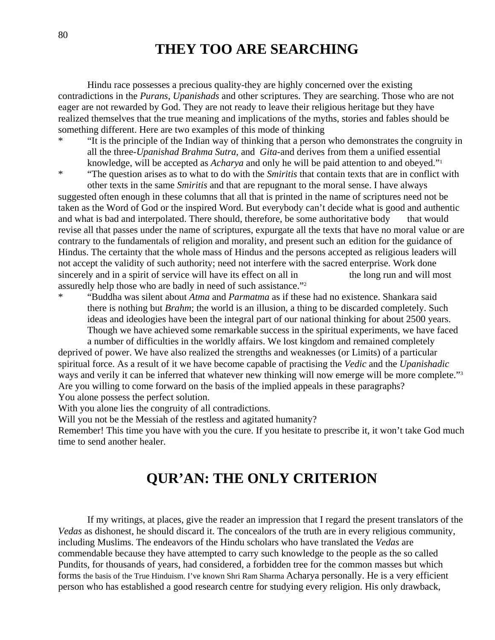# **THEY TOO ARE SEARCHING**

 Hindu race possesses a precious quality-they are highly concerned over the existing contradictions in the *Purans*, *Upanishads* and other scriptures. They are searching. Those who are not eager are not rewarded by God. They are not ready to leave their religious heritage but they have realized themselves that the true meaning and implications of the myths, stories and fables should be something different. Here are two examples of this mode of thinking

\* "It is the principle of the Indian way of thinking that a person who demonstrates the congruity in all the three-*Upanishad Brahma Sutra*, and *Gita*-and derives from them a unified essential knowledge, will be accepted as *Acharya* and only he will be paid attention to and obeyed."1

\* "The question arises as to what to do with the *Smiritis* that contain texts that are in conflict with other texts in the same *Smiritis* and that are repugnant to the moral sense. I have always suggested often enough in these columns that all that is printed in the name of scriptures need not be taken as the Word of God or the inspired Word. But everybody can't decide what is good and authentic and what is bad and interpolated. There should, therefore, be some authoritative body that would revise all that passes under the name of scriptures, expurgate all the texts that have no moral value or are contrary to the fundamentals of religion and morality, and present such an edition for the guidance of Hindus. The certainty that the whole mass of Hindus and the persons accepted as religious leaders will not accept the validity of such authority; need not interfere with the sacred enterprise. Work done sincerely and in a spirit of service will have its effect on all in the long run and will most assuredly help those who are badly in need of such assistance."2

\* "Buddha was silent about *Atma* and *Parmatma* as if these had no existence. Shankara said there is nothing but *Brahm*; the world is an illusion, a thing to be discarded completely. Such ideas and ideologies have been the integral part of our national thinking for about 2500 years. Though we have achieved some remarkable success in the spiritual experiments, we have faced a number of difficulties in the worldly affairs. We lost kingdom and remained completely

deprived of power. We have also realized the strengths and weaknesses (or Limits) of a particular spiritual force. As a result of it we have become capable of practising the *Vedic* and the *Upanishadic* ways and verily it can be inferred that whatever new thinking will now emerge will be more complete."<sup>3</sup> Are you willing to come forward on the basis of the implied appeals in these paragraphs? You alone possess the perfect solution.

With you alone lies the congruity of all contradictions.

Will you not be the Messiah of the restless and agitated humanity?

Remember! This time you have with you the cure. If you hesitate to prescribe it, it won't take God much time to send another healer.

# **QUR'AN: THE ONLY CRITERION**

 If my writings, at places, give the reader an impression that I regard the present translators of the *Vedas* as dishonest, he should discard it. The concealors of the truth are in every religious community, including Muslims. The endeavors of the Hindu scholars who have translated the *Vedas* are commendable because they have attempted to carry such knowledge to the people as the so called Pundits, for thousands of years, had considered, a forbidden tree for the common masses but which forms the basis of the True Hinduism. I've known Shri Ram Sharma Acharya personally. He is a very efficient person who has established a good research centre for studying every religion. His only drawback,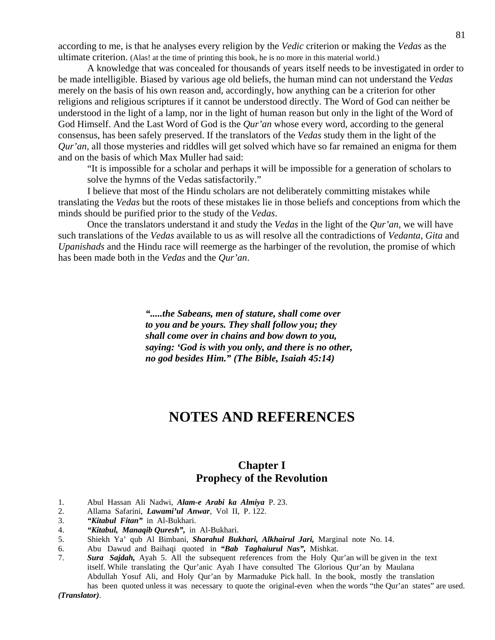according to me, is that he analyses every religion by the *Vedic* criterion or making the *Vedas* as the ultimate criterion. (Alas! at the time of printing this book, he is no more in this material world.)

A knowledge that was concealed for thousands of years itself needs to be investigated in order to be made intelligible. Biased by various age old beliefs, the human mind can not understand the *Vedas*  merely on the basis of his own reason and, accordingly, how anything can be a criterion for other religions and religious scriptures if it cannot be understood directly. The Word of God can neither be understood in the light of a lamp, nor in the light of human reason but only in the light of the Word of God Himself. And the Last Word of God is the *Qur'an* whose every word, according to the general consensus, has been safely preserved. If the translators of the *Vedas* study them in the light of the *Qur'an*, all those mysteries and riddles will get solved which have so far remained an enigma for them and on the basis of which Max Muller had said:

 "It is impossible for a scholar and perhaps it will be impossible for a generation of scholars to solve the hymns of the Vedas satisfactorily."

 I believe that most of the Hindu scholars are not deliberately committing mistakes while translating the *Vedas* but the roots of these mistakes lie in those beliefs and conceptions from which the minds should be purified prior to the study of the *Vedas*.

 Once the translators understand it and study the *Vedas* in the light of the *Qur'an*, we will have such translations of the *Vedas* available to us as will resolve all the contradictions of *Vedanta*, *Gita* and *Upanishads* and the Hindu race will reemerge as the harbinger of the revolution, the promise of which has been made both in the *Vedas* and the *Qur'an*.

> *".....the Sabeans, men of stature, shall come over to you and be yours. They shall follow you; they shall come over in chains and bow down to you, saying: 'God is with you only, and there is no other, no god besides Him." (The Bible, Isaiah 45:14)*

# **NOTES AND REFERENCES**

### **Chapter I Prophecy of the Revolution**

- 1. Abul Hassan Ali Nadwi, *Alam-e Arabi ka Almiya* P. 23.
- 2. Allama Safarini, *Lawami'ul Anwar*, Vol II, P. 122.
- 3. *"Kitabul Fitan"* in Al-Bukhari.
- 4. *"Kitabul, Manaqib Quresh",* in Al-Bukhari.
- 5. Shiekh Ya' qub Al Bimbani, *Sharahul Bukhari, Alkhairul Jari,* Marginal note No. 14.
- 6. Abu Dawud and Baihaqi quoted in *"Bab Taghaiurul Nas",* Mishkat.
- 7. *Sura Sajdah,* Ayah 5. All the subsequent references from the Holy Qur'an will be given in the text itself. While translating the Qur'anic Ayah I have consulted The Glorious Qur'an by Maulana Abdullah Yosuf Ali, and Holy Qur'an by Marmaduke Pick hall. In the book, mostly the translation has been quoted unless it was necessary to quote the original-even when the words "the Qur'an states" are used.

*(Translator)*.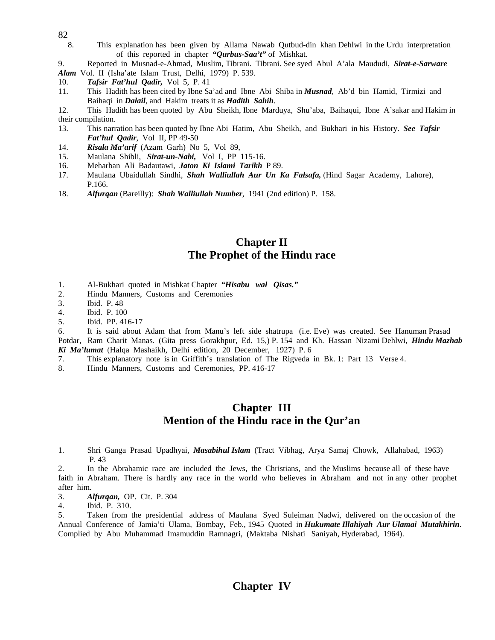- 82
	- 8. This explanation has been given by Allama Nawab Qutbud-din khan Dehlwi in the Urdu interpretation of this reported in chapter *"Qurbus-Saa't"* of Mishkat.

9. Reported in Musnad-e-Ahmad, Muslim, Tibrani. Tibrani. See syed Abul A'ala Maududi, *Sirat-e-Sarware* 

*Alam* Vol. II (Isha'ate Islam Trust, Delhi, 1979) P. 539.

- 10. *Tafsir Fat'hul Qadir,* Vol 5, P. 41
- 11. This Hadith has been cited by Ibne Sa'ad and Ibne Abi Shiba in *Musnad*, Ab'd bin Hamid, Tirmizi and Baihaqi in *Dalail*, and Hakim treats it as *Hadith Sahih*.
- 12. This Hadith has been quoted by Abu Sheikh, Ibne Marduya, Shu'aba, Baihaqui, Ibne A'sakar and Hakim in their compilation.
- 13. This narration has been quoted by Ibne Abi Hatim, Abu Sheikh, and Bukhari in his History. *See Tafsir Fat'hul Qadir*, Vol II, PP 49-50
- 14. *Risala Ma'arif* (Azam Garh) No 5, Vol 89,
- 15. Maulana Shibli, *Sirat-un-Nabi,* Vol I, PP 115-16.
- 16. Meharban Ali Badautawi, *Jaton Ki Islami Tarikh* P 89.
- 17. Maulana Ubaidullah Sindhi, *Shah Walliullah Aur Un Ka Falsafa,* (Hind Sagar Academy, Lahore), P.166.
- 18. *Alfurqan* (Bareilly): *Shah Walliullah Number*, 1941 (2nd edition) P. 158.

#### **Chapter II The Prophet of the Hindu race**

- 1. Al-Bukhari quoted in Mishkat Chapter *"Hisabu wal Qisas."*
- 2. Hindu Manners, Customs and Ceremonies
- 3. Ibid. P. 48
- 4. Ibid. P. 100
- 5. Ibid. PP. 416-17

6. It is said about Adam that from Manu's left side shatrupa (i.e. Eve) was created. See Hanuman Prasad Potdar, Ram Charit Manas. (Gita press Gorakhpur, Ed. 15,) P. 154 and Kh. Hassan Nizami Dehlwi, *Hindu Mazhab Ki Ma'lumat* (Halqa Mashaikh, Delhi edition, 20 December, 1927) P. 6

- 7. This explanatory note is in Griffith's translation of The Rigveda in Bk. 1: Part 13 Verse 4.
- 8. Hindu Manners, Customs and Ceremonies, PP. 416-17

#### **Chapter III Mention of the Hindu race in the Qur'an**

1. Shri Ganga Prasad Upadhyai, *Masabihul Islam* (Tract Vibhag, Arya Samaj Chowk, Allahabad, 1963) P. 43

2. In the Abrahamic race are included the Jews, the Christians, and the Muslims because all of these have faith in Abraham. There is hardly any race in the world who believes in Abraham and not in any other prophet after him.

- 3. *Alfurqan,* OP. Cit. P. 304
- 4. Ibid. P. 310.

5. Taken from the presidential address of Maulana Syed Suleiman Nadwi, delivered on the occasion of the Annual Conference of Jamia'ti Ulama, Bombay, Feb., 1945 Quoted in *Hukumate Illahiyah Aur Ulamai Mutakhirin*. Complied by Abu Muhammad Imamuddin Ramnagri, (Maktaba Nishati Saniyah, Hyderabad, 1964).

## **Chapter IV**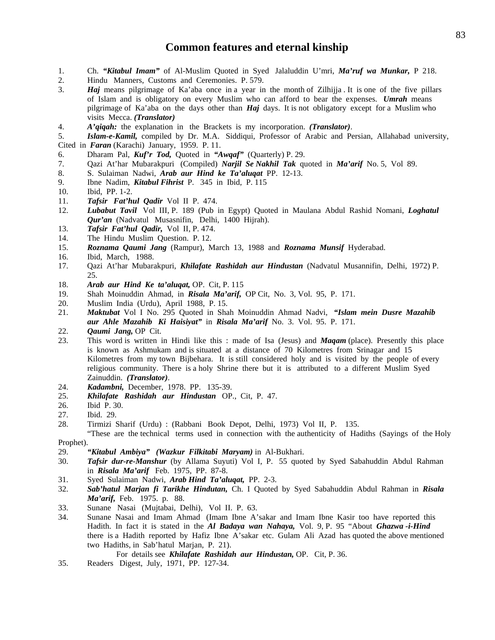#### **Common features and eternal kinship**

- 1. Ch. *"Kitabul Imam"* of Al-Muslim Quoted in Syed Jalaluddin U'mri, *Ma'ruf wa Munkar,* P 218.
- 2. Hindu Manners, Customs and Ceremonies. P. 579.
- 3. *Haj* means pilgrimage of Ka'aba once in a year in the month of Zilhijja . It is one of the five pillars of Islam and is obligatory on every Muslim who can afford to bear the expenses. *Umrah* means pilgrimage of Ka'aba on the days other than *Haj* days. It is not obligatory except for a Muslim who visits Mecca. *(Translator)*
- 4. *A'qiqah:* the explanation in the Brackets is my incorporation. *(Translator)*.
- 5. *Islam-e-Kamil,* compiled by Dr. M.A. Siddiqui, Professor of Arabic and Persian, Allahabad university, Cited in *Faran* (Karachi) January, 1959. P. 11.
- 6. Dharam Pal, *Kuf'r Tod,* Quoted in *"Awqaf"* (Quarterly) P. 29.
- 7. Qazi At'har Mubarakpuri (Compiled) *Narjil Se Nakhil Tak* quoted in *Ma'arif* No. 5, Vol 89.
- 8. S. Sulaiman Nadwi, *Arab aur Hind ke Ta'aluqat* PP. 12-13.
- 9. Ibne Nadim, *Kitabul Fihrist* P. 345 in Ibid, P. 115
- 10. Ibid, PP. 1-2.
- 11. *Tafsir Fat'hul Qadir* Vol II P. 474.
- 12. *Lubabut Tavil* Vol III, P. 189 (Pub in Egypt) Quoted in Maulana Abdul Rashid Nomani, *Loghatul Qur'an* (Nadvatul Musasnifin, Delhi, 1400 Hijrah).
- 13. *Tafsir Fat'hul Qadir,* Vol II, P. 474.
- 14. The Hindu Muslim Question. P. 12.
- 15. *Roznama Qaumi Jang* (Rampur), March 13, 1988 and *Roznama Munsif* Hyderabad.
- 16. Ibid, March, 1988.
- 17. Qazi At'har Mubarakpuri, *Khilafate Rashidah aur Hindustan* (Nadvatul Musannifin, Delhi, 1972) P. 25.
- 18. *Arab aur Hind Ke ta'aluqat,* OP. Cit, P. 115
- 19. Shah Moinuddin Ahmad, in *Risala Ma'arif,* OP Cit, No. 3, Vol. 95, P. 171.
- 20. Muslim India (Urdu), April 1988, P. 15.
- 21. *Maktubat* Vol I No. 295 Quoted in Shah Moinuddin Ahmad Nadvi, *"Islam mein Dusre Mazahib aur Ahle Mazahib Ki Haisiyat"* in *Risala Ma'arif* No. 3. Vol. 95. P. 171.
- 22. *Qaumi Jang,* OP Cit.
- 23. This word is written in Hindi like this : made of Isa (Jesus) and *Maqam* (place). Presently this place is known as Ashmukam and is situated at a distance of 70 Kilometres from Srinagar and 15 Kilometres from my town Bijbehara. It is still considered holy and is visited by the people of every religious community. There is a holy Shrine there but it is attributed to a different Muslim Syed Zainuddin. *(Translator)*.
- 24. *Kadambni,* December, 1978. PP. 135-39.
- 25. *Khilafate Rashidah aur Hindustan* OP., Cit, P. 47.
- 26. Ibid P. 30.
- 27. Ibid. 29.
- 28. Tirmizi Sharif (Urdu) : (Rabbani Book Depot, Delhi, 1973) Vol II, P. 135.

 "These are the technical terms used in connection with the authenticity of Hadiths (Sayings of the Holy Prophet).

- 29. *"Kitabul Ambiya" (Wazkur Filkitabi Maryam)* in Al-Bukhari.
- 30. *Tafsir dur-re-Manshur* (by Allama Suyuti) Vol I, P. 55 quoted by Syed Sabahuddin Abdul Rahman in *Risala Ma'arif* Feb. 1975, PP. 87-8.
- 31. Syed Sulaiman Nadwi, *Arab Hind Ta'aluqat,* PP. 2-3.
- 32. *Sab'hatul Marjan fi Tarikhe Hindutan,* Ch. I Quoted by Syed Sabahuddin Abdul Rahman in *Risala Ma'arif,* Feb. 1975. p. 88.
- 33. Sunane Nasai (Mujtabai, Delhi), Vol II. P. 63.
- 34. Sunane Nasai and Imam Ahmad (Imam Ibne A'sakar and Imam Ibne Kasir too have reported this Hadith. In fact it is stated in the *Al Badaya wan Nahaya,* Vol. 9, P. 95 "About *Ghazwa -i-Hind*  there is a Hadith reported by Hafiz Ibne A'sakar etc. Gulam Ali Azad has quoted the above mentioned two Hadiths, in Sab'hatul Marjan, P. 21).

For details see *Khilafate Rashidah aur Hindustan,* OP. Cit, P. 36.

35. Readers Digest, July, 1971, PP. 127-34.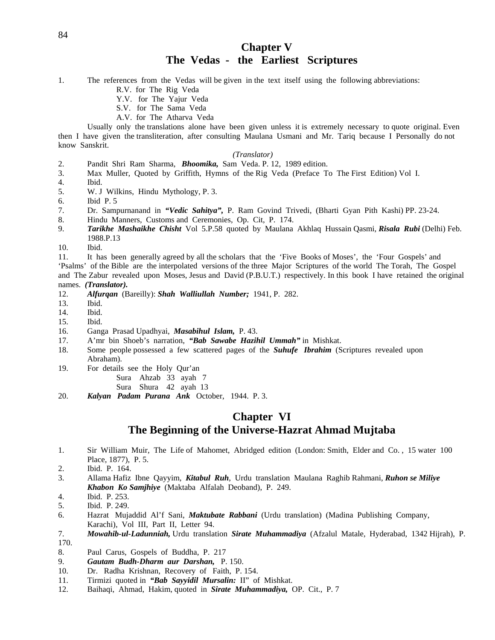## **Chapter V The Vedas - the Earliest Scriptures**

1. The references from the Vedas will be given in the text itself using the following abbreviations:

- R.V. for The Rig Veda
- Y.V. for The Yajur Veda
- S.V. for The Sama Veda
- A.V. for The Atharva Veda

 Usually only the translations alone have been given unless it is extremely necessary to quote original. Even then I have given the transliteration, after consulting Maulana Usmani and Mr. Tariq because I Personally do not know Sanskrit.

#### *(Translator)*

- 2. Pandit Shri Ram Sharma, *Bhoomika,* Sam Veda. P. 12, 1989 edition.
- 3. Max Muller, Quoted by Griffith, Hymns of the Rig Veda (Preface To The First Edition) Vol I.
- 4. Ibid.
- 5. W. J Wilkins, Hindu Mythology, P. 3.
- 6. Ibid P. 5
- 7. Dr. Sampurnanand in *"Vedic Sahitya",* P. Ram Govind Trivedi, (Bharti Gyan Pith Kashi) PP. 23-24.
- 8. Hindu Manners, Customs and Ceremonies, Op. Cit, P. 174.
- 9. *Tarikhe Mashaikhe Chisht* Vol 5.P.58 quoted by Maulana Akhlaq Hussain Qasmi, *Risala Rubi* (Delhi) Feb. 1988.P.13
- 10. Ibid.

11. It has been generally agreed by all the scholars that the 'Five Books of Moses', the 'Four Gospels' and

'Psalms' of the Bible are the interpolated versions of the three Major Scriptures of the world The Torah, The Gospel and The Zabur revealed upon Moses, Jesus and David (P.B.U.T.) respectively. In this book I have retained the original names. *(Translator).* 

- 12. *Alfurqan* (Bareilly): *Shah Walliullah Number;* 1941, P. 282.
- 13. Ibid.
- 14. Ibid.
- 15. Ibid.
- 16. Ganga Prasad Upadhyai, *Masabihul Islam,* P. 43.
- 17. A'mr bin Shoeb's narration, *"Bab Sawabe Hazihil Ummah"* in Mishkat.
- 18. Some people possessed a few scattered pages of the *Suhufe Ibrahim* (Scriptures revealed upon Abraham).
- 19. For details see the Holy Qur'an
	- Sura Ahzab 33 ayah 7
	- Sura Shura 42 ayah 13
- 20. *Kalyan Padam Purana Ank* October, 1944. P. 3.

## **Chapter VI The Beginning of the Universe-Hazrat Ahmad Mujtaba**

- 1. Sir William Muir, The Life of Mahomet, Abridged edition (London: Smith, Elder and Co. , 15 water 100 Place, 1877), P. 5.
- 2. Ibid. P. 164.
- 3. Allama Hafiz Ibne Qayyim, *Kitabul Ruh*, Urdu translation Maulana Raghib Rahmani, *Ruhon se Miliye Khabon Ko Samjhiye* (Maktaba Alfalah Deoband), P. 249.
- 4. Ibid. P. 253.
- 5. Ibid. P. 249.
- 6. Hazrat Mujaddid Al'f Sani, *Maktubate Rabbani* (Urdu translation) (Madina Publishing Company, Karachi), Vol III, Part II, Letter 94.
- 7. *Mowahib-ul-Ladunniah,* Urdu translation *Sirate Muhammadiya* (Afzalul Matale, Hyderabad, 1342 Hijrah), P. 170.
- 8. Paul Carus, Gospels of Buddha, P. 217
- 9. *Gautam Budh-Dharm aur Darshan,* P. 150.
- 10. Dr. Radha Krishnan, Recovery of Faith, P. 154.
- 11. Tirmizi quoted in *"Bab Sayyidil Mursalin:* II" of Mishkat.
- 12. Baihaqi, Ahmad, Hakim, quoted in *Sirate Muhammadiya,* OP. Cit., P. 7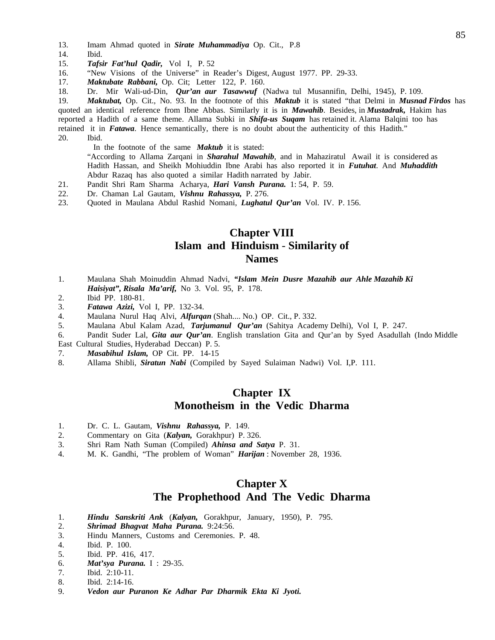- 13. Imam Ahmad quoted in *Sirate Muhammadiya* Op. Cit., P.8
- 14. Ibid.
- 15. *Tafsir Fat'hul Qadir,* Vol I, P. 52
- 16. "New Visions of the Universe" in Reader's Digest, August 1977. PP. 29-33.
- 17. *Maktubate Rabbani,* Op. Cit; Letter 122, P. 160.
- 18. Dr. Mir Wali-ud-Din, *Qur'an aur Tasawwuf* (Nadwa tul Musannifin, Delhi, 1945), P. 109.

19. *Maktubat,* Op. Cit., No. 93. In the footnote of this *Maktub* it is stated "that Delmi in *Musnad Firdos* has quoted an identical reference from Ibne Abbas. Similarly it is in *Mawahib*. Besides, in *Mustadrak,* Hakim has reported a Hadith of a same theme. Allama Subki in *Shifa-us Suqam* has retained it. Alama Balqini too has retained it in *Fatawa*. Hence semantically, there is no doubt about the authenticity of this Hadith." 20. Ibid.

In the footnote of the same *Maktub* it is stated:

 "According to Allama Zarqani in *Sharahul Mawahib*, and in Mahaziratul Awail it is considered as Hadith Hassan, and Sheikh Mohiuddin Ibne Arabi has also reported it in *Futuhat*. And *Muhaddith*  Abdur Razaq has also quoted a similar Hadith narrated by Jabir.

- 21. Pandit Shri Ram Sharma Acharya, *Hari Vansh Purana.* 1: 54, P. 59.
- 22. Dr. Chaman Lal Gautam, *Vishnu Rahassya,* P. 276.
- 23. Quoted in Maulana Abdul Rashid Nomani, *Lughatul Qur'an* Vol. IV. P. 156.

## **Chapter VIII Islam and Hinduism** - **Similarity of Names**

- 1. Maulana Shah Moinuddin Ahmad Nadvi, *"Islam Mein Dusre Mazahib aur Ahle Mazahib Ki Haisiyat", Risala Ma'arif,* No 3. Vol. 95, P. 178.
- 2. Ibid PP. 180-81.
- 3. *Fatawa Azizi,* Vol I, PP. 132-34.
- 4. Maulana Nurul Haq Alvi, *Alfurqan* (Shah.... No.) OP. Cit., P. 332.
- 5. Maulana Abul Kalam Azad, *Tarjumanul Qur'an* (Sahitya Academy Delhi), Vol I, P. 247.

6. Pandit Suder Lal, *Gita aur Qur'an*. English translation Gita and Qur'an by Syed Asadullah (Indo Middle East Cultural Studies, Hyderabad Deccan) P. 5.

- 7. *Masabihul Islam,* OP Cit. PP. 14-15
- 8. Allama Shibli, *Siratun Nabi* (Compiled by Sayed Sulaiman Nadwi) Vol. I,P. 111.

#### **Chapter IX Monotheism in the Vedic Dharma**

- 1. Dr. C. L. Gautam, *Vishnu Rahassya,* P. 149.
- 2. Commentary on Gita (*Kalyan,* Gorakhpur) P. 326.
- 3. Shri Ram Nath Suman (Compiled) *Ahinsa and Satya* P. 31.
- 4. M. K. Gandhi, "The problem of Woman" *Harijan* : November 28, 1936.

### **Chapter X The Prophethood And The Vedic Dharma**

- 1. *Hindu Sanskriti Ank* (*Kalyan,* Gorakhpur, January, 1950), P. 795.
- 2. *Shrimad Bhagvat Maha Purana.* 9:24:56.
- 3. Hindu Manners, Customs and Ceremonies. P. 48.
- 4. Ibid. P. 100.
- 5. Ibid. PP. 416, 417.
- 6. *Mat'sya Purana.* I : 29-35.
- 7. Ibid. 2:10-11.
- 8. Ibid. 2:14-16.
- 9. *Vedon aur Puranon Ke Adhar Par Dharmik Ekta Ki Jyoti.*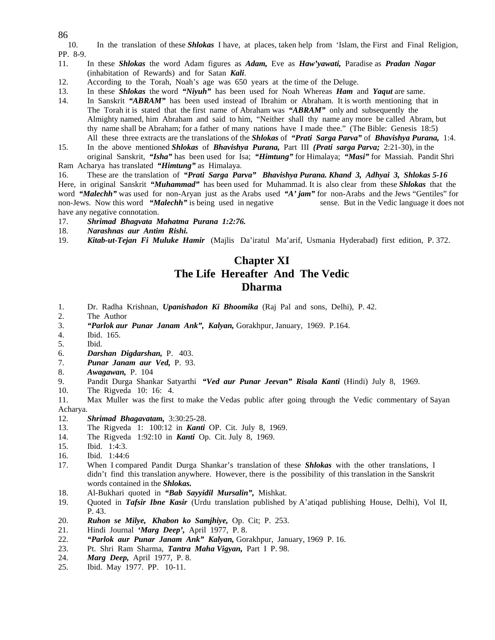86

10. In the translation of these *Shlokas* I have, at places, taken help from 'Islam, the First and Final Religion, PP. 8-9.

- 11. In these *Shlokas* the word Adam figures as *Adam,* Eve as *Haw'yawati,* Paradise as *Pradan Nagar*  (inhabitation of Rewards) and for Satan *Kali*.
- 12. According to the Torah, Noah's age was 650 years at the time of the Deluge.
- 13. In these *Shlokas* the word *"Niyuh"* has been used for Noah Whereas *Ham* and *Yaqut* are same.
- 14. In Sanskrit *"ABRAM"* has been used instead of Ibrahim or Abraham. It is worth mentioning that in The Torah it is stated that the first name of Abraham was *"ABRAM"* only and subsequently the Almighty named, him Abraham and said to him, "Neither shall thy name any more be called Abram, but thy name shall be Abraham; for a father of many nations have I made thee." (The Bible: Genesis 18:5) All these three extracts are the translations of the *Shlokas* of *"Prati Sarga Parva"* of *Bhavishya Purana,* 1:4.
- 15. In the above mentioned *Shlokas* of *Bhavishya Purana,* Part III *(Prati sarga Parva;* 2:21-30), in the original Sanskrit, *"Isha"* has been used for Isa; *"Himtung"* for Himalaya; *"Masi"* for Massiah. Pandit Shri

Ram Acharya has translated *"Himtung"* as Himalaya.

16. These are the translation of *"Prati Sarga Parva" Bhavishya Purana. Khand 3, Adhyai 3, Shlokas 5-16*  Here, in original Sanskrit *"Muhammad"* has been used for Muhammad. It is also clear from these *Shlokas* that the word *"Malechh"* was used for non-Aryan just as the Arabs used *"A' jam"* for non-Arabs and the Jews "Gentiles" for non-Jews. Now this word *"Malechh"* is being used in negative sense. But in the Vedic language it does not have any negative connotation.

17. *Shrimad Bhagvata Mahatma Purana 1:2:76.* 

- 18. *Narashnas aur Antim Rishi.*
- 19. *Kitab-ut-Tejan Fi Muluke Hamir* (Majlis Da'iratul Ma'arif, Usmania Hyderabad) first edition, P. 372.

### **Chapter XI The Life Hereafter And The Vedic Dharma**

- 1. Dr. Radha Krishnan, *Upanishadon Ki Bhoomika* (Raj Pal and sons, Delhi), P. 42.
- 2. The Author
- 3. *"Parlok aur Punar Janam Ank", Kalyan,* Gorakhpur, January, 1969. P.164.
- 4. Ibid. 165.
- 5. Ibid.
- 6. *Darshan Digdarshan,* P. 403.
- 7. *Punar Janam aur Ved,* P. 93.
- 8. *Awagawan,* P. 104
- 9. Pandit Durga Shankar Satyarthi *"Ved aur Punar Jeevan" Risala Kanti* (Hindi) July 8, 1969.
- 10. The Rigveda 10: 16: 4.

11. Max Muller was the first to make the Vedas public after going through the Vedic commentary of Sayan Acharya.

#### 12. *Shrimad Bhagavatam,* 3:30:25-28.

- 13. The Rigveda 1: 100:12 in *Kanti* OP. Cit. July 8, 1969.
- 14. The Rigveda 1:92:10 in *Kanti* Op. Cit. July 8, 1969.
- 15. Ibid. 1:4:3.
- 16. Ibid. 1:44:6
- 17. When I compared Pandit Durga Shankar's translation of these *Shlokas* with the other translations, I didn't find this translation anywhere. However, there is the possibility of this translation in the Sanskrit words contained in the *Shlokas.*
- 18. Al-Bukhari quoted in *"Bab Sayyidil Mursalin",* Mishkat.
- 19. Quoted in *Tafsir Ibne Kasir* (Urdu translation published by A'atiqad publishing House, Delhi), Vol II, P. 43.
- 20. *Ruhon se Milye, Khabon ko Samjhiye,* Op. Cit; P. 253.
- 21. Hindi Journal *'Marg Deep',* April 1977, P. 8.
- 22. *"Parlok aur Punar Janam Ank" Kalyan,* Gorakhpur, January, 1969 P. 16.
- 23. Pt. Shri Ram Sharma, *Tantra Maha Vigyan,* Part I P. 98.
- 24. *Marg Deep,* April 1977, P. 8.
- 25. Ibid. May 1977. PP. 10-11.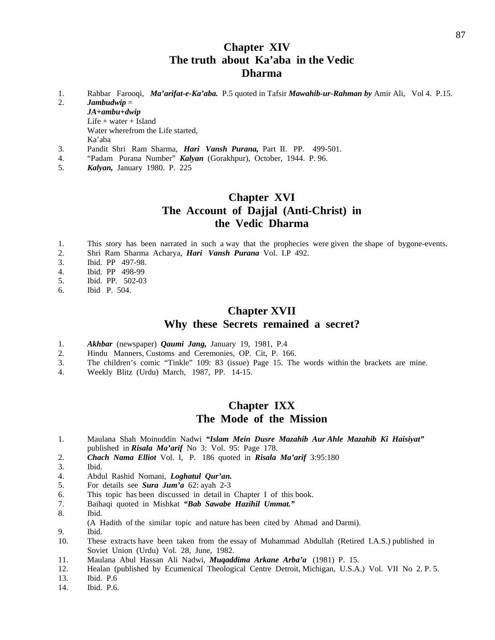## **Chapter XIV The truth about Ka'aba in the Vedic Dharma**

- 1. Rahbar Farooqi, *Ma'arifat-e-Ka'aba.* P.5 quoted in Tafsir *Mawahib-ur-Rahman by* Amir Ali, Vol 4. P.15.
- 2. *Jambudwip* =

*JA+ambu+dwip* Life + water + Island Water wherefrom the Life started, Ka'aba

- 3. Pandit Shri Ram Sharma, *Hari Vansh Purana,* Part II. PP. 499-501.
- 4. "Padam Purana Number" *Kalyan* (Gorakhpur), October, 1944. P. 96.
- 5. *Kalyan,* January 1980. P. 225

### **Chapter XVI The Account of Dajjal (Anti-Christ) in the Vedic Dharma**

- 1. This story has been narrated in such a way that the prophecies were given the shape of bygone-events.
- 2. Shri Ram Sharma Acharya, *Hari Vansh Purana* Vol. I.P 492.
- 3. Ibid. PP 497-98.
- 4. Ibid. PP 498-99
- 5. Ibid. PP. 502-03
- 6. Ibid P. 504.

#### **Chapter XVII Why these Secrets remained a secret?**

- 1. *Akhbar* (newspaper) *Qaumi Jang,* January 19, 1981, P.4
- 2. Hindu Manners, Customs and Ceremonies, OP. Cit, P. 166.
- 3. The children's comic "Tinkle" 109: 83 (issue) Page 15. The words within the brackets are mine.
- 4. Weekly Blitz (Urdu) March, 1987, PP. 14-15.

### **Chapter IXX The Mode of the Mission**

- 1. Maulana Shah Moinuddin Nadwi *"Islam Mein Dusre Mazahib Aur Ahle Mazahib Ki Haisiyat"*  published in *Risala Ma'arif* No 3: Vol. 95: Page 178.
- 2. *Chach Nama Elliot* Vol. I, P. 186 quoted in *Risala Ma'arif* 3:95:180
- 3. Ibid.
- 4. Abdul Rashid Nomani, *Loghatul Qur'an.*
- 5. For details see *Sura Jum'a* 62: ayah 2-3
- 6. This topic has been discussed in detail in Chapter I of this book.
- 7. Baihaqi quoted in Mishkat *"Bab Sawabe Hazihil Ummat."*
- 8. Ibid.
- (A Hadith of the similar topic and nature has been cited by Ahmad and Darmi).
- 9. Ibid.
- 10. These extracts have been taken from the essay of Muhammad Abdullah (Retired I.A.S.) published in Soviet Union (Urdu) Vol. 28, June, 1982.
- 11. Maulana Abul Hassan Ali Nadwi, *Muqaddima Arkane Arba'a* (1981) P. 15.
- 12. Healan (published by Ecumenical Theological Centre Detroit, Michigan, U.S.A.) Vol. VII No 2. P. 5.
- 13. Ibid. P.6
- 14. Ibid. P.6.